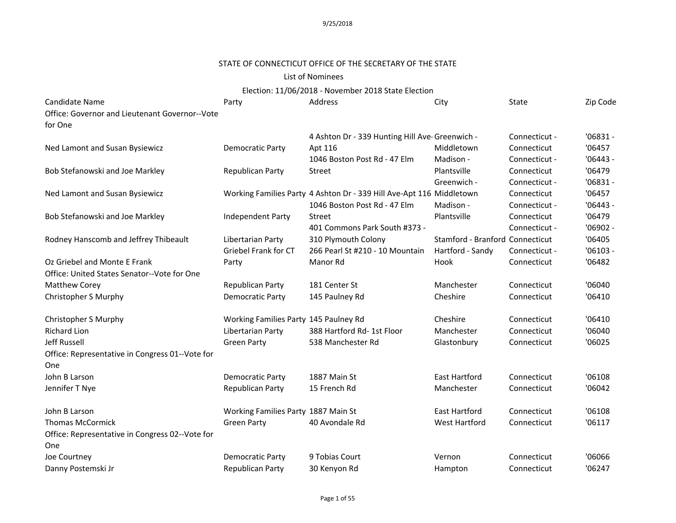### STATE OF CONNECTICUT OFFICE OF THE SECRETARY OF THE STATE

#### List of Nominees

| Candidate Name                                  | Party                                 | Address                                                              | City                            | State         | Zip Code   |
|-------------------------------------------------|---------------------------------------|----------------------------------------------------------------------|---------------------------------|---------------|------------|
| Office: Governor and Lieutenant Governor--Vote  |                                       |                                                                      |                                 |               |            |
| for One                                         |                                       |                                                                      |                                 |               |            |
|                                                 |                                       | 4 Ashton Dr - 339 Hunting Hill Ave-Greenwich -                       |                                 | Connecticut - | $'06831 -$ |
| Ned Lamont and Susan Bysiewicz                  | <b>Democratic Party</b>               | Apt 116                                                              | Middletown                      | Connecticut   | '06457     |
|                                                 |                                       | 1046 Boston Post Rd - 47 Elm                                         | Madison -                       | Connecticut - | $'06443 -$ |
| Bob Stefanowski and Joe Markley                 | Republican Party                      | Street                                                               | Plantsville                     | Connecticut   | '06479     |
|                                                 |                                       |                                                                      | Greenwich -                     | Connecticut - | $'06831 -$ |
| Ned Lamont and Susan Bysiewicz                  |                                       | Working Families Party 4 Ashton Dr - 339 Hill Ave-Apt 116 Middletown |                                 | Connecticut   | '06457     |
|                                                 |                                       | 1046 Boston Post Rd - 47 Elm                                         | Madison -                       | Connecticut - | $'06443 -$ |
| Bob Stefanowski and Joe Markley                 | Independent Party                     | Street                                                               | Plantsville                     | Connecticut   | '06479     |
|                                                 |                                       | 401 Commons Park South #373 -                                        |                                 | Connecticut - | $'06902 -$ |
| Rodney Hanscomb and Jeffrey Thibeault           | Libertarian Party                     | 310 Plymouth Colony                                                  | Stamford - Branford Connecticut |               | '06405     |
|                                                 | Griebel Frank for CT                  | 266 Pearl St #210 - 10 Mountain                                      | Hartford - Sandy                | Connecticut - | $'06103 -$ |
| Oz Griebel and Monte E Frank                    | Party                                 | Manor Rd                                                             | Hook                            | Connecticut   | '06482     |
| Office: United States Senator--Vote for One     |                                       |                                                                      |                                 |               |            |
| Matthew Corey                                   | Republican Party                      | 181 Center St                                                        | Manchester                      | Connecticut   | '06040     |
| Christopher S Murphy                            | <b>Democratic Party</b>               | 145 Paulney Rd                                                       | Cheshire                        | Connecticut   | '06410     |
| Christopher S Murphy                            | Working Families Party 145 Paulney Rd |                                                                      | Cheshire                        | Connecticut   | '06410     |
| <b>Richard Lion</b>                             | Libertarian Party                     | 388 Hartford Rd- 1st Floor                                           | Manchester                      | Connecticut   | '06040     |
| Jeff Russell                                    | <b>Green Party</b>                    | 538 Manchester Rd                                                    | Glastonbury                     | Connecticut   | '06025     |
| Office: Representative in Congress 01--Vote for |                                       |                                                                      |                                 |               |            |
| One                                             |                                       |                                                                      |                                 |               |            |
| John B Larson                                   | <b>Democratic Party</b>               | 1887 Main St                                                         | <b>East Hartford</b>            | Connecticut   | '06108     |
| Jennifer T Nye                                  | Republican Party                      | 15 French Rd                                                         | Manchester                      | Connecticut   | '06042     |
| John B Larson                                   | Working Families Party 1887 Main St   |                                                                      | <b>East Hartford</b>            | Connecticut   | '06108     |
| <b>Thomas McCormick</b>                         | <b>Green Party</b>                    | 40 Avondale Rd                                                       | <b>West Hartford</b>            | Connecticut   | '06117     |
| Office: Representative in Congress 02--Vote for |                                       |                                                                      |                                 |               |            |
| One                                             |                                       |                                                                      |                                 |               |            |
| Joe Courtney                                    | <b>Democratic Party</b>               | 9 Tobias Court                                                       | Vernon                          | Connecticut   | '06066     |
| Danny Postemski Jr                              | Republican Party                      | 30 Kenyon Rd                                                         | Hampton                         | Connecticut   | '06247     |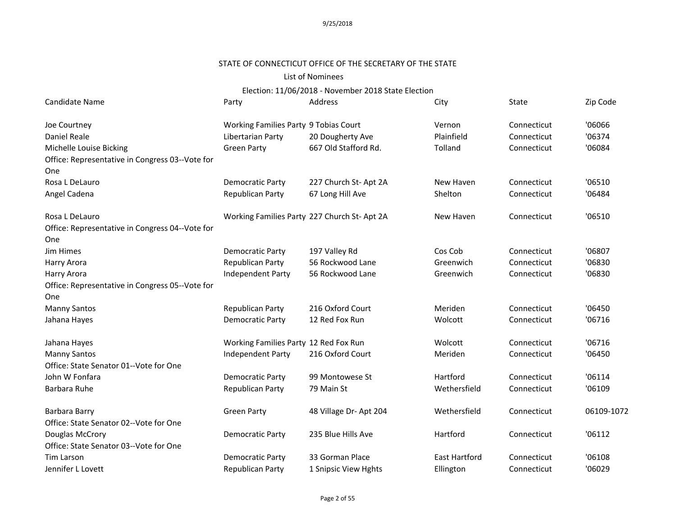# STATE OF CONNECTICUT OFFICE OF THE SECRETARY OF THE STATE

### List of Nominees

| Candidate Name                                  | Party                                        | Address               | City                 | State       | Zip Code   |
|-------------------------------------------------|----------------------------------------------|-----------------------|----------------------|-------------|------------|
| Joe Courtney                                    | Working Families Party 9 Tobias Court        |                       | Vernon               | Connecticut | '06066     |
| Daniel Reale                                    | Libertarian Party                            | 20 Dougherty Ave      | Plainfield           | Connecticut | '06374     |
| Michelle Louise Bicking                         | <b>Green Party</b>                           | 667 Old Stafford Rd.  | Tolland              | Connecticut | '06084     |
| Office: Representative in Congress 03--Vote for |                                              |                       |                      |             |            |
| One                                             |                                              |                       |                      |             |            |
| Rosa L DeLauro                                  | <b>Democratic Party</b>                      | 227 Church St- Apt 2A | New Haven            | Connecticut | '06510     |
| Angel Cadena                                    | Republican Party                             | 67 Long Hill Ave      | Shelton              | Connecticut | '06484     |
| Rosa L DeLauro                                  | Working Families Party 227 Church St- Apt 2A |                       | New Haven            | Connecticut | '06510     |
| Office: Representative in Congress 04--Vote for |                                              |                       |                      |             |            |
| One                                             |                                              |                       |                      |             |            |
| Jim Himes                                       | <b>Democratic Party</b>                      | 197 Valley Rd         | Cos Cob              | Connecticut | '06807     |
| Harry Arora                                     | Republican Party                             | 56 Rockwood Lane      | Greenwich            | Connecticut | '06830     |
| Harry Arora                                     | Independent Party                            | 56 Rockwood Lane      | Greenwich            | Connecticut | '06830     |
| Office: Representative in Congress 05--Vote for |                                              |                       |                      |             |            |
| One                                             |                                              |                       |                      |             |            |
| <b>Manny Santos</b>                             | Republican Party                             | 216 Oxford Court      | Meriden              | Connecticut | '06450     |
| Jahana Hayes                                    | <b>Democratic Party</b>                      | 12 Red Fox Run        | Wolcott              | Connecticut | '06716     |
| Jahana Hayes                                    | Working Families Party 12 Red Fox Run        |                       | Wolcott              | Connecticut | '06716     |
| <b>Manny Santos</b>                             | Independent Party                            | 216 Oxford Court      | Meriden              | Connecticut | '06450     |
| Office: State Senator 01--Vote for One          |                                              |                       |                      |             |            |
| John W Fonfara                                  | <b>Democratic Party</b>                      | 99 Montowese St       | Hartford             | Connecticut | '06114     |
| Barbara Ruhe                                    | Republican Party                             | 79 Main St            | Wethersfield         | Connecticut | '06109     |
| Barbara Barry                                   | <b>Green Party</b>                           | 48 Village Dr-Apt 204 | Wethersfield         | Connecticut | 06109-1072 |
| Office: State Senator 02--Vote for One          |                                              |                       |                      |             |            |
| Douglas McCrory                                 | Democratic Party                             | 235 Blue Hills Ave    | Hartford             | Connecticut | '06112     |
| Office: State Senator 03--Vote for One          |                                              |                       |                      |             |            |
| <b>Tim Larson</b>                               | <b>Democratic Party</b>                      | 33 Gorman Place       | <b>East Hartford</b> | Connecticut | '06108     |
| Jennifer L Lovett                               | Republican Party                             | 1 Snipsic View Hghts  | Ellington            | Connecticut | '06029     |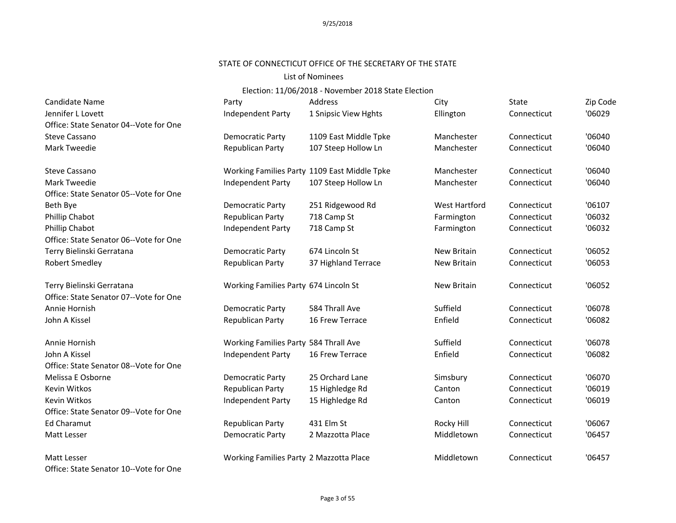#### STATE OF CONNECTICUT OFFICE OF THE SECRETARY OF THE STATE

#### List of Nominees

| Candidate Name                         | Party                                   | <b>Address</b>                               | City                 | <b>State</b> | Zip Code |
|----------------------------------------|-----------------------------------------|----------------------------------------------|----------------------|--------------|----------|
| Jennifer L Lovett                      | <b>Independent Party</b>                | 1 Snipsic View Hghts                         | Ellington            | Connecticut  | '06029   |
| Office: State Senator 04--Vote for One |                                         |                                              |                      |              |          |
| <b>Steve Cassano</b>                   | Democratic Party                        | 1109 East Middle Tpke                        | Manchester           | Connecticut  | '06040   |
| Mark Tweedie                           | Republican Party                        | 107 Steep Hollow Ln                          | Manchester           | Connecticut  | '06040   |
| <b>Steve Cassano</b>                   |                                         | Working Families Party 1109 East Middle Tpke | Manchester           | Connecticut  | '06040   |
| Mark Tweedie                           | Independent Party                       | 107 Steep Hollow Ln                          | Manchester           | Connecticut  | '06040   |
| Office: State Senator 05--Vote for One |                                         |                                              |                      |              |          |
| Beth Bye                               | Democratic Party                        | 251 Ridgewood Rd                             | <b>West Hartford</b> | Connecticut  | '06107   |
| Phillip Chabot                         | Republican Party                        | 718 Camp St                                  | Farmington           | Connecticut  | '06032   |
| Phillip Chabot                         | Independent Party                       | 718 Camp St                                  | Farmington           | Connecticut  | '06032   |
| Office: State Senator 06--Vote for One |                                         |                                              |                      |              |          |
| Terry Bielinski Gerratana              | <b>Democratic Party</b>                 | 674 Lincoln St                               | New Britain          | Connecticut  | '06052   |
| Robert Smedley                         | Republican Party                        | 37 Highland Terrace                          | <b>New Britain</b>   | Connecticut  | '06053   |
| Terry Bielinski Gerratana              | Working Families Party 674 Lincoln St   |                                              | New Britain          | Connecticut  | '06052   |
| Office: State Senator 07--Vote for One |                                         |                                              |                      |              |          |
| Annie Hornish                          | Democratic Party                        | 584 Thrall Ave                               | Suffield             | Connecticut  | '06078   |
| John A Kissel                          | Republican Party                        | 16 Frew Terrace                              | Enfield              | Connecticut  | '06082   |
| Annie Hornish                          | Working Families Party 584 Thrall Ave   |                                              | Suffield             | Connecticut  | '06078   |
| John A Kissel                          | Independent Party                       | 16 Frew Terrace                              | Enfield              | Connecticut  | '06082   |
| Office: State Senator 08--Vote for One |                                         |                                              |                      |              |          |
| Melissa E Osborne                      | Democratic Party                        | 25 Orchard Lane                              | Simsbury             | Connecticut  | '06070   |
| Kevin Witkos                           | Republican Party                        | 15 Highledge Rd                              | Canton               | Connecticut  | '06019   |
| <b>Kevin Witkos</b>                    | Independent Party                       | 15 Highledge Rd                              | Canton               | Connecticut  | '06019   |
| Office: State Senator 09--Vote for One |                                         |                                              |                      |              |          |
| <b>Ed Charamut</b>                     | Republican Party                        | 431 Elm St                                   | Rocky Hill           | Connecticut  | '06067   |
| Matt Lesser                            | Democratic Party                        | 2 Mazzotta Place                             | Middletown           | Connecticut  | '06457   |
| Matt Lesser                            | Working Families Party 2 Mazzotta Place |                                              | Middletown           | Connecticut  | '06457   |
| Office: State Senator 10--Vote for One |                                         |                                              |                      |              |          |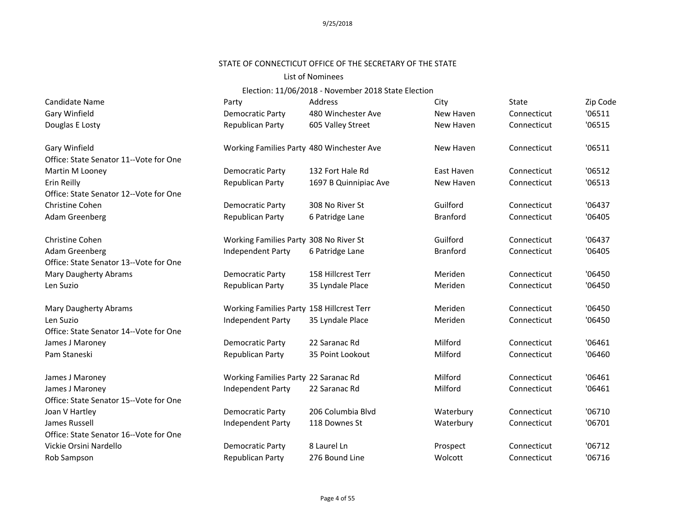# STATE OF CONNECTICUT OFFICE OF THE SECRETARY OF THE STATE

#### List of Nominees

| Candidate Name                         | Party                                     | Address               | City            | State       | Zip Code |
|----------------------------------------|-------------------------------------------|-----------------------|-----------------|-------------|----------|
| <b>Gary Winfield</b>                   | <b>Democratic Party</b>                   | 480 Winchester Ave    | New Haven       | Connecticut | '06511   |
| Douglas E Losty                        | Republican Party                          | 605 Valley Street     | New Haven       | Connecticut | '06515   |
| Gary Winfield                          | Working Families Party 480 Winchester Ave |                       | New Haven       | Connecticut | '06511   |
| Office: State Senator 11--Vote for One |                                           |                       |                 |             |          |
| Martin M Looney                        | Democratic Party                          | 132 Fort Hale Rd      | East Haven      | Connecticut | '06512   |
| Erin Reilly                            | Republican Party                          | 1697 B Quinnipiac Ave | New Haven       | Connecticut | '06513   |
| Office: State Senator 12--Vote for One |                                           |                       |                 |             |          |
| Christine Cohen                        | <b>Democratic Party</b>                   | 308 No River St       | Guilford        | Connecticut | '06437   |
| Adam Greenberg                         | Republican Party                          | 6 Patridge Lane       | <b>Branford</b> | Connecticut | '06405   |
| <b>Christine Cohen</b>                 | Working Families Party 308 No River St    |                       | Guilford        | Connecticut | '06437   |
| Adam Greenberg                         | Independent Party                         | 6 Patridge Lane       | <b>Branford</b> | Connecticut | '06405   |
| Office: State Senator 13--Vote for One |                                           |                       |                 |             |          |
| <b>Mary Daugherty Abrams</b>           | <b>Democratic Party</b>                   | 158 Hillcrest Terr    | Meriden         | Connecticut | '06450   |
| Len Suzio                              | Republican Party                          | 35 Lyndale Place      | Meriden         | Connecticut | '06450   |
| <b>Mary Daugherty Abrams</b>           | Working Families Party 158 Hillcrest Terr |                       | Meriden         | Connecticut | '06450   |
| Len Suzio                              | Independent Party                         | 35 Lyndale Place      | Meriden         | Connecticut | '06450   |
| Office: State Senator 14--Vote for One |                                           |                       |                 |             |          |
| James J Maroney                        | <b>Democratic Party</b>                   | 22 Saranac Rd         | Milford         | Connecticut | '06461   |
| Pam Staneski                           | Republican Party                          | 35 Point Lookout      | Milford         | Connecticut | '06460   |
| James J Maroney                        | Working Families Party 22 Saranac Rd      |                       | Milford         | Connecticut | '06461   |
| James J Maroney                        | Independent Party                         | 22 Saranac Rd         | Milford         | Connecticut | '06461   |
| Office: State Senator 15--Vote for One |                                           |                       |                 |             |          |
| Joan V Hartley                         | Democratic Party                          | 206 Columbia Blvd     | Waterbury       | Connecticut | '06710   |
| James Russell                          | Independent Party                         | 118 Downes St         | Waterbury       | Connecticut | '06701   |
| Office: State Senator 16--Vote for One |                                           |                       |                 |             |          |
| Vickie Orsini Nardello                 | Democratic Party                          | 8 Laurel Ln           | Prospect        | Connecticut | '06712   |
| Rob Sampson                            | Republican Party                          | 276 Bound Line        | Wolcott         | Connecticut | '06716   |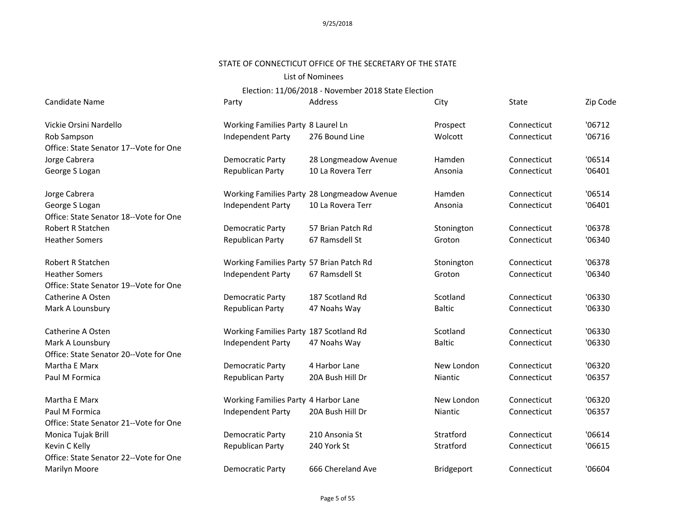#### STATE OF CONNECTICUT OFFICE OF THE SECRETARY OF THE STATE

### List of Nominees

| Candidate Name                         | Party                                    | Address                                     | City           | <b>State</b> | Zip Code |
|----------------------------------------|------------------------------------------|---------------------------------------------|----------------|--------------|----------|
| Vickie Orsini Nardello                 | Working Families Party 8 Laurel Ln       |                                             | Prospect       | Connecticut  | '06712   |
| Rob Sampson                            | Independent Party                        | 276 Bound Line                              | Wolcott        | Connecticut  | '06716   |
| Office: State Senator 17--Vote for One |                                          |                                             |                |              |          |
| Jorge Cabrera                          | Democratic Party                         | 28 Longmeadow Avenue                        | Hamden         | Connecticut  | '06514   |
| George S Logan                         | Republican Party                         | 10 La Rovera Terr                           | Ansonia        | Connecticut  | '06401   |
| Jorge Cabrera                          |                                          | Working Families Party 28 Longmeadow Avenue | Hamden         | Connecticut  | '06514   |
| George S Logan                         | Independent Party                        | 10 La Rovera Terr                           | Ansonia        | Connecticut  | '06401   |
| Office: State Senator 18--Vote for One |                                          |                                             |                |              |          |
| Robert R Statchen                      | Democratic Party                         | 57 Brian Patch Rd                           | Stonington     | Connecticut  | '06378   |
| <b>Heather Somers</b>                  | Republican Party                         | 67 Ramsdell St                              | Groton         | Connecticut  | '06340   |
| <b>Robert R Statchen</b>               | Working Families Party 57 Brian Patch Rd |                                             | Stonington     | Connecticut  | '06378   |
| <b>Heather Somers</b>                  | <b>Independent Party</b>                 | 67 Ramsdell St                              | Groton         | Connecticut  | '06340   |
| Office: State Senator 19--Vote for One |                                          |                                             |                |              |          |
| Catherine A Osten                      | Democratic Party                         | 187 Scotland Rd                             | Scotland       | Connecticut  | '06330   |
| Mark A Lounsbury                       | Republican Party                         | 47 Noahs Way                                | <b>Baltic</b>  | Connecticut  | '06330   |
| Catherine A Osten                      | Working Families Party 187 Scotland Rd   |                                             | Scotland       | Connecticut  | '06330   |
| Mark A Lounsbury                       | Independent Party                        | 47 Noahs Way                                | <b>Baltic</b>  | Connecticut  | '06330   |
| Office: State Senator 20--Vote for One |                                          |                                             |                |              |          |
| Martha E Marx                          | Democratic Party                         | 4 Harbor Lane                               | New London     | Connecticut  | '06320   |
| Paul M Formica                         | Republican Party                         | 20A Bush Hill Dr                            | <b>Niantic</b> | Connecticut  | '06357   |
| Martha E Marx                          | Working Families Party 4 Harbor Lane     |                                             | New London     | Connecticut  | '06320   |
| Paul M Formica                         | Independent Party                        | 20A Bush Hill Dr                            | Niantic        | Connecticut  | '06357   |
| Office: State Senator 21--Vote for One |                                          |                                             |                |              |          |
| Monica Tujak Brill                     | Democratic Party                         | 210 Ansonia St                              | Stratford      | Connecticut  | '06614   |
| Kevin C Kelly                          | Republican Party                         | 240 York St                                 | Stratford      | Connecticut  | '06615   |
| Office: State Senator 22--Vote for One |                                          |                                             |                |              |          |
| Marilyn Moore                          | <b>Democratic Party</b>                  | 666 Chereland Ave                           | Bridgeport     | Connecticut  | '06604   |
|                                        |                                          |                                             |                |              |          |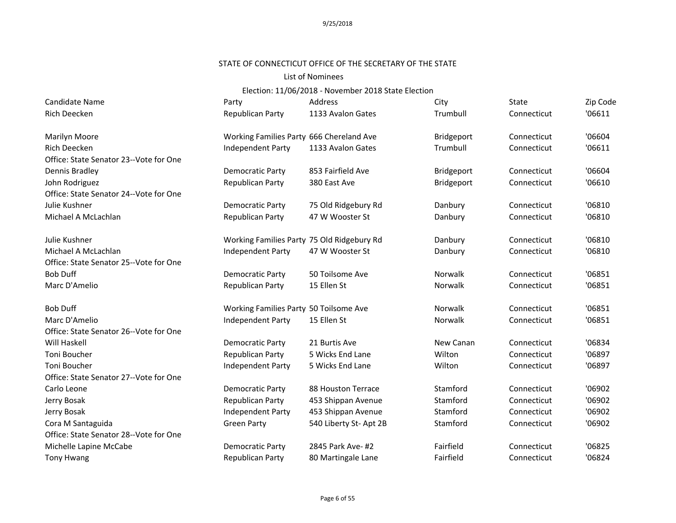# STATE OF CONNECTICUT OFFICE OF THE SECRETARY OF THE STATE

#### List of Nominees

| Candidate Name                         | Party                                      | Address                | City       | State       | Zip Code |
|----------------------------------------|--------------------------------------------|------------------------|------------|-------------|----------|
| <b>Rich Deecken</b>                    | Republican Party                           | 1133 Avalon Gates      | Trumbull   | Connecticut | '06611   |
| Marilyn Moore                          | Working Families Party 666 Chereland Ave   |                        | Bridgeport | Connecticut | '06604   |
| <b>Rich Deecken</b>                    | Independent Party                          | 1133 Avalon Gates      | Trumbull   | Connecticut | '06611   |
| Office: State Senator 23--Vote for One |                                            |                        |            |             |          |
| Dennis Bradley                         | Democratic Party                           | 853 Fairfield Ave      | Bridgeport | Connecticut | '06604   |
| John Rodriguez                         | Republican Party                           | 380 East Ave           | Bridgeport | Connecticut | '06610   |
| Office: State Senator 24--Vote for One |                                            |                        |            |             |          |
| Julie Kushner                          | Democratic Party                           | 75 Old Ridgebury Rd    | Danbury    | Connecticut | '06810   |
| Michael A McLachlan                    | Republican Party                           | 47 W Wooster St        | Danbury    | Connecticut | '06810   |
| Julie Kushner                          | Working Families Party 75 Old Ridgebury Rd |                        | Danbury    | Connecticut | '06810   |
| Michael A McLachlan                    | Independent Party                          | 47 W Wooster St        | Danbury    | Connecticut | '06810   |
| Office: State Senator 25--Vote for One |                                            |                        |            |             |          |
| <b>Bob Duff</b>                        | Democratic Party                           | 50 Toilsome Ave        | Norwalk    | Connecticut | '06851   |
| Marc D'Amelio                          | Republican Party                           | 15 Ellen St            | Norwalk    | Connecticut | '06851   |
| <b>Bob Duff</b>                        | Working Families Party 50 Toilsome Ave     |                        | Norwalk    | Connecticut | '06851   |
| Marc D'Amelio                          | Independent Party                          | 15 Ellen St            | Norwalk    | Connecticut | '06851   |
| Office: State Senator 26--Vote for One |                                            |                        |            |             |          |
| Will Haskell                           | Democratic Party                           | 21 Burtis Ave          | New Canan  | Connecticut | '06834   |
| Toni Boucher                           | Republican Party                           | 5 Wicks End Lane       | Wilton     | Connecticut | '06897   |
| Toni Boucher                           | Independent Party                          | 5 Wicks End Lane       | Wilton     | Connecticut | '06897   |
| Office: State Senator 27--Vote for One |                                            |                        |            |             |          |
| Carlo Leone                            | Democratic Party                           | 88 Houston Terrace     | Stamford   | Connecticut | '06902   |
| Jerry Bosak                            | Republican Party                           | 453 Shippan Avenue     | Stamford   | Connecticut | '06902   |
| Jerry Bosak                            | Independent Party                          | 453 Shippan Avenue     | Stamford   | Connecticut | '06902   |
| Cora M Santaguida                      | <b>Green Party</b>                         | 540 Liberty St- Apt 2B | Stamford   | Connecticut | '06902   |
| Office: State Senator 28--Vote for One |                                            |                        |            |             |          |
| Michelle Lapine McCabe                 | Democratic Party                           | 2845 Park Ave- #2      | Fairfield  | Connecticut | '06825   |
| <b>Tony Hwang</b>                      | Republican Party                           | 80 Martingale Lane     | Fairfield  | Connecticut | '06824   |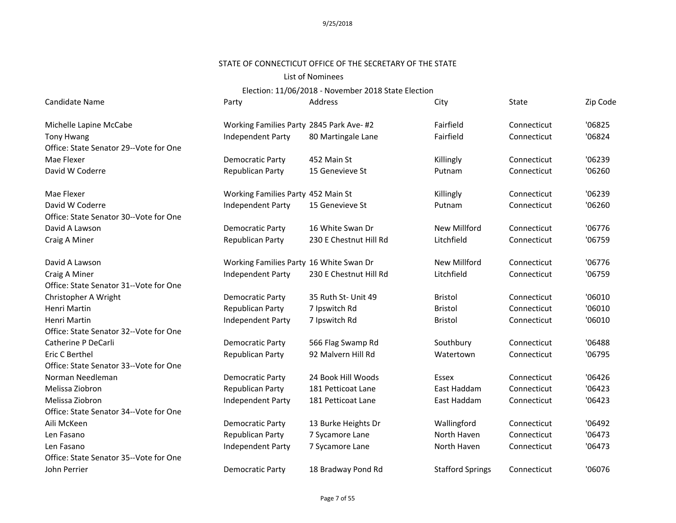#### STATE OF CONNECTICUT OFFICE OF THE SECRETARY OF THE STATE

#### List of Nominees

| Michelle Lapine McCabe                 | Working Families Party 2845 Park Ave-#2<br>Independent Party |                        | Fairfield               |             |        |
|----------------------------------------|--------------------------------------------------------------|------------------------|-------------------------|-------------|--------|
|                                        |                                                              |                        |                         | Connecticut | '06825 |
| <b>Tony Hwang</b>                      |                                                              | 80 Martingale Lane     | Fairfield               | Connecticut | '06824 |
| Office: State Senator 29--Vote for One |                                                              |                        |                         |             |        |
| Mae Flexer                             | <b>Democratic Party</b>                                      | 452 Main St            | Killingly               | Connecticut | '06239 |
| David W Coderre                        | Republican Party                                             | 15 Genevieve St        | Putnam                  | Connecticut | '06260 |
| Mae Flexer                             | Working Families Party 452 Main St                           |                        | Killingly               | Connecticut | '06239 |
| David W Coderre                        | Independent Party                                            | 15 Genevieve St        | Putnam                  | Connecticut | '06260 |
| Office: State Senator 30--Vote for One |                                                              |                        |                         |             |        |
| David A Lawson                         | <b>Democratic Party</b>                                      | 16 White Swan Dr       | <b>New Millford</b>     | Connecticut | '06776 |
| Craig A Miner                          | <b>Republican Party</b>                                      | 230 E Chestnut Hill Rd | Litchfield              | Connecticut | '06759 |
| David A Lawson                         | Working Families Party 16 White Swan Dr                      |                        | New Millford            | Connecticut | '06776 |
| Craig A Miner                          | Independent Party                                            | 230 E Chestnut Hill Rd | Litchfield              | Connecticut | '06759 |
| Office: State Senator 31--Vote for One |                                                              |                        |                         |             |        |
| Christopher A Wright                   | <b>Democratic Party</b>                                      | 35 Ruth St- Unit 49    | <b>Bristol</b>          | Connecticut | '06010 |
| <b>Henri Martin</b>                    | Republican Party                                             | 7 Ipswitch Rd          | <b>Bristol</b>          | Connecticut | '06010 |
| Henri Martin                           | Independent Party                                            | 7 Ipswitch Rd          | <b>Bristol</b>          | Connecticut | '06010 |
| Office: State Senator 32--Vote for One |                                                              |                        |                         |             |        |
| Catherine P DeCarli                    | <b>Democratic Party</b>                                      | 566 Flag Swamp Rd      | Southbury               | Connecticut | '06488 |
| Eric C Berthel                         | Republican Party                                             | 92 Malvern Hill Rd     | Watertown               | Connecticut | '06795 |
| Office: State Senator 33--Vote for One |                                                              |                        |                         |             |        |
| Norman Needleman                       | Democratic Party                                             | 24 Book Hill Woods     | Essex                   | Connecticut | '06426 |
| Melissa Ziobron                        | <b>Republican Party</b>                                      | 181 Petticoat Lane     | East Haddam             | Connecticut | '06423 |
| Melissa Ziobron                        | Independent Party                                            | 181 Petticoat Lane     | East Haddam             | Connecticut | '06423 |
| Office: State Senator 34--Vote for One |                                                              |                        |                         |             |        |
| Aili McKeen                            | <b>Democratic Party</b>                                      | 13 Burke Heights Dr    | Wallingford             | Connecticut | '06492 |
| Len Fasano                             | Republican Party                                             | 7 Sycamore Lane        | North Haven             | Connecticut | '06473 |
| Len Fasano                             | Independent Party                                            | 7 Sycamore Lane        | North Haven             | Connecticut | '06473 |
| Office: State Senator 35--Vote for One |                                                              |                        |                         |             |        |
| John Perrier                           | Democratic Party                                             | 18 Bradway Pond Rd     | <b>Stafford Springs</b> | Connecticut | '06076 |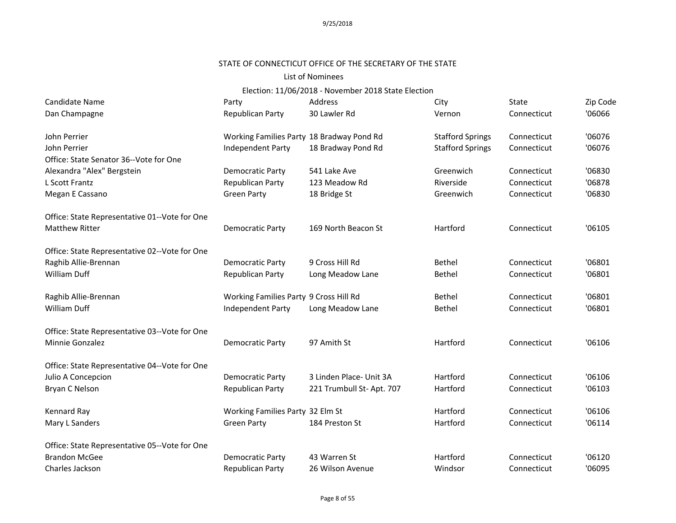# STATE OF CONNECTICUT OFFICE OF THE SECRETARY OF THE STATE

#### List of Nominees

| Candidate Name                                | Party                                     | Address                   | City                    | State       | Zip Code |
|-----------------------------------------------|-------------------------------------------|---------------------------|-------------------------|-------------|----------|
| Dan Champagne                                 | Republican Party                          | 30 Lawler Rd              | Vernon                  | Connecticut | '06066   |
| John Perrier                                  | Working Families Party 18 Bradway Pond Rd |                           | <b>Stafford Springs</b> | Connecticut | '06076   |
| John Perrier                                  | <b>Independent Party</b>                  | 18 Bradway Pond Rd        | <b>Stafford Springs</b> | Connecticut | '06076   |
| Office: State Senator 36--Vote for One        |                                           |                           |                         |             |          |
| Alexandra "Alex" Bergstein                    | <b>Democratic Party</b>                   | 541 Lake Ave              | Greenwich               | Connecticut | '06830   |
| L Scott Frantz                                | Republican Party                          | 123 Meadow Rd             | Riverside               | Connecticut | '06878   |
| Megan E Cassano                               | <b>Green Party</b>                        | 18 Bridge St              | Greenwich               | Connecticut | '06830   |
| Office: State Representative 01--Vote for One |                                           |                           |                         |             |          |
| <b>Matthew Ritter</b>                         | Democratic Party                          | 169 North Beacon St       | Hartford                | Connecticut | '06105   |
| Office: State Representative 02--Vote for One |                                           |                           |                         |             |          |
| Raghib Allie-Brennan                          | Democratic Party                          | 9 Cross Hill Rd           | <b>Bethel</b>           | Connecticut | '06801   |
| William Duff                                  | Republican Party                          | Long Meadow Lane          | <b>Bethel</b>           | Connecticut | '06801   |
| Raghib Allie-Brennan                          | Working Families Party 9 Cross Hill Rd    |                           | Bethel                  | Connecticut | '06801   |
| <b>William Duff</b>                           | Independent Party                         | Long Meadow Lane          | Bethel                  | Connecticut | '06801   |
| Office: State Representative 03--Vote for One |                                           |                           |                         |             |          |
| Minnie Gonzalez                               | <b>Democratic Party</b>                   | 97 Amith St               | Hartford                | Connecticut | '06106   |
| Office: State Representative 04--Vote for One |                                           |                           |                         |             |          |
| Julio A Concepcion                            | <b>Democratic Party</b>                   | 3 Linden Place- Unit 3A   | Hartford                | Connecticut | '06106   |
| Bryan C Nelson                                | Republican Party                          | 221 Trumbull St- Apt. 707 | Hartford                | Connecticut | '06103   |
| Kennard Ray                                   | Working Families Party 32 Elm St          |                           | Hartford                | Connecticut | '06106   |
| Mary L Sanders                                | <b>Green Party</b>                        | 184 Preston St            | Hartford                | Connecticut | '06114   |
| Office: State Representative 05--Vote for One |                                           |                           |                         |             |          |
| <b>Brandon McGee</b>                          | <b>Democratic Party</b>                   | 43 Warren St              | Hartford                | Connecticut | '06120   |
| Charles Jackson                               | Republican Party                          | 26 Wilson Avenue          | Windsor                 | Connecticut | '06095   |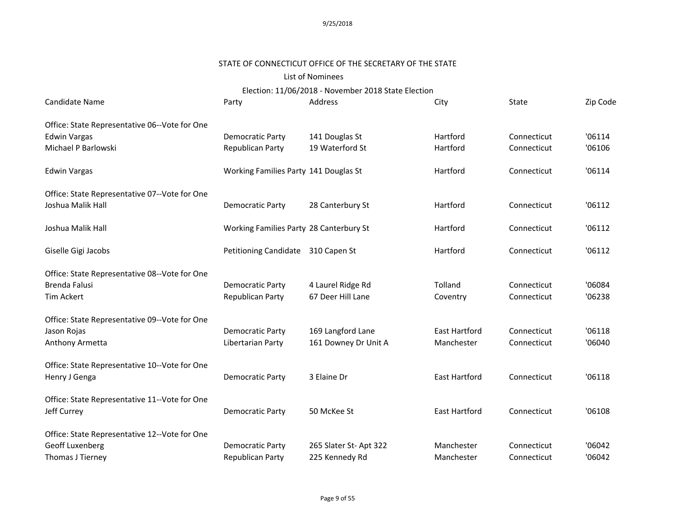### STATE OF CONNECTICUT OFFICE OF THE SECRETARY OF THE STATE

### List of Nominees

| Candidate Name                                | Party                                   | Address               | City                 | <b>State</b> | Zip Code |
|-----------------------------------------------|-----------------------------------------|-----------------------|----------------------|--------------|----------|
| Office: State Representative 06--Vote for One |                                         |                       |                      |              |          |
| <b>Edwin Vargas</b>                           | Democratic Party                        | 141 Douglas St        | Hartford             | Connecticut  | '06114   |
| Michael P Barlowski                           | Republican Party                        | 19 Waterford St       | Hartford             | Connecticut  | '06106   |
| <b>Edwin Vargas</b>                           | Working Families Party 141 Douglas St   |                       | Hartford             | Connecticut  | '06114   |
| Office: State Representative 07--Vote for One |                                         |                       |                      |              |          |
| Joshua Malik Hall                             | Democratic Party                        | 28 Canterbury St      | Hartford             | Connecticut  | '06112   |
| Joshua Malik Hall                             | Working Families Party 28 Canterbury St |                       | Hartford             | Connecticut  | '06112   |
| Giselle Gigi Jacobs                           | Petitioning Candidate 310 Capen St      |                       | Hartford             | Connecticut  | '06112   |
| Office: State Representative 08--Vote for One |                                         |                       |                      |              |          |
| <b>Brenda Falusi</b>                          | Democratic Party                        | 4 Laurel Ridge Rd     | Tolland              | Connecticut  | '06084   |
| <b>Tim Ackert</b>                             | <b>Republican Party</b>                 | 67 Deer Hill Lane     | Coventry             | Connecticut  | '06238   |
| Office: State Representative 09--Vote for One |                                         |                       |                      |              |          |
| Jason Rojas                                   | Democratic Party                        | 169 Langford Lane     | <b>East Hartford</b> | Connecticut  | '06118   |
| Anthony Armetta                               | Libertarian Party                       | 161 Downey Dr Unit A  | Manchester           | Connecticut  | '06040   |
| Office: State Representative 10--Vote for One |                                         |                       |                      |              |          |
| Henry J Genga                                 | <b>Democratic Party</b>                 | 3 Elaine Dr           | <b>East Hartford</b> | Connecticut  | '06118   |
| Office: State Representative 11--Vote for One |                                         |                       |                      |              |          |
| Jeff Currey                                   | Democratic Party                        | 50 McKee St           | <b>East Hartford</b> | Connecticut  | '06108   |
| Office: State Representative 12--Vote for One |                                         |                       |                      |              |          |
| Geoff Luxenberg                               | Democratic Party                        | 265 Slater St-Apt 322 | Manchester           | Connecticut  | '06042   |
| Thomas J Tierney                              | Republican Party                        | 225 Kennedy Rd        | Manchester           | Connecticut  | '06042   |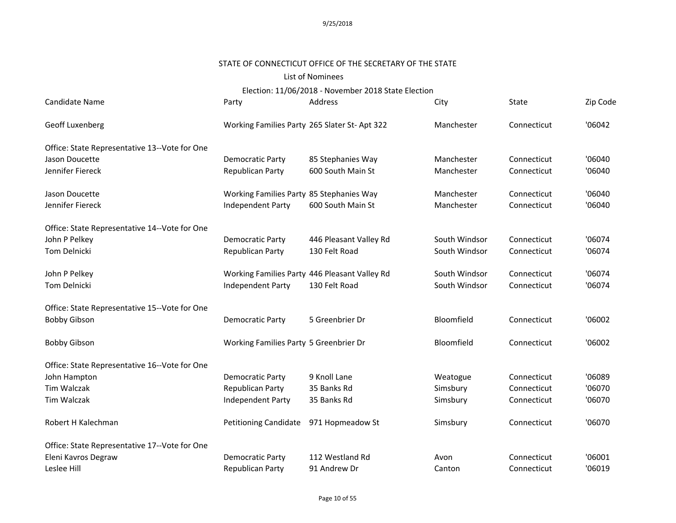# STATE OF CONNECTICUT OFFICE OF THE SECRETARY OF THE STATE

### List of Nominees

Election: 11/06/2018 - November 2018 State Election

| <b>Candidate Name</b>                         | Party                                        | Address                                       | City          | State       | Zip Code |
|-----------------------------------------------|----------------------------------------------|-----------------------------------------------|---------------|-------------|----------|
| Geoff Luxenberg                               | Working Families Party 265 Slater St-Apt 322 |                                               | Manchester    | Connecticut | '06042   |
| Office: State Representative 13--Vote for One |                                              |                                               |               |             |          |
| Jason Doucette                                | <b>Democratic Party</b>                      | 85 Stephanies Way                             | Manchester    | Connecticut | '06040   |
| Jennifer Fiereck                              | Republican Party                             | 600 South Main St                             | Manchester    | Connecticut | '06040   |
| Jason Doucette                                | Working Families Party 85 Stephanies Way     |                                               | Manchester    | Connecticut | '06040   |
| Jennifer Fiereck                              | Independent Party                            | 600 South Main St                             | Manchester    | Connecticut | '06040   |
| Office: State Representative 14--Vote for One |                                              |                                               |               |             |          |
| John P Pelkey                                 | <b>Democratic Party</b>                      | 446 Pleasant Valley Rd                        | South Windsor | Connecticut | '06074   |
| <b>Tom Delnicki</b>                           | Republican Party                             | 130 Felt Road                                 | South Windsor | Connecticut | '06074   |
| John P Pelkey                                 |                                              | Working Families Party 446 Pleasant Valley Rd | South Windsor | Connecticut | '06074   |
| Tom Delnicki                                  | Independent Party                            | 130 Felt Road                                 | South Windsor | Connecticut | '06074   |
| Office: State Representative 15--Vote for One |                                              |                                               |               |             |          |
| <b>Bobby Gibson</b>                           | Democratic Party                             | 5 Greenbrier Dr                               | Bloomfield    | Connecticut | '06002   |
| <b>Bobby Gibson</b>                           | Working Families Party 5 Greenbrier Dr       |                                               | Bloomfield    | Connecticut | '06002   |
| Office: State Representative 16--Vote for One |                                              |                                               |               |             |          |
| John Hampton                                  | <b>Democratic Party</b>                      | 9 Knoll Lane                                  | Weatogue      | Connecticut | '06089   |
| Tim Walczak                                   | Republican Party                             | 35 Banks Rd                                   | Simsbury      | Connecticut | '06070   |
| Tim Walczak                                   | Independent Party                            | 35 Banks Rd                                   | Simsbury      | Connecticut | '06070   |
| Robert H Kalechman                            | <b>Petitioning Candidate</b>                 | 971 Hopmeadow St                              | Simsbury      | Connecticut | '06070   |
| Office: State Representative 17--Vote for One |                                              |                                               |               |             |          |
| Eleni Kavros Degraw                           | <b>Democratic Party</b>                      | 112 Westland Rd                               | Avon          | Connecticut | '06001   |
| Leslee Hill                                   | Republican Party                             | 91 Andrew Dr                                  | Canton        | Connecticut | '06019   |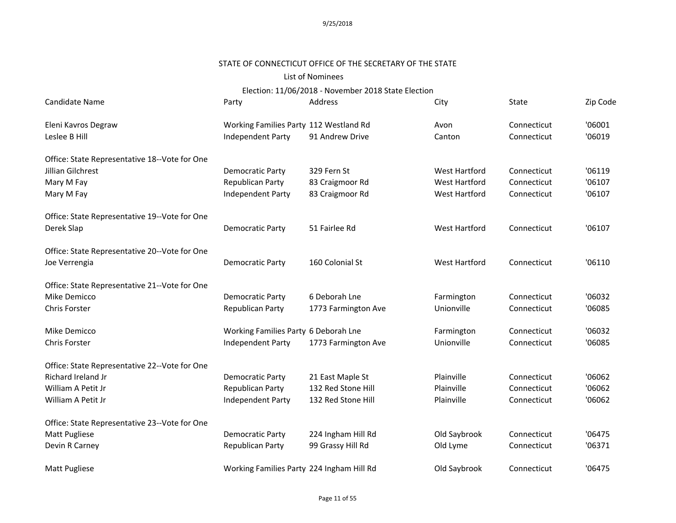#### STATE OF CONNECTICUT OFFICE OF THE SECRETARY OF THE STATE

### List of Nominees

| Candidate Name                                | Party                                     | Address             | City                 | <b>State</b> | Zip Code |
|-----------------------------------------------|-------------------------------------------|---------------------|----------------------|--------------|----------|
| Eleni Kavros Degraw                           | Working Families Party 112 Westland Rd    |                     | Avon                 | Connecticut  | '06001   |
| Leslee B Hill                                 | Independent Party                         | 91 Andrew Drive     | Canton               | Connecticut  | '06019   |
| Office: State Representative 18--Vote for One |                                           |                     |                      |              |          |
| Jillian Gilchrest                             | Democratic Party                          | 329 Fern St         | <b>West Hartford</b> | Connecticut  | '06119   |
| Mary M Fay                                    | Republican Party                          | 83 Craigmoor Rd     | West Hartford        | Connecticut  | '06107   |
| Mary M Fay                                    | Independent Party                         | 83 Craigmoor Rd     | West Hartford        | Connecticut  | '06107   |
| Office: State Representative 19--Vote for One |                                           |                     |                      |              |          |
| Derek Slap                                    | <b>Democratic Party</b>                   | 51 Fairlee Rd       | West Hartford        | Connecticut  | '06107   |
| Office: State Representative 20--Vote for One |                                           |                     |                      |              |          |
| Joe Verrengia                                 | Democratic Party                          | 160 Colonial St     | West Hartford        | Connecticut  | '06110   |
| Office: State Representative 21--Vote for One |                                           |                     |                      |              |          |
| Mike Demicco                                  | <b>Democratic Party</b>                   | 6 Deborah Lne       | Farmington           | Connecticut  | '06032   |
| Chris Forster                                 | Republican Party                          | 1773 Farmington Ave | Unionville           | Connecticut  | '06085   |
| Mike Demicco                                  | Working Families Party 6 Deborah Lne      |                     | Farmington           | Connecticut  | '06032   |
| Chris Forster                                 | Independent Party                         | 1773 Farmington Ave | Unionville           | Connecticut  | '06085   |
| Office: State Representative 22--Vote for One |                                           |                     |                      |              |          |
| Richard Ireland Jr                            | Democratic Party                          | 21 East Maple St    | Plainville           | Connecticut  | '06062   |
| William A Petit Jr                            | Republican Party                          | 132 Red Stone Hill  | Plainville           | Connecticut  | '06062   |
| William A Petit Jr                            | Independent Party                         | 132 Red Stone Hill  | Plainville           | Connecticut  | '06062   |
| Office: State Representative 23--Vote for One |                                           |                     |                      |              |          |
| Matt Pugliese                                 | Democratic Party                          | 224 Ingham Hill Rd  | Old Saybrook         | Connecticut  | '06475   |
| Devin R Carney                                | Republican Party                          | 99 Grassy Hill Rd   | Old Lyme             | Connecticut  | '06371   |
| Matt Pugliese                                 | Working Families Party 224 Ingham Hill Rd |                     | Old Saybrook         | Connecticut  | '06475   |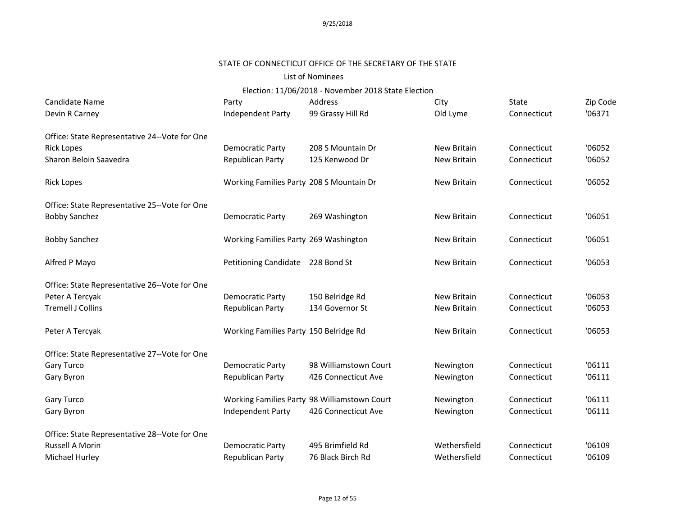# STATE OF CONNECTICUT OFFICE OF THE SECRETARY OF THE STATE

### List of Nominees

| Candidate Name                                | Party                                    | Address                                      | City               | State       | Zip Code |
|-----------------------------------------------|------------------------------------------|----------------------------------------------|--------------------|-------------|----------|
| Devin R Carney                                | Independent Party                        | 99 Grassy Hill Rd                            | Old Lyme           | Connecticut | '06371   |
| Office: State Representative 24--Vote for One |                                          |                                              |                    |             |          |
| <b>Rick Lopes</b>                             | Democratic Party                         | 208 S Mountain Dr                            | <b>New Britain</b> | Connecticut | '06052   |
| Sharon Beloin Saavedra                        | Republican Party                         | 125 Kenwood Dr                               | <b>New Britain</b> | Connecticut | '06052   |
| <b>Rick Lopes</b>                             | Working Families Party 208 S Mountain Dr |                                              | <b>New Britain</b> | Connecticut | '06052   |
| Office: State Representative 25--Vote for One |                                          |                                              |                    |             |          |
| <b>Bobby Sanchez</b>                          | Democratic Party                         | 269 Washington                               | New Britain        | Connecticut | '06051   |
| <b>Bobby Sanchez</b>                          | Working Families Party 269 Washington    |                                              | New Britain        | Connecticut | '06051   |
| Alfred P Mayo                                 | Petitioning Candidate 228 Bond St        |                                              | <b>New Britain</b> | Connecticut | '06053   |
| Office: State Representative 26--Vote for One |                                          |                                              |                    |             |          |
| Peter A Tercyak                               | Democratic Party                         | 150 Belridge Rd                              | <b>New Britain</b> | Connecticut | '06053   |
| <b>Tremell J Collins</b>                      | Republican Party                         | 134 Governor St                              | <b>New Britain</b> | Connecticut | '06053   |
| Peter A Tercyak                               | Working Families Party 150 Belridge Rd   |                                              | <b>New Britain</b> | Connecticut | '06053   |
| Office: State Representative 27--Vote for One |                                          |                                              |                    |             |          |
| Gary Turco                                    | Democratic Party                         | 98 Williamstown Court                        | Newington          | Connecticut | '06111   |
| Gary Byron                                    | Republican Party                         | 426 Connecticut Ave                          | Newington          | Connecticut | '06111   |
| Gary Turco                                    |                                          | Working Families Party 98 Williamstown Court | Newington          | Connecticut | '06111   |
| Gary Byron                                    | Independent Party                        | 426 Connecticut Ave                          | Newington          | Connecticut | '06111   |
| Office: State Representative 28--Vote for One |                                          |                                              |                    |             |          |
| Russell A Morin                               | Democratic Party                         | 495 Brimfield Rd                             | Wethersfield       | Connecticut | '06109   |
| Michael Hurley                                | Republican Party                         | 76 Black Birch Rd                            | Wethersfield       | Connecticut | '06109   |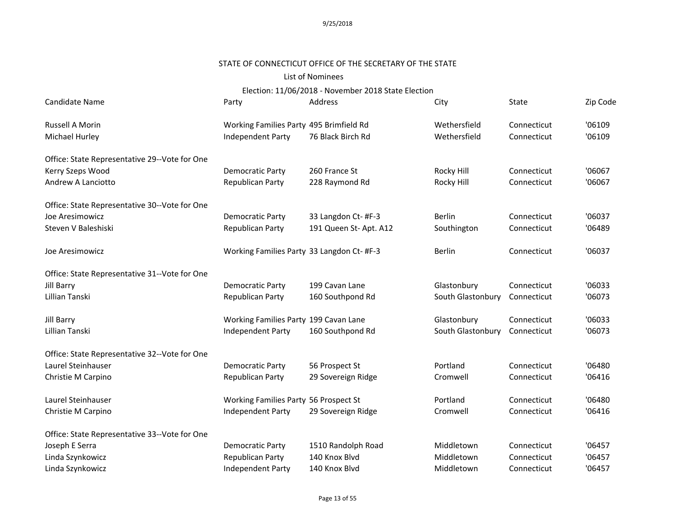### STATE OF CONNECTICUT OFFICE OF THE SECRETARY OF THE STATE

### List of Nominees

| Candidate Name                                | Party                                      | Address               | City              | State       | Zip Code |
|-----------------------------------------------|--------------------------------------------|-----------------------|-------------------|-------------|----------|
| Russell A Morin                               | Working Families Party 495 Brimfield Rd    |                       | Wethersfield      | Connecticut | '06109   |
| Michael Hurley                                | Independent Party                          | 76 Black Birch Rd     | Wethersfield      | Connecticut | '06109   |
| Office: State Representative 29--Vote for One |                                            |                       |                   |             |          |
| Kerry Szeps Wood                              | Democratic Party                           | 260 France St         | Rocky Hill        | Connecticut | '06067   |
| Andrew A Lanciotto                            | Republican Party                           | 228 Raymond Rd        | Rocky Hill        | Connecticut | '06067   |
| Office: State Representative 30--Vote for One |                                            |                       |                   |             |          |
| Joe Aresimowicz                               | Democratic Party                           | 33 Langdon Ct- #F-3   | <b>Berlin</b>     | Connecticut | '06037   |
| Steven V Baleshiski                           | Republican Party                           | 191 Queen St-Apt. A12 | Southington       | Connecticut | '06489   |
| Joe Aresimowicz                               | Working Families Party 33 Langdon Ct- #F-3 |                       | <b>Berlin</b>     | Connecticut | '06037   |
| Office: State Representative 31--Vote for One |                                            |                       |                   |             |          |
| Jill Barry                                    | Democratic Party                           | 199 Cavan Lane        | Glastonbury       | Connecticut | '06033   |
| Lillian Tanski                                | Republican Party                           | 160 Southpond Rd      | South Glastonbury | Connecticut | '06073   |
| Jill Barry                                    | Working Families Party 199 Cavan Lane      |                       | Glastonbury       | Connecticut | '06033   |
| Lillian Tanski                                | Independent Party                          | 160 Southpond Rd      | South Glastonbury | Connecticut | '06073   |
| Office: State Representative 32--Vote for One |                                            |                       |                   |             |          |
| Laurel Steinhauser                            | Democratic Party                           | 56 Prospect St        | Portland          | Connecticut | '06480   |
| Christie M Carpino                            | Republican Party                           | 29 Sovereign Ridge    | Cromwell          | Connecticut | '06416   |
| Laurel Steinhauser                            | Working Families Party 56 Prospect St      |                       | Portland          | Connecticut | '06480   |
| Christie M Carpino                            | Independent Party                          | 29 Sovereign Ridge    | Cromwell          | Connecticut | '06416   |
| Office: State Representative 33--Vote for One |                                            |                       |                   |             |          |
| Joseph E Serra                                | Democratic Party                           | 1510 Randolph Road    | Middletown        | Connecticut | '06457   |
| Linda Szynkowicz                              | Republican Party                           | 140 Knox Blvd         | Middletown        | Connecticut | '06457   |
| Linda Szynkowicz                              | Independent Party                          | 140 Knox Blvd         | Middletown        | Connecticut | '06457   |
|                                               |                                            |                       |                   |             |          |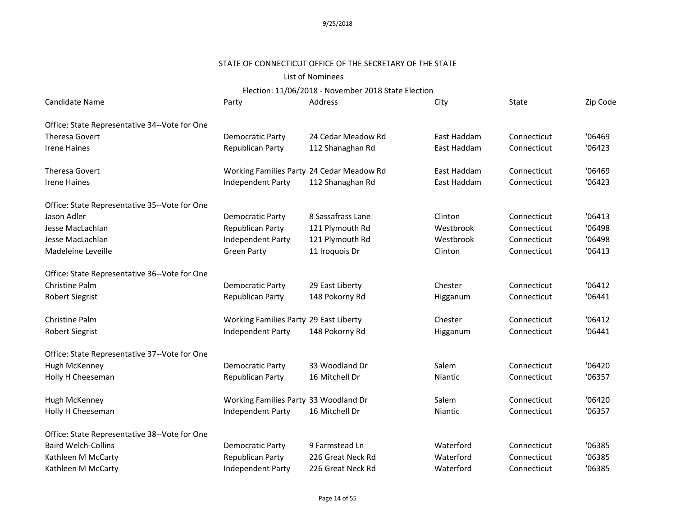# STATE OF CONNECTICUT OFFICE OF THE SECRETARY OF THE STATE

# List of Nominees

| Candidate Name                                | Party                                     | Address            | City        | State       | Zip Code |
|-----------------------------------------------|-------------------------------------------|--------------------|-------------|-------------|----------|
| Office: State Representative 34--Vote for One |                                           |                    |             |             |          |
| Theresa Govert                                | Democratic Party                          | 24 Cedar Meadow Rd | East Haddam | Connecticut | '06469   |
| <b>Irene Haines</b>                           | Republican Party                          | 112 Shanaghan Rd   | East Haddam | Connecticut | '06423   |
| <b>Theresa Govert</b>                         | Working Families Party 24 Cedar Meadow Rd |                    | East Haddam | Connecticut | '06469   |
| <b>Irene Haines</b>                           | Independent Party                         | 112 Shanaghan Rd   | East Haddam | Connecticut | '06423   |
| Office: State Representative 35--Vote for One |                                           |                    |             |             |          |
| Jason Adler                                   | Democratic Party                          | 8 Sassafrass Lane  | Clinton     | Connecticut | '06413   |
| Jesse MacLachlan                              | Republican Party                          | 121 Plymouth Rd    | Westbrook   | Connecticut | '06498   |
| Jesse MacLachlan                              | Independent Party                         | 121 Plymouth Rd    | Westbrook   | Connecticut | '06498   |
| Madeleine Leveille                            | <b>Green Party</b>                        | 11 Iroquois Dr     | Clinton     | Connecticut | '06413   |
| Office: State Representative 36--Vote for One |                                           |                    |             |             |          |
| Christine Palm                                | Democratic Party                          | 29 East Liberty    | Chester     | Connecticut | '06412   |
| <b>Robert Siegrist</b>                        | Republican Party                          | 148 Pokorny Rd     | Higganum    | Connecticut | '06441   |
| Christine Palm                                | Working Families Party 29 East Liberty    |                    | Chester     | Connecticut | '06412   |
| <b>Robert Siegrist</b>                        | Independent Party                         | 148 Pokorny Rd     | Higganum    | Connecticut | '06441   |
| Office: State Representative 37--Vote for One |                                           |                    |             |             |          |
| Hugh McKenney                                 | <b>Democratic Party</b>                   | 33 Woodland Dr     | Salem       | Connecticut | '06420   |
| Holly H Cheeseman                             | Republican Party                          | 16 Mitchell Dr     | Niantic     | Connecticut | '06357   |
| Hugh McKenney                                 | Working Families Party 33 Woodland Dr     |                    | Salem       | Connecticut | '06420   |
| Holly H Cheeseman                             | Independent Party                         | 16 Mitchell Dr     | Niantic     | Connecticut | '06357   |
| Office: State Representative 38--Vote for One |                                           |                    |             |             |          |
| <b>Baird Welch-Collins</b>                    | Democratic Party                          | 9 Farmstead Ln     | Waterford   | Connecticut | '06385   |
| Kathleen M McCarty                            | Republican Party                          | 226 Great Neck Rd  | Waterford   | Connecticut | '06385   |
| Kathleen M McCarty                            | Independent Party                         | 226 Great Neck Rd  | Waterford   | Connecticut | '06385   |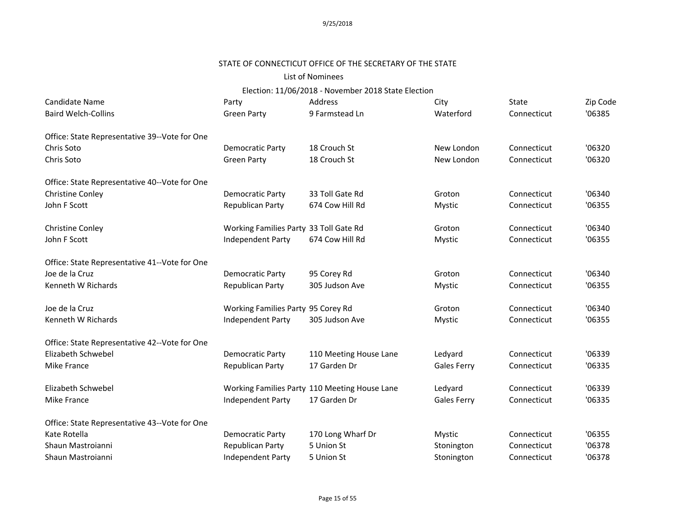# STATE OF CONNECTICUT OFFICE OF THE SECRETARY OF THE STATE

### List of Nominees

| Candidate Name                                | Party                                  | Address                                       | City               | State       | Zip Code |
|-----------------------------------------------|----------------------------------------|-----------------------------------------------|--------------------|-------------|----------|
| <b>Baird Welch-Collins</b>                    | <b>Green Party</b>                     | 9 Farmstead Ln                                | Waterford          | Connecticut | '06385   |
| Office: State Representative 39--Vote for One |                                        |                                               |                    |             |          |
| Chris Soto                                    | <b>Democratic Party</b>                | 18 Crouch St                                  | New London         | Connecticut | '06320   |
| Chris Soto                                    | <b>Green Party</b>                     | 18 Crouch St                                  | New London         | Connecticut | '06320   |
| Office: State Representative 40--Vote for One |                                        |                                               |                    |             |          |
| Christine Conley                              | <b>Democratic Party</b>                | 33 Toll Gate Rd                               | Groton             | Connecticut | '06340   |
| John F Scott                                  | Republican Party                       | 674 Cow Hill Rd                               | Mystic             | Connecticut | '06355   |
| <b>Christine Conley</b>                       | Working Families Party 33 Toll Gate Rd |                                               | Groton             | Connecticut | '06340   |
| John F Scott                                  | Independent Party                      | 674 Cow Hill Rd                               | Mystic             | Connecticut | '06355   |
| Office: State Representative 41--Vote for One |                                        |                                               |                    |             |          |
| Joe de la Cruz                                | <b>Democratic Party</b>                | 95 Corey Rd                                   | Groton             | Connecticut | '06340   |
| Kenneth W Richards                            | Republican Party                       | 305 Judson Ave                                | Mystic             | Connecticut | '06355   |
| Joe de la Cruz                                | Working Families Party 95 Corey Rd     |                                               | Groton             | Connecticut | '06340   |
| Kenneth W Richards                            | Independent Party                      | 305 Judson Ave                                | <b>Mystic</b>      | Connecticut | '06355   |
| Office: State Representative 42--Vote for One |                                        |                                               |                    |             |          |
| Elizabeth Schwebel                            | <b>Democratic Party</b>                | 110 Meeting House Lane                        | Ledyard            | Connecticut | '06339   |
| Mike France                                   | Republican Party                       | 17 Garden Dr                                  | <b>Gales Ferry</b> | Connecticut | '06335   |
| Elizabeth Schwebel                            |                                        | Working Families Party 110 Meeting House Lane | Ledyard            | Connecticut | '06339   |
| Mike France                                   | Independent Party                      | 17 Garden Dr                                  | <b>Gales Ferry</b> | Connecticut | '06335   |
| Office: State Representative 43--Vote for One |                                        |                                               |                    |             |          |
| Kate Rotella                                  | <b>Democratic Party</b>                | 170 Long Wharf Dr                             | <b>Mystic</b>      | Connecticut | '06355   |
| Shaun Mastroianni                             | Republican Party                       | 5 Union St                                    | Stonington         | Connecticut | '06378   |
| Shaun Mastroianni                             | <b>Independent Party</b>               | 5 Union St                                    | Stonington         | Connecticut | '06378   |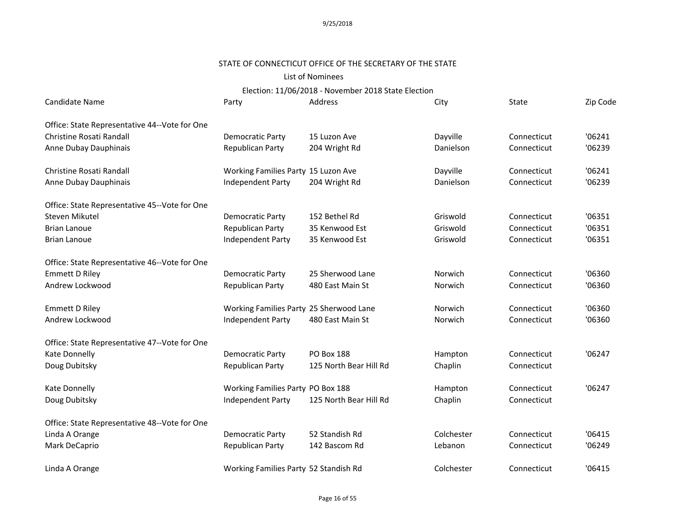### STATE OF CONNECTICUT OFFICE OF THE SECRETARY OF THE STATE

### List of Nominees

| Candidate Name                                | Party                                   | Address                | City       | <b>State</b> | Zip Code |
|-----------------------------------------------|-----------------------------------------|------------------------|------------|--------------|----------|
| Office: State Representative 44--Vote for One |                                         |                        |            |              |          |
| Christine Rosati Randall                      | Democratic Party                        | 15 Luzon Ave           | Dayville   | Connecticut  | '06241   |
| Anne Dubay Dauphinais                         | Republican Party                        | 204 Wright Rd          | Danielson  | Connecticut  | '06239   |
| Christine Rosati Randall                      | Working Families Party 15 Luzon Ave     |                        | Dayville   | Connecticut  | '06241   |
| Anne Dubay Dauphinais                         | Independent Party                       | 204 Wright Rd          | Danielson  | Connecticut  | '06239   |
| Office: State Representative 45--Vote for One |                                         |                        |            |              |          |
| Steven Mikutel                                | <b>Democratic Party</b>                 | 152 Bethel Rd          | Griswold   | Connecticut  | '06351   |
| <b>Brian Lanoue</b>                           | Republican Party                        | 35 Kenwood Est         | Griswold   | Connecticut  | '06351   |
| <b>Brian Lanoue</b>                           | Independent Party                       | 35 Kenwood Est         | Griswold   | Connecticut  | '06351   |
| Office: State Representative 46--Vote for One |                                         |                        |            |              |          |
| <b>Emmett D Riley</b>                         | <b>Democratic Party</b>                 | 25 Sherwood Lane       | Norwich    | Connecticut  | '06360   |
| Andrew Lockwood                               | Republican Party                        | 480 East Main St       | Norwich    | Connecticut  | '06360   |
| <b>Emmett D Riley</b>                         | Working Families Party 25 Sherwood Lane |                        | Norwich    | Connecticut  | '06360   |
| Andrew Lockwood                               | Independent Party                       | 480 East Main St       | Norwich    | Connecticut  | '06360   |
| Office: State Representative 47--Vote for One |                                         |                        |            |              |          |
| Kate Donnelly                                 | Democratic Party                        | <b>PO Box 188</b>      | Hampton    | Connecticut  | '06247   |
| Doug Dubitsky                                 | Republican Party                        | 125 North Bear Hill Rd | Chaplin    | Connecticut  |          |
| Kate Donnelly                                 | Working Families Party PO Box 188       |                        | Hampton    | Connecticut  | '06247   |
| Doug Dubitsky                                 | Independent Party                       | 125 North Bear Hill Rd | Chaplin    | Connecticut  |          |
| Office: State Representative 48--Vote for One |                                         |                        |            |              |          |
| Linda A Orange                                | Democratic Party                        | 52 Standish Rd         | Colchester | Connecticut  | '06415   |
| Mark DeCaprio                                 | Republican Party                        | 142 Bascom Rd          | Lebanon    | Connecticut  | '06249   |
| Linda A Orange                                | Working Families Party 52 Standish Rd   |                        | Colchester | Connecticut  | '06415   |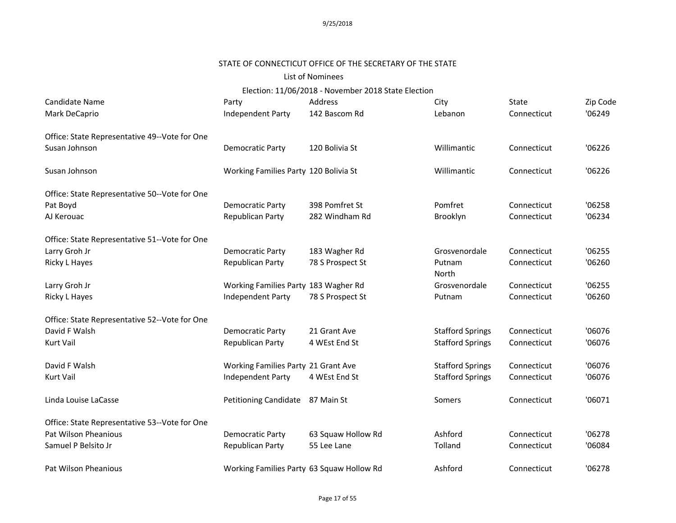#### STATE OF CONNECTICUT OFFICE OF THE SECRETARY OF THE STATE

#### List of Nominees

Election: 11/06/2018 - November 2018 State Election

| Candidate Name                                | Party                                     | Address            | City                    | State       | Zip Code |
|-----------------------------------------------|-------------------------------------------|--------------------|-------------------------|-------------|----------|
| Mark DeCaprio                                 | Independent Party                         | 142 Bascom Rd      | Lebanon                 | Connecticut | '06249   |
| Office: State Representative 49--Vote for One |                                           |                    |                         |             |          |
| Susan Johnson                                 | Democratic Party                          | 120 Bolivia St     | Willimantic             | Connecticut | '06226   |
| Susan Johnson                                 | Working Families Party 120 Bolivia St     |                    | Willimantic             | Connecticut | '06226   |
| Office: State Representative 50--Vote for One |                                           |                    |                         |             |          |
| Pat Boyd                                      | Democratic Party                          | 398 Pomfret St     | Pomfret                 | Connecticut | '06258   |
| AJ Kerouac                                    | Republican Party                          | 282 Windham Rd     | Brooklyn                | Connecticut | '06234   |
| Office: State Representative 51--Vote for One |                                           |                    |                         |             |          |
| Larry Groh Jr                                 | Democratic Party                          | 183 Wagher Rd      | Grosvenordale           | Connecticut | '06255   |
| Ricky L Hayes                                 | Republican Party                          | 78 S Prospect St   | Putnam<br>North         | Connecticut | '06260   |
| Larry Groh Jr                                 | Working Families Party 183 Wagher Rd      |                    | Grosvenordale           | Connecticut | '06255   |
| Ricky L Hayes                                 | Independent Party                         | 78 S Prospect St   | Putnam                  | Connecticut | '06260   |
| Office: State Representative 52--Vote for One |                                           |                    |                         |             |          |
| David F Walsh                                 | Democratic Party                          | 21 Grant Ave       | <b>Stafford Springs</b> | Connecticut | '06076   |
| Kurt Vail                                     | Republican Party                          | 4 WEst End St      | <b>Stafford Springs</b> | Connecticut | '06076   |
| David F Walsh                                 | Working Families Party 21 Grant Ave       |                    | <b>Stafford Springs</b> | Connecticut | '06076   |
| Kurt Vail                                     | Independent Party                         | 4 WEst End St      | <b>Stafford Springs</b> | Connecticut | '06076   |
| Linda Louise LaCasse                          | Petitioning Candidate                     | 87 Main St         | Somers                  | Connecticut | '06071   |
| Office: State Representative 53--Vote for One |                                           |                    |                         |             |          |
| Pat Wilson Pheanious                          | Democratic Party                          | 63 Squaw Hollow Rd | Ashford                 | Connecticut | '06278   |
| Samuel P Belsito Jr                           | Republican Party                          | 55 Lee Lane        | Tolland                 | Connecticut | '06084   |
|                                               |                                           |                    |                         |             |          |
| Pat Wilson Pheanious                          | Working Families Party 63 Squaw Hollow Rd |                    | Ashford                 | Connecticut | '06278   |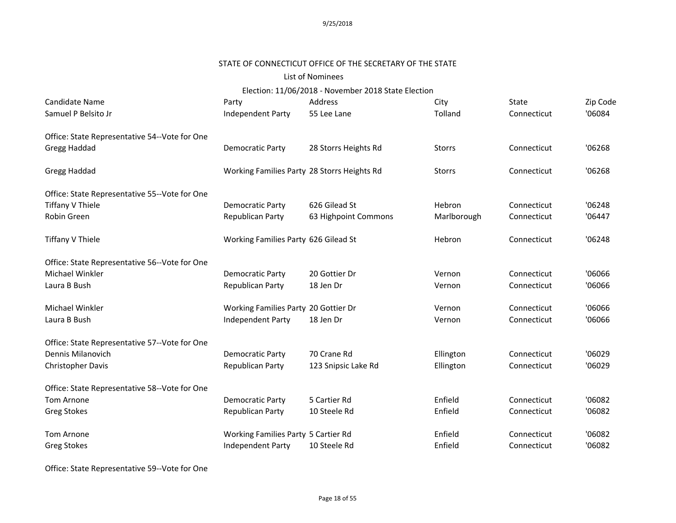#### STATE OF CONNECTICUT OFFICE OF THE SECRETARY OF THE STATE

### List of Nominees

Election: 11/06/2018 - November 2018 State Election

| Candidate Name                                | Party                                       | Address              | City          | State       | Zip Code |
|-----------------------------------------------|---------------------------------------------|----------------------|---------------|-------------|----------|
| Samuel P Belsito Jr                           | Independent Party                           | 55 Lee Lane          | Tolland       | Connecticut | '06084   |
| Office: State Representative 54--Vote for One |                                             |                      |               |             |          |
| Gregg Haddad                                  | Democratic Party                            | 28 Storrs Heights Rd | <b>Storrs</b> | Connecticut | '06268   |
| Gregg Haddad                                  | Working Families Party 28 Storrs Heights Rd |                      | <b>Storrs</b> | Connecticut | '06268   |
| Office: State Representative 55--Vote for One |                                             |                      |               |             |          |
| Tiffany V Thiele                              | Democratic Party                            | 626 Gilead St        | Hebron        | Connecticut | '06248   |
| Robin Green                                   | Republican Party                            | 63 Highpoint Commons | Marlborough   | Connecticut | '06447   |
| Tiffany V Thiele                              | Working Families Party 626 Gilead St        |                      | Hebron        | Connecticut | '06248   |
| Office: State Representative 56--Vote for One |                                             |                      |               |             |          |
| Michael Winkler                               | <b>Democratic Party</b>                     | 20 Gottier Dr        | Vernon        | Connecticut | '06066   |
| Laura B Bush                                  | Republican Party                            | 18 Jen Dr            | Vernon        | Connecticut | '06066   |
| Michael Winkler                               | Working Families Party 20 Gottier Dr        |                      | Vernon        | Connecticut | '06066   |
| Laura B Bush                                  | Independent Party                           | 18 Jen Dr            | Vernon        | Connecticut | '06066   |
| Office: State Representative 57--Vote for One |                                             |                      |               |             |          |
| Dennis Milanovich                             | Democratic Party                            | 70 Crane Rd          | Ellington     | Connecticut | '06029   |
| <b>Christopher Davis</b>                      | Republican Party                            | 123 Snipsic Lake Rd  | Ellington     | Connecticut | '06029   |
| Office: State Representative 58--Vote for One |                                             |                      |               |             |          |
| <b>Tom Arnone</b>                             | Democratic Party                            | 5 Cartier Rd         | Enfield       | Connecticut | '06082   |
| <b>Greg Stokes</b>                            | Republican Party                            | 10 Steele Rd         | Enfield       | Connecticut | '06082   |
| <b>Tom Arnone</b>                             | Working Families Party 5 Cartier Rd         |                      | Enfield       | Connecticut | '06082   |
| <b>Greg Stokes</b>                            | Independent Party                           | 10 Steele Rd         | Enfield       | Connecticut | '06082   |

Office: State Representative 59--Vote for One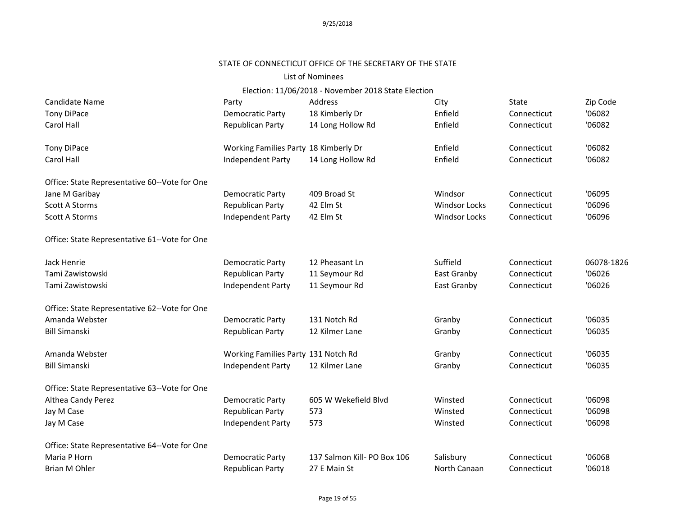# STATE OF CONNECTICUT OFFICE OF THE SECRETARY OF THE STATE

#### List of Nominees

| Candidate Name                                | Party                                 | Address                     | City                 | State       | Zip Code   |
|-----------------------------------------------|---------------------------------------|-----------------------------|----------------------|-------------|------------|
| <b>Tony DiPace</b>                            | Democratic Party                      | 18 Kimberly Dr              | Enfield              | Connecticut | '06082     |
| Carol Hall                                    | Republican Party                      | 14 Long Hollow Rd           | Enfield              | Connecticut | '06082     |
| <b>Tony DiPace</b>                            | Working Families Party 18 Kimberly Dr |                             | Enfield              | Connecticut | '06082     |
| Carol Hall                                    | Independent Party                     | 14 Long Hollow Rd           | Enfield              | Connecticut | '06082     |
| Office: State Representative 60--Vote for One |                                       |                             |                      |             |            |
| Jane M Garibay                                | <b>Democratic Party</b>               | 409 Broad St                | Windsor              | Connecticut | '06095     |
| <b>Scott A Storms</b>                         | Republican Party                      | 42 Elm St                   | <b>Windsor Locks</b> | Connecticut | '06096     |
| <b>Scott A Storms</b>                         | Independent Party                     | 42 Elm St                   | <b>Windsor Locks</b> | Connecticut | '06096     |
| Office: State Representative 61--Vote for One |                                       |                             |                      |             |            |
| Jack Henrie                                   | <b>Democratic Party</b>               | 12 Pheasant Ln              | Suffield             | Connecticut | 06078-1826 |
| Tami Zawistowski                              | <b>Republican Party</b>               | 11 Seymour Rd               | East Granby          | Connecticut | '06026     |
| Tami Zawistowski                              | Independent Party                     | 11 Seymour Rd               | East Granby          | Connecticut | '06026     |
| Office: State Representative 62--Vote for One |                                       |                             |                      |             |            |
| Amanda Webster                                | <b>Democratic Party</b>               | 131 Notch Rd                | Granby               | Connecticut | '06035     |
| <b>Bill Simanski</b>                          | Republican Party                      | 12 Kilmer Lane              | Granby               | Connecticut | '06035     |
| Amanda Webster                                | Working Families Party 131 Notch Rd   |                             | Granby               | Connecticut | '06035     |
| <b>Bill Simanski</b>                          | Independent Party                     | 12 Kilmer Lane              | Granby               | Connecticut | '06035     |
| Office: State Representative 63--Vote for One |                                       |                             |                      |             |            |
| Althea Candy Perez                            | Democratic Party                      | 605 W Wekefield Blvd        | Winsted              | Connecticut | '06098     |
| Jay M Case                                    | Republican Party                      | 573                         | Winsted              | Connecticut | '06098     |
| Jay M Case                                    | Independent Party                     | 573                         | Winsted              | Connecticut | '06098     |
| Office: State Representative 64--Vote for One |                                       |                             |                      |             |            |
| Maria P Horn                                  | <b>Democratic Party</b>               | 137 Salmon Kill- PO Box 106 | Salisbury            | Connecticut | '06068     |
| Brian M Ohler                                 | Republican Party                      | 27 E Main St                | North Canaan         | Connecticut | '06018     |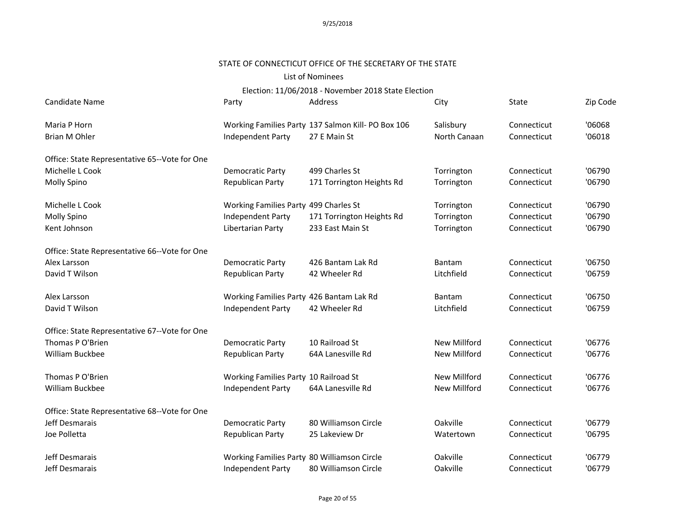### STATE OF CONNECTICUT OFFICE OF THE SECRETARY OF THE STATE

### List of Nominees

| Candidate Name                                | Party                                       | Address                                            | City                | State       | Zip Code |
|-----------------------------------------------|---------------------------------------------|----------------------------------------------------|---------------------|-------------|----------|
| Maria P Horn                                  |                                             | Working Families Party 137 Salmon Kill- PO Box 106 | Salisbury           | Connecticut | '06068   |
| <b>Brian M Ohler</b>                          | Independent Party                           | 27 E Main St                                       | North Canaan        | Connecticut | '06018   |
| Office: State Representative 65--Vote for One |                                             |                                                    |                     |             |          |
| Michelle L Cook                               | Democratic Party                            | 499 Charles St                                     | Torrington          | Connecticut | '06790   |
| Molly Spino                                   | Republican Party                            | 171 Torrington Heights Rd                          | Torrington          | Connecticut | '06790   |
| Michelle L Cook                               | Working Families Party 499 Charles St       |                                                    | Torrington          | Connecticut | '06790   |
| Molly Spino                                   | Independent Party                           | 171 Torrington Heights Rd                          | Torrington          | Connecticut | '06790   |
| Kent Johnson                                  | Libertarian Party                           | 233 East Main St                                   | Torrington          | Connecticut | '06790   |
| Office: State Representative 66--Vote for One |                                             |                                                    |                     |             |          |
| Alex Larsson                                  | Democratic Party                            | 426 Bantam Lak Rd                                  | Bantam              | Connecticut | '06750   |
| David T Wilson                                | Republican Party                            | 42 Wheeler Rd                                      | Litchfield          | Connecticut | '06759   |
| Alex Larsson                                  | Working Families Party 426 Bantam Lak Rd    |                                                    | Bantam              | Connecticut | '06750   |
| David T Wilson                                | Independent Party                           | 42 Wheeler Rd                                      | Litchfield          | Connecticut | '06759   |
| Office: State Representative 67--Vote for One |                                             |                                                    |                     |             |          |
| Thomas P O'Brien                              | Democratic Party                            | 10 Railroad St                                     | <b>New Millford</b> | Connecticut | '06776   |
| William Buckbee                               | Republican Party                            | 64A Lanesville Rd                                  | New Millford        | Connecticut | '06776   |
| Thomas P O'Brien                              | Working Families Party 10 Railroad St       |                                                    | New Millford        | Connecticut | '06776   |
| William Buckbee                               | Independent Party                           | 64A Lanesville Rd                                  | New Millford        | Connecticut | '06776   |
| Office: State Representative 68--Vote for One |                                             |                                                    |                     |             |          |
| Jeff Desmarais                                | Democratic Party                            | 80 Williamson Circle                               | Oakville            | Connecticut | '06779   |
| Joe Polletta                                  | Republican Party                            | 25 Lakeview Dr                                     | Watertown           | Connecticut | '06795   |
| Jeff Desmarais                                | Working Families Party 80 Williamson Circle |                                                    | Oakville            | Connecticut | '06779   |
| Jeff Desmarais                                | Independent Party                           | 80 Williamson Circle                               | Oakville            | Connecticut | '06779   |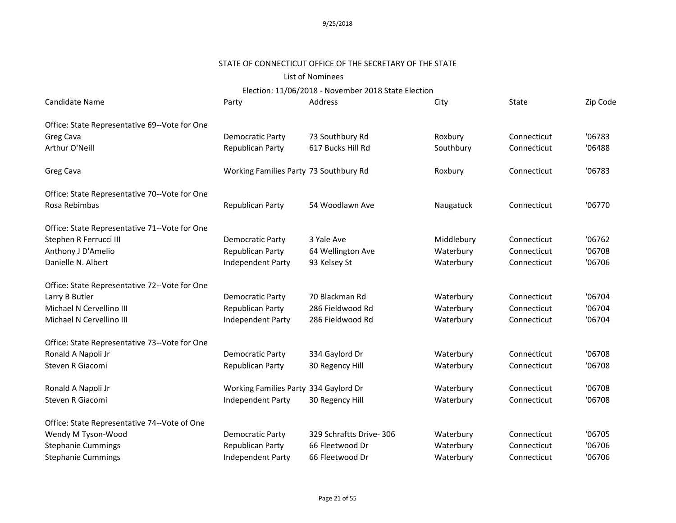# STATE OF CONNECTICUT OFFICE OF THE SECRETARY OF THE STATE

### List of Nominees

Election: 11/06/2018 - November 2018 State Election

| Candidate Name                                | Party                                  | Address                 | City       | State       | Zip Code |
|-----------------------------------------------|----------------------------------------|-------------------------|------------|-------------|----------|
| Office: State Representative 69--Vote for One |                                        |                         |            |             |          |
| Greg Cava                                     | Democratic Party                       | 73 Southbury Rd         | Roxbury    | Connecticut | '06783   |
| Arthur O'Neill                                | Republican Party                       | 617 Bucks Hill Rd       | Southbury  | Connecticut | '06488   |
| Greg Cava                                     | Working Families Party 73 Southbury Rd |                         | Roxbury    | Connecticut | '06783   |
| Office: State Representative 70--Vote for One |                                        |                         |            |             |          |
| Rosa Rebimbas                                 | Republican Party                       | 54 Woodlawn Ave         | Naugatuck  | Connecticut | '06770   |
| Office: State Representative 71--Vote for One |                                        |                         |            |             |          |
| Stephen R Ferrucci III                        | Democratic Party                       | 3 Yale Ave              | Middlebury | Connecticut | '06762   |
| Anthony J D'Amelio                            | Republican Party                       | 64 Wellington Ave       | Waterbury  | Connecticut | '06708   |
| Danielle N. Albert                            | Independent Party                      | 93 Kelsey St            | Waterbury  | Connecticut | '06706   |
| Office: State Representative 72--Vote for One |                                        |                         |            |             |          |
| Larry B Butler                                | Democratic Party                       | 70 Blackman Rd          | Waterbury  | Connecticut | '06704   |
| Michael N Cervellino III                      | Republican Party                       | 286 Fieldwood Rd        | Waterbury  | Connecticut | '06704   |
| Michael N Cervellino III                      | Independent Party                      | 286 Fieldwood Rd        | Waterbury  | Connecticut | '06704   |
| Office: State Representative 73--Vote for One |                                        |                         |            |             |          |
| Ronald A Napoli Jr                            | Democratic Party                       | 334 Gaylord Dr          | Waterbury  | Connecticut | '06708   |
| Steven R Giacomi                              | Republican Party                       | 30 Regency Hill         | Waterbury  | Connecticut | '06708   |
| Ronald A Napoli Jr                            | Working Families Party 334 Gaylord Dr  |                         | Waterbury  | Connecticut | '06708   |
| Steven R Giacomi                              | Independent Party                      | 30 Regency Hill         | Waterbury  | Connecticut | '06708   |
| Office: State Representative 74--Vote of One  |                                        |                         |            |             |          |
| Wendy M Tyson-Wood                            | Democratic Party                       | 329 Schraftts Drive-306 | Waterbury  | Connecticut | '06705   |
| <b>Stephanie Cummings</b>                     | Republican Party                       | 66 Fleetwood Dr         | Waterbury  | Connecticut | '06706   |
| <b>Stephanie Cummings</b>                     | Independent Party                      | 66 Fleetwood Dr         | Waterbury  | Connecticut | '06706   |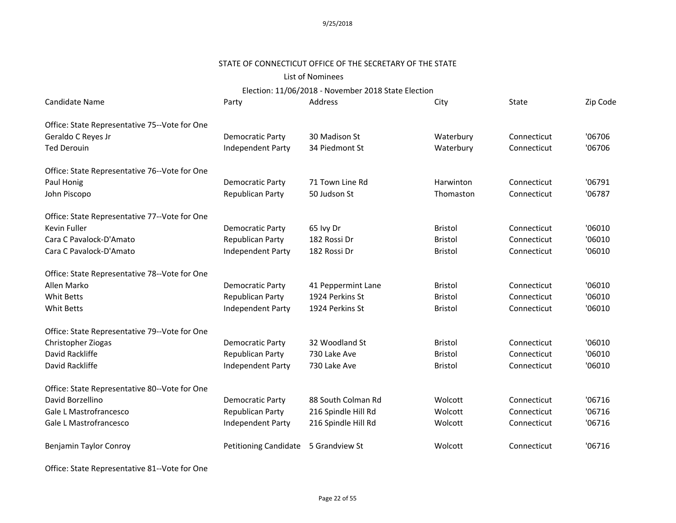#### STATE OF CONNECTICUT OFFICE OF THE SECRETARY OF THE STATE

### List of Nominees

# Election: 11/06/2018 - November 2018 State Election

| <b>Candidate Name</b>                         | Party                        | Address             | City           | State       | Zip Code |
|-----------------------------------------------|------------------------------|---------------------|----------------|-------------|----------|
| Office: State Representative 75--Vote for One |                              |                     |                |             |          |
| Geraldo C Reyes Jr                            | Democratic Party             | 30 Madison St       | Waterbury      | Connecticut | '06706   |
| <b>Ted Derouin</b>                            | Independent Party            | 34 Piedmont St      | Waterbury      | Connecticut | '06706   |
| Office: State Representative 76--Vote for One |                              |                     |                |             |          |
| Paul Honig                                    | <b>Democratic Party</b>      | 71 Town Line Rd     | Harwinton      | Connecticut | '06791   |
| John Piscopo                                  | Republican Party             | 50 Judson St        | Thomaston      | Connecticut | '06787   |
| Office: State Representative 77--Vote for One |                              |                     |                |             |          |
| Kevin Fuller                                  | Democratic Party             | 65 lvy Dr           | <b>Bristol</b> | Connecticut | '06010   |
| Cara C Pavalock-D'Amato                       | Republican Party             | 182 Rossi Dr        | <b>Bristol</b> | Connecticut | '06010   |
| Cara C Pavalock-D'Amato                       | Independent Party            | 182 Rossi Dr        | <b>Bristol</b> | Connecticut | '06010   |
| Office: State Representative 78--Vote for One |                              |                     |                |             |          |
| Allen Marko                                   | <b>Democratic Party</b>      | 41 Peppermint Lane  | <b>Bristol</b> | Connecticut | '06010   |
| <b>Whit Betts</b>                             | Republican Party             | 1924 Perkins St     | <b>Bristol</b> | Connecticut | '06010   |
| <b>Whit Betts</b>                             | Independent Party            | 1924 Perkins St     | <b>Bristol</b> | Connecticut | '06010   |
| Office: State Representative 79--Vote for One |                              |                     |                |             |          |
| Christopher Ziogas                            | Democratic Party             | 32 Woodland St      | <b>Bristol</b> | Connecticut | '06010   |
| David Rackliffe                               | Republican Party             | 730 Lake Ave        | <b>Bristol</b> | Connecticut | '06010   |
| David Rackliffe                               | Independent Party            | 730 Lake Ave        | <b>Bristol</b> | Connecticut | '06010   |
| Office: State Representative 80--Vote for One |                              |                     |                |             |          |
| David Borzellino                              | <b>Democratic Party</b>      | 88 South Colman Rd  | Wolcott        | Connecticut | '06716   |
| Gale L Mastrofrancesco                        | Republican Party             | 216 Spindle Hill Rd | Wolcott        | Connecticut | '06716   |
| Gale L Mastrofrancesco                        | Independent Party            | 216 Spindle Hill Rd | Wolcott        | Connecticut | '06716   |
| Benjamin Taylor Conroy                        | <b>Petitioning Candidate</b> | 5 Grandview St      | Wolcott        | Connecticut | '06716   |
|                                               |                              |                     |                |             |          |

Office: State Representative 81--Vote for One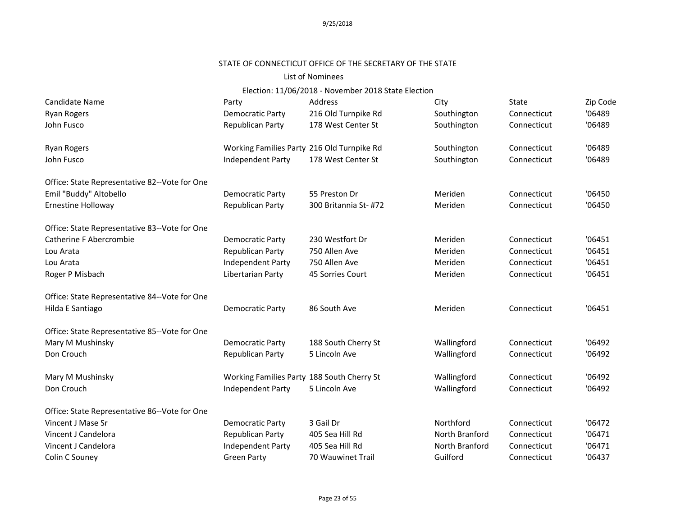# STATE OF CONNECTICUT OFFICE OF THE SECRETARY OF THE STATE

### List of Nominees

| Candidate Name                                | Party                                      | Address               | City           | <b>State</b> | Zip Code |
|-----------------------------------------------|--------------------------------------------|-----------------------|----------------|--------------|----------|
| <b>Ryan Rogers</b>                            | <b>Democratic Party</b>                    | 216 Old Turnpike Rd   | Southington    | Connecticut  | '06489   |
| John Fusco                                    | Republican Party                           | 178 West Center St    | Southington    | Connecticut  | '06489   |
| <b>Ryan Rogers</b>                            | Working Families Party 216 Old Turnpike Rd |                       | Southington    | Connecticut  | '06489   |
| John Fusco                                    | Independent Party                          | 178 West Center St    | Southington    | Connecticut  | '06489   |
| Office: State Representative 82--Vote for One |                                            |                       |                |              |          |
| Emil "Buddy" Altobello                        | Democratic Party                           | 55 Preston Dr         | Meriden        | Connecticut  | '06450   |
| Ernestine Holloway                            | Republican Party                           | 300 Britannia St- #72 | Meriden        | Connecticut  | '06450   |
| Office: State Representative 83--Vote for One |                                            |                       |                |              |          |
| <b>Catherine F Abercrombie</b>                | Democratic Party                           | 230 Westfort Dr       | Meriden        | Connecticut  | '06451   |
| Lou Arata                                     | <b>Republican Party</b>                    | 750 Allen Ave         | Meriden        | Connecticut  | '06451   |
| Lou Arata                                     | Independent Party                          | 750 Allen Ave         | Meriden        | Connecticut  | '06451   |
| Roger P Misbach                               | Libertarian Party                          | 45 Sorries Court      | Meriden        | Connecticut  | '06451   |
| Office: State Representative 84--Vote for One |                                            |                       |                |              |          |
| Hilda E Santiago                              | <b>Democratic Party</b>                    | 86 South Ave          | Meriden        | Connecticut  | '06451   |
| Office: State Representative 85--Vote for One |                                            |                       |                |              |          |
| Mary M Mushinsky                              | <b>Democratic Party</b>                    | 188 South Cherry St   | Wallingford    | Connecticut  | '06492   |
| Don Crouch                                    | Republican Party                           | 5 Lincoln Ave         | Wallingford    | Connecticut  | '06492   |
| Mary M Mushinsky                              | Working Families Party 188 South Cherry St |                       | Wallingford    | Connecticut  | '06492   |
| Don Crouch                                    | <b>Independent Party</b>                   | 5 Lincoln Ave         | Wallingford    | Connecticut  | '06492   |
| Office: State Representative 86--Vote for One |                                            |                       |                |              |          |
| Vincent J Mase Sr                             | <b>Democratic Party</b>                    | 3 Gail Dr             | Northford      | Connecticut  | '06472   |
| Vincent J Candelora                           | Republican Party                           | 405 Sea Hill Rd       | North Branford | Connecticut  | '06471   |
| Vincent J Candelora                           | <b>Independent Party</b>                   | 405 Sea Hill Rd       | North Branford | Connecticut  | '06471   |
| Colin C Souney                                | <b>Green Party</b>                         | 70 Wauwinet Trail     | Guilford       | Connecticut  | '06437   |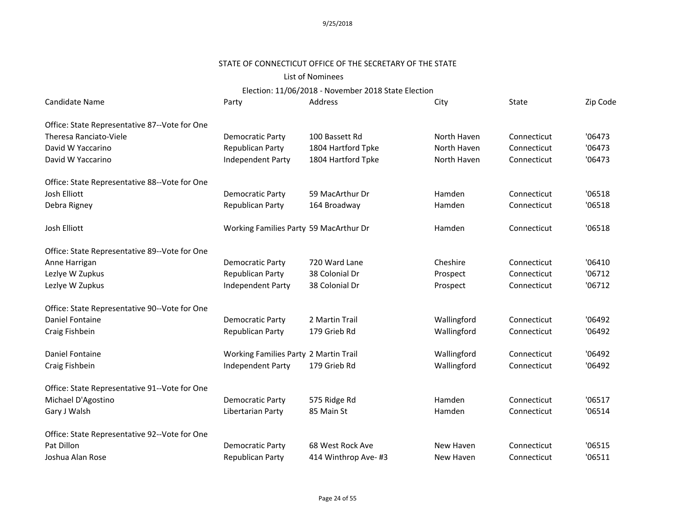# STATE OF CONNECTICUT OFFICE OF THE SECRETARY OF THE STATE

# List of Nominees

| Candidate Name                                | Party                                  | Address             | City        | State       | Zip Code |
|-----------------------------------------------|----------------------------------------|---------------------|-------------|-------------|----------|
| Office: State Representative 87--Vote for One |                                        |                     |             |             |          |
| Theresa Ranciato-Viele                        | Democratic Party                       | 100 Bassett Rd      | North Haven | Connecticut | '06473   |
| David W Yaccarino                             | Republican Party                       | 1804 Hartford Tpke  | North Haven | Connecticut | '06473   |
| David W Yaccarino                             | Independent Party                      | 1804 Hartford Tpke  | North Haven | Connecticut | '06473   |
| Office: State Representative 88--Vote for One |                                        |                     |             |             |          |
| Josh Elliott                                  | <b>Democratic Party</b>                | 59 MacArthur Dr     | Hamden      | Connecticut | '06518   |
| Debra Rigney                                  | Republican Party                       | 164 Broadway        | Hamden      | Connecticut | '06518   |
| Josh Elliott                                  | Working Families Party 59 MacArthur Dr |                     | Hamden      | Connecticut | '06518   |
| Office: State Representative 89--Vote for One |                                        |                     |             |             |          |
| Anne Harrigan                                 | <b>Democratic Party</b>                | 720 Ward Lane       | Cheshire    | Connecticut | '06410   |
| Lezlye W Zupkus                               | <b>Republican Party</b>                | 38 Colonial Dr      | Prospect    | Connecticut | '06712   |
| Lezlye W Zupkus                               | <b>Independent Party</b>               | 38 Colonial Dr      | Prospect    | Connecticut | '06712   |
| Office: State Representative 90--Vote for One |                                        |                     |             |             |          |
| Daniel Fontaine                               | <b>Democratic Party</b>                | 2 Martin Trail      | Wallingford | Connecticut | '06492   |
| Craig Fishbein                                | Republican Party                       | 179 Grieb Rd        | Wallingford | Connecticut | '06492   |
| Daniel Fontaine                               | Working Families Party 2 Martin Trail  |                     | Wallingford | Connecticut | '06492   |
| Craig Fishbein                                | Independent Party                      | 179 Grieb Rd        | Wallingford | Connecticut | '06492   |
| Office: State Representative 91--Vote for One |                                        |                     |             |             |          |
| Michael D'Agostino                            | <b>Democratic Party</b>                | 575 Ridge Rd        | Hamden      | Connecticut | '06517   |
| Gary J Walsh                                  | Libertarian Party                      | 85 Main St          | Hamden      | Connecticut | '06514   |
| Office: State Representative 92--Vote for One |                                        |                     |             |             |          |
| Pat Dillon                                    | <b>Democratic Party</b>                | 68 West Rock Ave    | New Haven   | Connecticut | '06515   |
| Joshua Alan Rose                              | Republican Party                       | 414 Winthrop Ave-#3 | New Haven   | Connecticut | '06511   |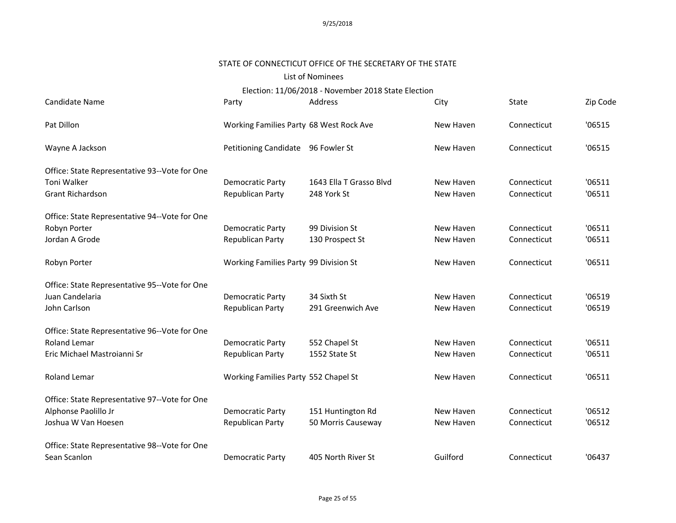### STATE OF CONNECTICUT OFFICE OF THE SECRETARY OF THE STATE

### List of Nominees

| Candidate Name                                | Party                                   | Address                 | City      | State       | Zip Code |
|-----------------------------------------------|-----------------------------------------|-------------------------|-----------|-------------|----------|
| Pat Dillon                                    | Working Families Party 68 West Rock Ave |                         | New Haven | Connecticut | '06515   |
| Wayne A Jackson                               | Petitioning Candidate 96 Fowler St      |                         | New Haven | Connecticut | '06515   |
| Office: State Representative 93--Vote for One |                                         |                         |           |             |          |
| <b>Toni Walker</b>                            | <b>Democratic Party</b>                 | 1643 Ella T Grasso Blvd | New Haven | Connecticut | '06511   |
| <b>Grant Richardson</b>                       | Republican Party                        | 248 York St             | New Haven | Connecticut | '06511   |
| Office: State Representative 94--Vote for One |                                         |                         |           |             |          |
| Robyn Porter                                  | Democratic Party                        | 99 Division St          | New Haven | Connecticut | '06511   |
| Jordan A Grode                                | Republican Party                        | 130 Prospect St         | New Haven | Connecticut | '06511   |
| Robyn Porter                                  | Working Families Party 99 Division St   |                         | New Haven | Connecticut | '06511   |
| Office: State Representative 95--Vote for One |                                         |                         |           |             |          |
| Juan Candelaria                               | Democratic Party                        | 34 Sixth St             | New Haven | Connecticut | '06519   |
| John Carlson                                  | Republican Party                        | 291 Greenwich Ave       | New Haven | Connecticut | '06519   |
| Office: State Representative 96--Vote for One |                                         |                         |           |             |          |
| <b>Roland Lemar</b>                           | <b>Democratic Party</b>                 | 552 Chapel St           | New Haven | Connecticut | '06511   |
| Eric Michael Mastroianni Sr                   | Republican Party                        | 1552 State St           | New Haven | Connecticut | '06511   |
| Roland Lemar                                  | Working Families Party 552 Chapel St    |                         | New Haven | Connecticut | '06511   |
| Office: State Representative 97--Vote for One |                                         |                         |           |             |          |
| Alphonse Paolillo Jr                          | <b>Democratic Party</b>                 | 151 Huntington Rd       | New Haven | Connecticut | '06512   |
| Joshua W Van Hoesen                           | Republican Party                        | 50 Morris Causeway      | New Haven | Connecticut | '06512   |
| Office: State Representative 98--Vote for One |                                         |                         |           |             |          |
| Sean Scanlon                                  | <b>Democratic Party</b>                 | 405 North River St      | Guilford  | Connecticut | '06437   |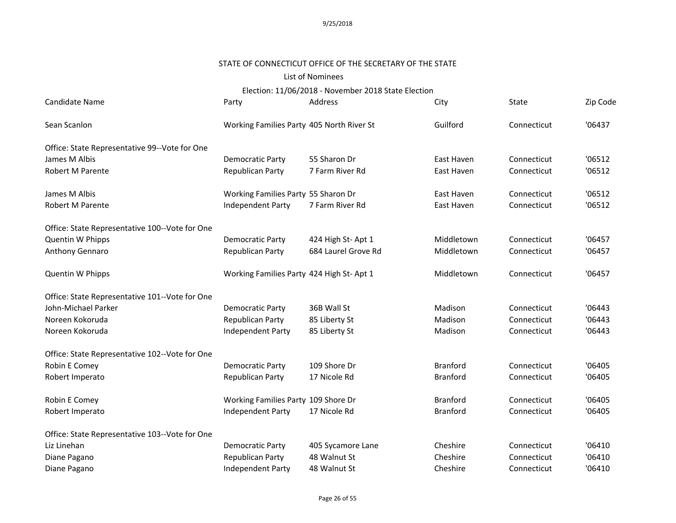# STATE OF CONNECTICUT OFFICE OF THE SECRETARY OF THE STATE

### List of Nominees

Election: 11/06/2018 - November 2018 State Election

| Candidate Name                                 | Party                                     | Address             | City            | State       | Zip Code |
|------------------------------------------------|-------------------------------------------|---------------------|-----------------|-------------|----------|
| Sean Scanlon                                   | Working Families Party 405 North River St |                     | Guilford        | Connecticut | '06437   |
| Office: State Representative 99--Vote for One  |                                           |                     |                 |             |          |
| James M Albis                                  | Democratic Party                          | 55 Sharon Dr        | East Haven      | Connecticut | '06512   |
| <b>Robert M Parente</b>                        | Republican Party                          | 7 Farm River Rd     | East Haven      | Connecticut | '06512   |
| James M Albis                                  | Working Families Party 55 Sharon Dr       |                     | East Haven      | Connecticut | '06512   |
| <b>Robert M Parente</b>                        | Independent Party                         | 7 Farm River Rd     | East Haven      | Connecticut | '06512   |
| Office: State Representative 100--Vote for One |                                           |                     |                 |             |          |
| Quentin W Phipps                               | Democratic Party                          | 424 High St-Apt 1   | Middletown      | Connecticut | '06457   |
| Anthony Gennaro                                | Republican Party                          | 684 Laurel Grove Rd | Middletown      | Connecticut | '06457   |
| Quentin W Phipps                               | Working Families Party 424 High St- Apt 1 |                     | Middletown      | Connecticut | '06457   |
| Office: State Representative 101--Vote for One |                                           |                     |                 |             |          |
| John-Michael Parker                            | Democratic Party                          | 36B Wall St         | Madison         | Connecticut | '06443   |
| Noreen Kokoruda                                | Republican Party                          | 85 Liberty St       | Madison         | Connecticut | '06443   |
| Noreen Kokoruda                                | Independent Party                         | 85 Liberty St       | Madison         | Connecticut | '06443   |
| Office: State Representative 102--Vote for One |                                           |                     |                 |             |          |
| Robin E Comey                                  | Democratic Party                          | 109 Shore Dr        | <b>Branford</b> | Connecticut | '06405   |
| Robert Imperato                                | Republican Party                          | 17 Nicole Rd        | <b>Branford</b> | Connecticut | '06405   |
| Robin E Comey                                  | Working Families Party 109 Shore Dr       |                     | <b>Branford</b> | Connecticut | '06405   |
| Robert Imperato                                | Independent Party                         | 17 Nicole Rd        | <b>Branford</b> | Connecticut | '06405   |
| Office: State Representative 103--Vote for One |                                           |                     |                 |             |          |
| Liz Linehan                                    | Democratic Party                          | 405 Sycamore Lane   | Cheshire        | Connecticut | '06410   |
| Diane Pagano                                   | Republican Party                          | 48 Walnut St        | Cheshire        | Connecticut | '06410   |
| Diane Pagano                                   | Independent Party                         | 48 Walnut St        | Cheshire        | Connecticut | '06410   |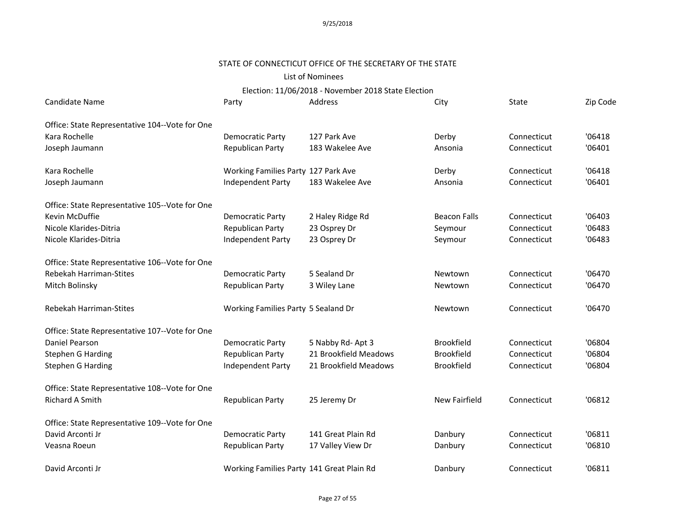# STATE OF CONNECTICUT OFFICE OF THE SECRETARY OF THE STATE

### List of Nominees

| Candidate Name                                 | Party                                     | Address               | City                | State       | Zip Code |
|------------------------------------------------|-------------------------------------------|-----------------------|---------------------|-------------|----------|
| Office: State Representative 104--Vote for One |                                           |                       |                     |             |          |
| Kara Rochelle                                  | Democratic Party                          | 127 Park Ave          | Derby               | Connecticut | '06418   |
| Joseph Jaumann                                 | Republican Party                          | 183 Wakelee Ave       | Ansonia             | Connecticut | '06401   |
| Kara Rochelle                                  | Working Families Party 127 Park Ave       |                       | Derby               | Connecticut | '06418   |
| Joseph Jaumann                                 | Independent Party                         | 183 Wakelee Ave       | Ansonia             | Connecticut | '06401   |
| Office: State Representative 105--Vote for One |                                           |                       |                     |             |          |
| Kevin McDuffie                                 | Democratic Party                          | 2 Haley Ridge Rd      | <b>Beacon Falls</b> | Connecticut | '06403   |
| Nicole Klarides-Ditria                         | Republican Party                          | 23 Osprey Dr          | Seymour             | Connecticut | '06483   |
| Nicole Klarides-Ditria                         | Independent Party                         | 23 Osprey Dr          | Seymour             | Connecticut | '06483   |
| Office: State Representative 106--Vote for One |                                           |                       |                     |             |          |
| Rebekah Harriman-Stites                        | Democratic Party                          | 5 Sealand Dr          | Newtown             | Connecticut | '06470   |
| Mitch Bolinsky                                 | Republican Party                          | 3 Wiley Lane          | Newtown             | Connecticut | '06470   |
| <b>Rebekah Harriman-Stites</b>                 | Working Families Party 5 Sealand Dr       |                       | Newtown             | Connecticut | '06470   |
| Office: State Representative 107--Vote for One |                                           |                       |                     |             |          |
| Daniel Pearson                                 | Democratic Party                          | 5 Nabby Rd-Apt 3      | <b>Brookfield</b>   | Connecticut | '06804   |
| <b>Stephen G Harding</b>                       | Republican Party                          | 21 Brookfield Meadows | <b>Brookfield</b>   | Connecticut | '06804   |
| <b>Stephen G Harding</b>                       | Independent Party                         | 21 Brookfield Meadows | <b>Brookfield</b>   | Connecticut | '06804   |
| Office: State Representative 108--Vote for One |                                           |                       |                     |             |          |
| <b>Richard A Smith</b>                         | Republican Party                          | 25 Jeremy Dr          | New Fairfield       | Connecticut | '06812   |
| Office: State Representative 109--Vote for One |                                           |                       |                     |             |          |
| David Arconti Jr                               | <b>Democratic Party</b>                   | 141 Great Plain Rd    | Danbury             | Connecticut | '06811   |
| Veasna Roeun                                   | Republican Party                          | 17 Valley View Dr     | Danbury             | Connecticut | '06810   |
| David Arconti Jr                               | Working Families Party 141 Great Plain Rd |                       | Danbury             | Connecticut | '06811   |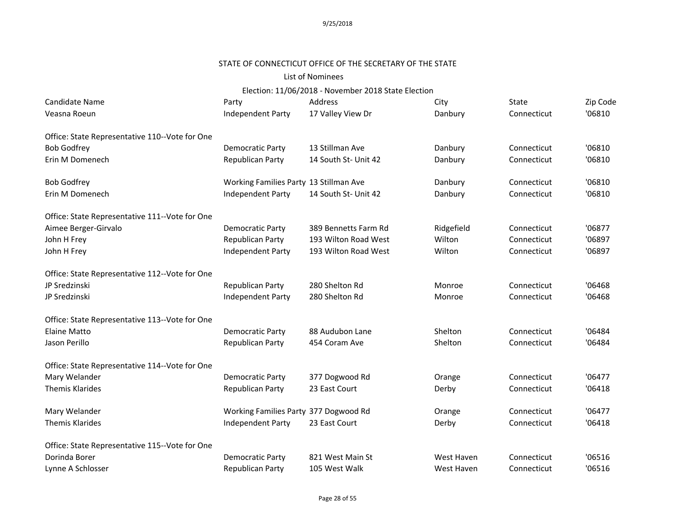# STATE OF CONNECTICUT OFFICE OF THE SECRETARY OF THE STATE

### List of Nominees

| Candidate Name                                 | Party                                  | Address              | City       | State       | Zip Code |
|------------------------------------------------|----------------------------------------|----------------------|------------|-------------|----------|
| Veasna Roeun                                   | Independent Party                      | 17 Valley View Dr    | Danbury    | Connecticut | '06810   |
| Office: State Representative 110--Vote for One |                                        |                      |            |             |          |
| <b>Bob Godfrey</b>                             | Democratic Party                       | 13 Stillman Ave      | Danbury    | Connecticut | '06810   |
| Erin M Domenech                                | Republican Party                       | 14 South St- Unit 42 | Danbury    | Connecticut | '06810   |
| <b>Bob Godfrey</b>                             | Working Families Party 13 Stillman Ave |                      | Danbury    | Connecticut | '06810   |
| Erin M Domenech                                | Independent Party                      | 14 South St- Unit 42 | Danbury    | Connecticut | '06810   |
| Office: State Representative 111--Vote for One |                                        |                      |            |             |          |
| Aimee Berger-Girvalo                           | Democratic Party                       | 389 Bennetts Farm Rd | Ridgefield | Connecticut | '06877   |
| John H Frey                                    | Republican Party                       | 193 Wilton Road West | Wilton     | Connecticut | '06897   |
| John H Frey                                    | Independent Party                      | 193 Wilton Road West | Wilton     | Connecticut | '06897   |
| Office: State Representative 112--Vote for One |                                        |                      |            |             |          |
| JP Sredzinski                                  | Republican Party                       | 280 Shelton Rd       | Monroe     | Connecticut | '06468   |
| JP Sredzinski                                  | Independent Party                      | 280 Shelton Rd       | Monroe     | Connecticut | '06468   |
| Office: State Representative 113--Vote for One |                                        |                      |            |             |          |
| <b>Elaine Matto</b>                            | Democratic Party                       | 88 Audubon Lane      | Shelton    | Connecticut | '06484   |
| Jason Perillo                                  | Republican Party                       | 454 Coram Ave        | Shelton    | Connecticut | '06484   |
| Office: State Representative 114--Vote for One |                                        |                      |            |             |          |
| Mary Welander                                  | <b>Democratic Party</b>                | 377 Dogwood Rd       | Orange     | Connecticut | '06477   |
| <b>Themis Klarides</b>                         | Republican Party                       | 23 East Court        | Derby      | Connecticut | '06418   |
| Mary Welander                                  | Working Families Party 377 Dogwood Rd  |                      | Orange     | Connecticut | '06477   |
| <b>Themis Klarides</b>                         | Independent Party                      | 23 East Court        | Derby      | Connecticut | '06418   |
| Office: State Representative 115--Vote for One |                                        |                      |            |             |          |
| Dorinda Borer                                  | Democratic Party                       | 821 West Main St     | West Haven | Connecticut | '06516   |
| Lynne A Schlosser                              | Republican Party                       | 105 West Walk        | West Haven | Connecticut | '06516   |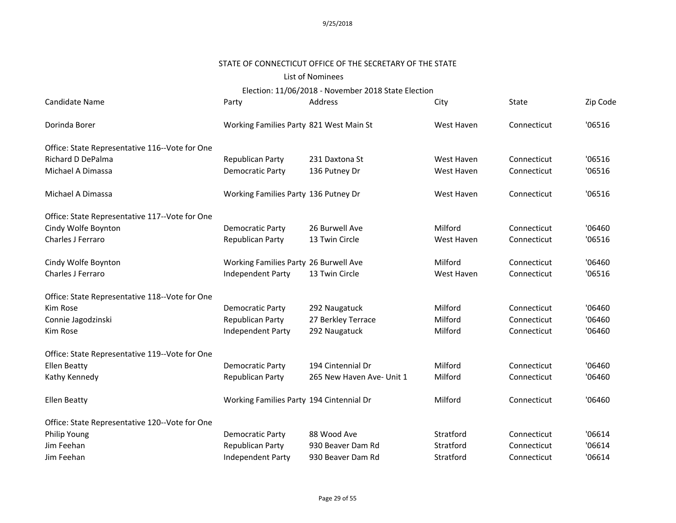# STATE OF CONNECTICUT OFFICE OF THE SECRETARY OF THE STATE

### List of Nominees

Election: 11/06/2018 - November 2018 State Election

| Candidate Name                                 | Party                                    | Address                   | City       | State       | Zip Code |
|------------------------------------------------|------------------------------------------|---------------------------|------------|-------------|----------|
| Dorinda Borer                                  | Working Families Party 821 West Main St  |                           | West Haven | Connecticut | '06516   |
| Office: State Representative 116--Vote for One |                                          |                           |            |             |          |
| Richard D DePalma                              | Republican Party                         | 231 Daxtona St            | West Haven | Connecticut | '06516   |
| Michael A Dimassa                              | Democratic Party                         | 136 Putney Dr             | West Haven | Connecticut | '06516   |
| Michael A Dimassa                              | Working Families Party 136 Putney Dr     |                           | West Haven | Connecticut | '06516   |
| Office: State Representative 117--Vote for One |                                          |                           |            |             |          |
| Cindy Wolfe Boynton                            | Democratic Party                         | 26 Burwell Ave            | Milford    | Connecticut | '06460   |
| Charles J Ferraro                              | Republican Party                         | 13 Twin Circle            | West Haven | Connecticut | '06516   |
| Cindy Wolfe Boynton                            | Working Families Party 26 Burwell Ave    |                           | Milford    | Connecticut | '06460   |
| Charles J Ferraro                              | Independent Party                        | 13 Twin Circle            | West Haven | Connecticut | '06516   |
| Office: State Representative 118--Vote for One |                                          |                           |            |             |          |
| Kim Rose                                       | <b>Democratic Party</b>                  | 292 Naugatuck             | Milford    | Connecticut | '06460   |
| Connie Jagodzinski                             | Republican Party                         | 27 Berkley Terrace        | Milford    | Connecticut | '06460   |
| Kim Rose                                       | Independent Party                        | 292 Naugatuck             | Milford    | Connecticut | '06460   |
| Office: State Representative 119--Vote for One |                                          |                           |            |             |          |
| <b>Ellen Beatty</b>                            | Democratic Party                         | 194 Cintennial Dr         | Milford    | Connecticut | '06460   |
| Kathy Kennedy                                  | Republican Party                         | 265 New Haven Ave- Unit 1 | Milford    | Connecticut | '06460   |
| <b>Ellen Beatty</b>                            | Working Families Party 194 Cintennial Dr |                           | Milford    | Connecticut | '06460   |
| Office: State Representative 120--Vote for One |                                          |                           |            |             |          |
| Philip Young                                   | <b>Democratic Party</b>                  | 88 Wood Ave               | Stratford  | Connecticut | '06614   |
| Jim Feehan                                     | Republican Party                         | 930 Beaver Dam Rd         | Stratford  | Connecticut | '06614   |
| Jim Feehan                                     | Independent Party                        | 930 Beaver Dam Rd         | Stratford  | Connecticut | '06614   |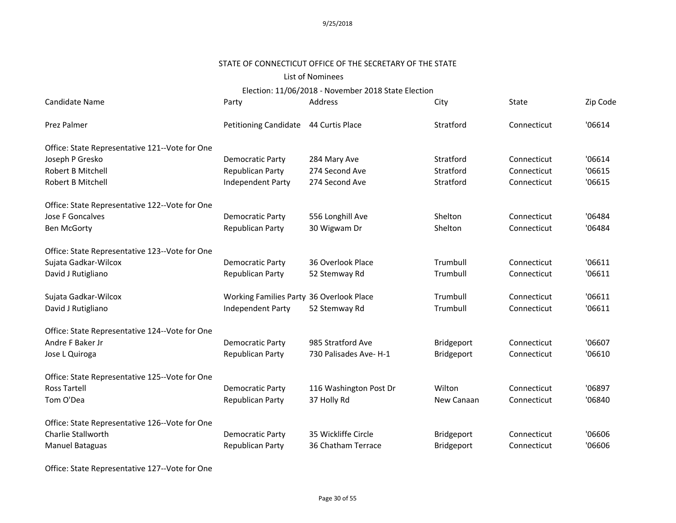#### STATE OF CONNECTICUT OFFICE OF THE SECRETARY OF THE STATE

### List of Nominees

# Election: 11/06/2018 - November 2018 State Election

| Candidate Name                                 | Party                                    | Address                | City       | State       | Zip Code |
|------------------------------------------------|------------------------------------------|------------------------|------------|-------------|----------|
| Prez Palmer                                    | Petitioning Candidate 44 Curtis Place    |                        | Stratford  | Connecticut | '06614   |
| Office: State Representative 121--Vote for One |                                          |                        |            |             |          |
| Joseph P Gresko                                | <b>Democratic Party</b>                  | 284 Mary Ave           | Stratford  | Connecticut | '06614   |
| Robert B Mitchell                              | Republican Party                         | 274 Second Ave         | Stratford  | Connecticut | '06615   |
| Robert B Mitchell                              | Independent Party                        | 274 Second Ave         | Stratford  | Connecticut | '06615   |
| Office: State Representative 122--Vote for One |                                          |                        |            |             |          |
| Jose F Goncalves                               | Democratic Party                         | 556 Longhill Ave       | Shelton    | Connecticut | '06484   |
| <b>Ben McGorty</b>                             | Republican Party                         | 30 Wigwam Dr           | Shelton    | Connecticut | '06484   |
| Office: State Representative 123--Vote for One |                                          |                        |            |             |          |
| Sujata Gadkar-Wilcox                           | <b>Democratic Party</b>                  | 36 Overlook Place      | Trumbull   | Connecticut | '06611   |
| David J Rutigliano                             | Republican Party                         | 52 Stemway Rd          | Trumbull   | Connecticut | '06611   |
| Sujata Gadkar-Wilcox                           | Working Families Party 36 Overlook Place |                        | Trumbull   | Connecticut | '06611   |
| David J Rutigliano                             | Independent Party                        | 52 Stemway Rd          | Trumbull   | Connecticut | '06611   |
| Office: State Representative 124--Vote for One |                                          |                        |            |             |          |
| Andre F Baker Jr                               | <b>Democratic Party</b>                  | 985 Stratford Ave      | Bridgeport | Connecticut | '06607   |
| Jose L Quiroga                                 | <b>Republican Party</b>                  | 730 Palisades Ave- H-1 | Bridgeport | Connecticut | '06610   |
| Office: State Representative 125--Vote for One |                                          |                        |            |             |          |
| Ross Tartell                                   | <b>Democratic Party</b>                  | 116 Washington Post Dr | Wilton     | Connecticut | '06897   |
| Tom O'Dea                                      | Republican Party                         | 37 Holly Rd            | New Canaan | Connecticut | '06840   |
| Office: State Representative 126--Vote for One |                                          |                        |            |             |          |
| Charlie Stallworth                             | <b>Democratic Party</b>                  | 35 Wickliffe Circle    | Bridgeport | Connecticut | '06606   |
| Manuel Bataguas                                | <b>Republican Party</b>                  | 36 Chatham Terrace     | Bridgeport | Connecticut | '06606   |

Office: State Representative 127--Vote for One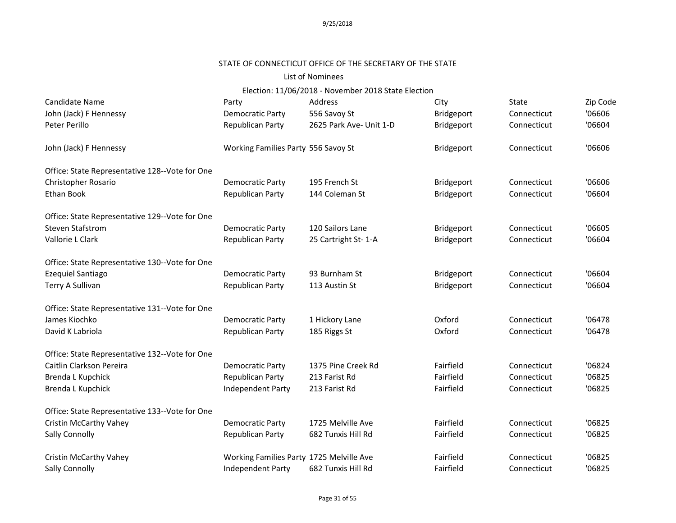#### STATE OF CONNECTICUT OFFICE OF THE SECRETARY OF THE STATE

### List of Nominees

| Candidate Name                                 | Party                                    | Address                 | City       | <b>State</b> | Zip Code |
|------------------------------------------------|------------------------------------------|-------------------------|------------|--------------|----------|
| John (Jack) F Hennessy                         | Democratic Party                         | 556 Savoy St            | Bridgeport | Connecticut  | '06606   |
| Peter Perillo                                  | Republican Party                         | 2625 Park Ave- Unit 1-D | Bridgeport | Connecticut  | '06604   |
| John (Jack) F Hennessy                         | Working Families Party 556 Savoy St      |                         | Bridgeport | Connecticut  | '06606   |
| Office: State Representative 128--Vote for One |                                          |                         |            |              |          |
| Christopher Rosario                            | <b>Democratic Party</b>                  | 195 French St           | Bridgeport | Connecticut  | '06606   |
| Ethan Book                                     | Republican Party                         | 144 Coleman St          | Bridgeport | Connecticut  | '06604   |
| Office: State Representative 129--Vote for One |                                          |                         |            |              |          |
| <b>Steven Stafstrom</b>                        | Democratic Party                         | 120 Sailors Lane        | Bridgeport | Connecticut  | '06605   |
| Vallorie L Clark                               | Republican Party                         | 25 Cartright St-1-A     | Bridgeport | Connecticut  | '06604   |
| Office: State Representative 130--Vote for One |                                          |                         |            |              |          |
| Ezequiel Santiago                              | Democratic Party                         | 93 Burnham St           | Bridgeport | Connecticut  | '06604   |
| Terry A Sullivan                               | Republican Party                         | 113 Austin St           | Bridgeport | Connecticut  | '06604   |
| Office: State Representative 131--Vote for One |                                          |                         |            |              |          |
| James Kiochko                                  | <b>Democratic Party</b>                  | 1 Hickory Lane          | Oxford     | Connecticut  | '06478   |
| David K Labriola                               | Republican Party                         | 185 Riggs St            | Oxford     | Connecticut  | '06478   |
| Office: State Representative 132--Vote for One |                                          |                         |            |              |          |
| Caitlin Clarkson Pereira                       | <b>Democratic Party</b>                  | 1375 Pine Creek Rd      | Fairfield  | Connecticut  | '06824   |
| Brenda L Kupchick                              | Republican Party                         | 213 Farist Rd           | Fairfield  | Connecticut  | '06825   |
| Brenda L Kupchick                              | Independent Party                        | 213 Farist Rd           | Fairfield  | Connecticut  | '06825   |
| Office: State Representative 133--Vote for One |                                          |                         |            |              |          |
| Cristin McCarthy Vahey                         | <b>Democratic Party</b>                  | 1725 Melville Ave       | Fairfield  | Connecticut  | '06825   |
| Sally Connolly                                 | Republican Party                         | 682 Tunxis Hill Rd      | Fairfield  | Connecticut  | '06825   |
| Cristin McCarthy Vahey                         | Working Families Party 1725 Melville Ave |                         | Fairfield  | Connecticut  | '06825   |
| Sally Connolly                                 | Independent Party                        | 682 Tunxis Hill Rd      | Fairfield  | Connecticut  | '06825   |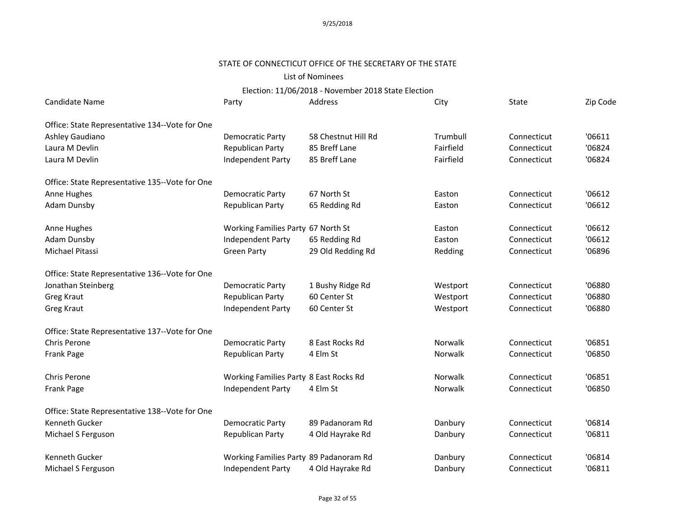#### STATE OF CONNECTICUT OFFICE OF THE SECRETARY OF THE STATE

# List of Nominees

| Candidate Name                                 | Party                                  | Address             | City           | State       | Zip Code |
|------------------------------------------------|----------------------------------------|---------------------|----------------|-------------|----------|
| Office: State Representative 134--Vote for One |                                        |                     |                |             |          |
| Ashley Gaudiano                                | <b>Democratic Party</b>                | 58 Chestnut Hill Rd | Trumbull       | Connecticut | '06611   |
| Laura M Devlin                                 | Republican Party                       | 85 Breff Lane       | Fairfield      | Connecticut | '06824   |
| Laura M Devlin                                 | Independent Party                      | 85 Breff Lane       | Fairfield      | Connecticut | '06824   |
| Office: State Representative 135--Vote for One |                                        |                     |                |             |          |
| Anne Hughes                                    | <b>Democratic Party</b>                | 67 North St         | Easton         | Connecticut | '06612   |
| <b>Adam Dunsby</b>                             | Republican Party                       | 65 Redding Rd       | Easton         | Connecticut | '06612   |
| Anne Hughes                                    | Working Families Party 67 North St     |                     | Easton         | Connecticut | '06612   |
| <b>Adam Dunsby</b>                             | Independent Party                      | 65 Redding Rd       | Easton         | Connecticut | '06612   |
| Michael Pitassi                                | <b>Green Party</b>                     | 29 Old Redding Rd   | Redding        | Connecticut | '06896   |
| Office: State Representative 136--Vote for One |                                        |                     |                |             |          |
| Jonathan Steinberg                             | <b>Democratic Party</b>                | 1 Bushy Ridge Rd    | Westport       | Connecticut | '06880   |
| Greg Kraut                                     | Republican Party                       | 60 Center St        | Westport       | Connecticut | '06880   |
| Greg Kraut                                     | Independent Party                      | 60 Center St        | Westport       | Connecticut | '06880   |
| Office: State Representative 137--Vote for One |                                        |                     |                |             |          |
| <b>Chris Perone</b>                            | <b>Democratic Party</b>                | 8 East Rocks Rd     | <b>Norwalk</b> | Connecticut | '06851   |
| Frank Page                                     | Republican Party                       | 4 Elm St            | Norwalk        | Connecticut | '06850   |
| Chris Perone                                   | Working Families Party 8 East Rocks Rd |                     | <b>Norwalk</b> | Connecticut | '06851   |
| Frank Page                                     | Independent Party                      | 4 Elm St            | Norwalk        | Connecticut | '06850   |
| Office: State Representative 138--Vote for One |                                        |                     |                |             |          |
| <b>Kenneth Gucker</b>                          | <b>Democratic Party</b>                | 89 Padanoram Rd     | Danbury        | Connecticut | '06814   |
| Michael S Ferguson                             | Republican Party                       | 4 Old Hayrake Rd    | Danbury        | Connecticut | '06811   |
| Kenneth Gucker                                 | Working Families Party 89 Padanoram Rd |                     | Danbury        | Connecticut | '06814   |
| Michael S Ferguson                             | Independent Party                      | 4 Old Hayrake Rd    | Danbury        | Connecticut | '06811   |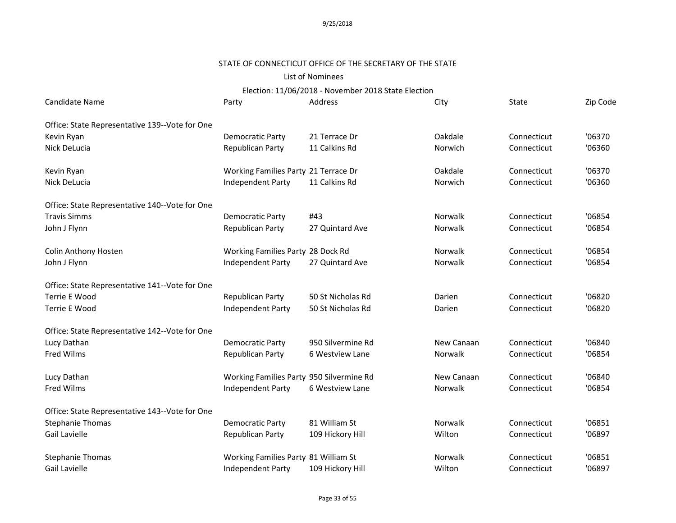#### STATE OF CONNECTICUT OFFICE OF THE SECRETARY OF THE STATE

# List of Nominees

| Candidate Name                                 | Party                                    | Address           | City       | State       | Zip Code |
|------------------------------------------------|------------------------------------------|-------------------|------------|-------------|----------|
| Office: State Representative 139--Vote for One |                                          |                   |            |             |          |
| Kevin Ryan                                     | Democratic Party                         | 21 Terrace Dr     | Oakdale    | Connecticut | '06370   |
| Nick DeLucia                                   | <b>Republican Party</b>                  | 11 Calkins Rd     | Norwich    | Connecticut | '06360   |
| Kevin Ryan                                     | Working Families Party 21 Terrace Dr     |                   | Oakdale    | Connecticut | '06370   |
| Nick DeLucia                                   | Independent Party                        | 11 Calkins Rd     | Norwich    | Connecticut | '06360   |
| Office: State Representative 140--Vote for One |                                          |                   |            |             |          |
| <b>Travis Simms</b>                            | Democratic Party                         | #43               | Norwalk    | Connecticut | '06854   |
| John J Flynn                                   | Republican Party                         | 27 Quintard Ave   | Norwalk    | Connecticut | '06854   |
| Colin Anthony Hosten                           | Working Families Party 28 Dock Rd        |                   | Norwalk    | Connecticut | '06854   |
| John J Flynn                                   | Independent Party                        | 27 Quintard Ave   | Norwalk    | Connecticut | '06854   |
| Office: State Representative 141--Vote for One |                                          |                   |            |             |          |
| <b>Terrie E Wood</b>                           | Republican Party                         | 50 St Nicholas Rd | Darien     | Connecticut | '06820   |
| Terrie E Wood                                  | Independent Party                        | 50 St Nicholas Rd | Darien     | Connecticut | '06820   |
| Office: State Representative 142--Vote for One |                                          |                   |            |             |          |
| Lucy Dathan                                    | Democratic Party                         | 950 Silvermine Rd | New Canaan | Connecticut | '06840   |
| Fred Wilms                                     | <b>Republican Party</b>                  | 6 Westview Lane   | Norwalk    | Connecticut | '06854   |
| Lucy Dathan                                    | Working Families Party 950 Silvermine Rd |                   | New Canaan | Connecticut | '06840   |
| Fred Wilms                                     | Independent Party                        | 6 Westview Lane   | Norwalk    | Connecticut | '06854   |
| Office: State Representative 143--Vote for One |                                          |                   |            |             |          |
| <b>Stephanie Thomas</b>                        | Democratic Party                         | 81 William St     | Norwalk    | Connecticut | '06851   |
| Gail Lavielle                                  | Republican Party                         | 109 Hickory Hill  | Wilton     | Connecticut | '06897   |
| <b>Stephanie Thomas</b>                        | Working Families Party 81 William St     |                   | Norwalk    | Connecticut | '06851   |
| <b>Gail Lavielle</b>                           | Independent Party                        | 109 Hickory Hill  | Wilton     | Connecticut | '06897   |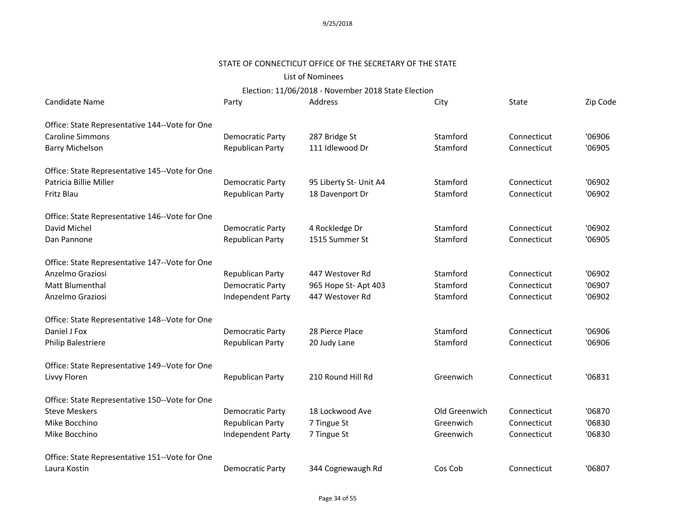# STATE OF CONNECTICUT OFFICE OF THE SECRETARY OF THE STATE

# List of Nominees

| <b>Candidate Name</b>                          | Party                   | Address                | City          | State       | Zip Code |
|------------------------------------------------|-------------------------|------------------------|---------------|-------------|----------|
| Office: State Representative 144--Vote for One |                         |                        |               |             |          |
| <b>Caroline Simmons</b>                        | Democratic Party        | 287 Bridge St          | Stamford      | Connecticut | '06906   |
| <b>Barry Michelson</b>                         | Republican Party        | 111 Idlewood Dr        | Stamford      | Connecticut | '06905   |
| Office: State Representative 145--Vote for One |                         |                        |               |             |          |
| Patricia Billie Miller                         | <b>Democratic Party</b> | 95 Liberty St- Unit A4 | Stamford      | Connecticut | '06902   |
| Fritz Blau                                     | Republican Party        | 18 Davenport Dr        | Stamford      | Connecticut | '06902   |
| Office: State Representative 146--Vote for One |                         |                        |               |             |          |
| David Michel                                   | Democratic Party        | 4 Rockledge Dr         | Stamford      | Connecticut | '06902   |
| Dan Pannone                                    | Republican Party        | 1515 Summer St         | Stamford      | Connecticut | '06905   |
| Office: State Representative 147--Vote for One |                         |                        |               |             |          |
| Anzelmo Graziosi                               | Republican Party        | 447 Westover Rd        | Stamford      | Connecticut | '06902   |
| Matt Blumenthal                                | <b>Democratic Party</b> | 965 Hope St- Apt 403   | Stamford      | Connecticut | '06907   |
| Anzelmo Graziosi                               | Independent Party       | 447 Westover Rd        | Stamford      | Connecticut | '06902   |
| Office: State Representative 148--Vote for One |                         |                        |               |             |          |
| Daniel J Fox                                   | <b>Democratic Party</b> | 28 Pierce Place        | Stamford      | Connecticut | '06906   |
| Philip Balestriere                             | Republican Party        | 20 Judy Lane           | Stamford      | Connecticut | '06906   |
| Office: State Representative 149--Vote for One |                         |                        |               |             |          |
| Livvy Floren                                   | <b>Republican Party</b> | 210 Round Hill Rd      | Greenwich     | Connecticut | '06831   |
| Office: State Representative 150--Vote for One |                         |                        |               |             |          |
| <b>Steve Meskers</b>                           | <b>Democratic Party</b> | 18 Lockwood Ave        | Old Greenwich | Connecticut | '06870   |
| Mike Bocchino                                  | Republican Party        | 7 Tingue St            | Greenwich     | Connecticut | '06830   |
| Mike Bocchino                                  | Independent Party       | 7 Tingue St            | Greenwich     | Connecticut | '06830   |
| Office: State Representative 151--Vote for One |                         |                        |               |             |          |
| Laura Kostin                                   | <b>Democratic Party</b> | 344 Cognewaugh Rd      | Cos Cob       | Connecticut | '06807   |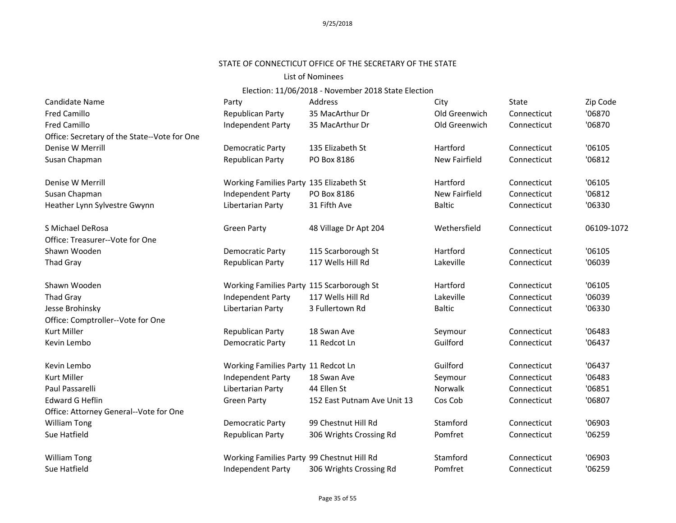# STATE OF CONNECTICUT OFFICE OF THE SECRETARY OF THE STATE

#### List of Nominees

| Candidate Name                               | Party                                      | <b>Address</b>              | City          | State       | Zip Code   |
|----------------------------------------------|--------------------------------------------|-----------------------------|---------------|-------------|------------|
| <b>Fred Camillo</b>                          | Republican Party                           | 35 MacArthur Dr             | Old Greenwich | Connecticut | '06870     |
| <b>Fred Camillo</b>                          | Independent Party                          | 35 MacArthur Dr             | Old Greenwich | Connecticut | '06870     |
| Office: Secretary of the State--Vote for One |                                            |                             |               |             |            |
| Denise W Merrill                             | <b>Democratic Party</b>                    | 135 Elizabeth St            | Hartford      | Connecticut | '06105     |
| Susan Chapman                                | <b>Republican Party</b>                    | PO Box 8186                 | New Fairfield | Connecticut | '06812     |
| Denise W Merrill                             | Working Families Party 135 Elizabeth St    |                             | Hartford      | Connecticut | '06105     |
| Susan Chapman                                | Independent Party                          | PO Box 8186                 | New Fairfield | Connecticut | '06812     |
| Heather Lynn Sylvestre Gwynn                 | Libertarian Party                          | 31 Fifth Ave                | <b>Baltic</b> | Connecticut | '06330     |
| S Michael DeRosa                             | <b>Green Party</b>                         | 48 Village Dr Apt 204       | Wethersfield  | Connecticut | 06109-1072 |
| Office: Treasurer--Vote for One              |                                            |                             |               |             |            |
| Shawn Wooden                                 | <b>Democratic Party</b>                    | 115 Scarborough St          | Hartford      | Connecticut | '06105     |
| <b>Thad Gray</b>                             | Republican Party                           | 117 Wells Hill Rd           | Lakeville     | Connecticut | '06039     |
| Shawn Wooden                                 | Working Families Party 115 Scarborough St  |                             | Hartford      | Connecticut | '06105     |
| Thad Gray                                    | Independent Party                          | 117 Wells Hill Rd           | Lakeville     | Connecticut | '06039     |
| Jesse Brohinsky                              | Libertarian Party                          | 3 Fullertown Rd             | <b>Baltic</b> | Connecticut | '06330     |
| Office: Comptroller--Vote for One            |                                            |                             |               |             |            |
| <b>Kurt Miller</b>                           | Republican Party                           | 18 Swan Ave                 | Seymour       | Connecticut | '06483     |
| Kevin Lembo                                  | <b>Democratic Party</b>                    | 11 Redcot Ln                | Guilford      | Connecticut | '06437     |
| Kevin Lembo                                  | Working Families Party 11 Redcot Ln        |                             | Guilford      | Connecticut | '06437     |
| <b>Kurt Miller</b>                           | Independent Party                          | 18 Swan Ave                 | Seymour       | Connecticut | '06483     |
| Paul Passarelli                              | Libertarian Party                          | 44 Ellen St                 | Norwalk       | Connecticut | '06851     |
| <b>Edward G Heflin</b>                       | <b>Green Party</b>                         | 152 East Putnam Ave Unit 13 | Cos Cob       | Connecticut | '06807     |
| Office: Attorney General--Vote for One       |                                            |                             |               |             |            |
| <b>William Tong</b>                          | <b>Democratic Party</b>                    | 99 Chestnut Hill Rd         | Stamford      | Connecticut | '06903     |
| Sue Hatfield                                 | Republican Party                           | 306 Wrights Crossing Rd     | Pomfret       | Connecticut | '06259     |
| <b>William Tong</b>                          | Working Families Party 99 Chestnut Hill Rd |                             | Stamford      | Connecticut | '06903     |
| Sue Hatfield                                 | <b>Independent Party</b>                   | 306 Wrights Crossing Rd     | Pomfret       | Connecticut | '06259     |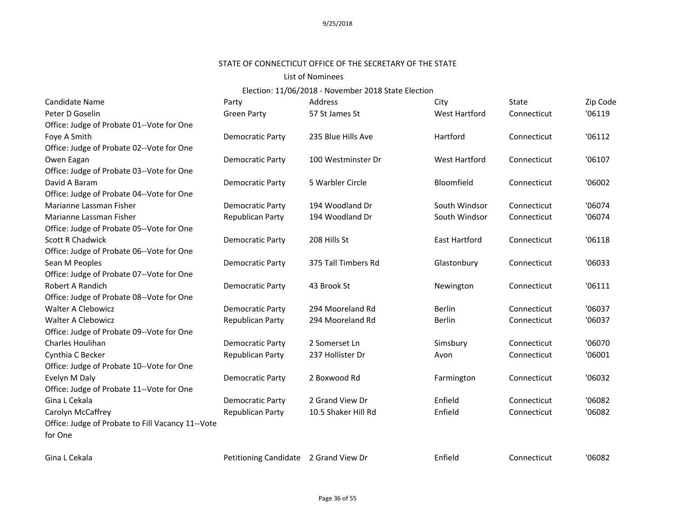#### STATE OF CONNECTICUT OFFICE OF THE SECRETARY OF THE STATE

#### List of Nominees

| Candidate Name                                    | Party                                 | Address             | City                 | State       | Zip Code |
|---------------------------------------------------|---------------------------------------|---------------------|----------------------|-------------|----------|
| Peter D Goselin                                   | <b>Green Party</b>                    | 57 St James St      | West Hartford        | Connecticut | '06119   |
| Office: Judge of Probate 01--Vote for One         |                                       |                     |                      |             |          |
| Foye A Smith                                      | Democratic Party                      | 235 Blue Hills Ave  | Hartford             | Connecticut | '06112   |
| Office: Judge of Probate 02--Vote for One         |                                       |                     |                      |             |          |
| Owen Eagan                                        | <b>Democratic Party</b>               | 100 Westminster Dr  | <b>West Hartford</b> | Connecticut | '06107   |
| Office: Judge of Probate 03--Vote for One         |                                       |                     |                      |             |          |
| David A Baram                                     | <b>Democratic Party</b>               | 5 Warbler Circle    | Bloomfield           | Connecticut | '06002   |
| Office: Judge of Probate 04--Vote for One         |                                       |                     |                      |             |          |
| Marianne Lassman Fisher                           | Democratic Party                      | 194 Woodland Dr     | South Windsor        | Connecticut | '06074   |
| Marianne Lassman Fisher                           | Republican Party                      | 194 Woodland Dr     | South Windsor        | Connecticut | '06074   |
| Office: Judge of Probate 05--Vote for One         |                                       |                     |                      |             |          |
| <b>Scott R Chadwick</b>                           | <b>Democratic Party</b>               | 208 Hills St        | <b>East Hartford</b> | Connecticut | '06118   |
| Office: Judge of Probate 06--Vote for One         |                                       |                     |                      |             |          |
| Sean M Peoples                                    | <b>Democratic Party</b>               | 375 Tall Timbers Rd | Glastonbury          | Connecticut | '06033   |
| Office: Judge of Probate 07--Vote for One         |                                       |                     |                      |             |          |
| Robert A Randich                                  | Democratic Party                      | 43 Brook St         | Newington            | Connecticut | '06111   |
| Office: Judge of Probate 08--Vote for One         |                                       |                     |                      |             |          |
| <b>Walter A Clebowicz</b>                         | <b>Democratic Party</b>               | 294 Mooreland Rd    | <b>Berlin</b>        | Connecticut | '06037   |
| <b>Walter A Clebowicz</b>                         | Republican Party                      | 294 Mooreland Rd    | <b>Berlin</b>        | Connecticut | '06037   |
| Office: Judge of Probate 09--Vote for One         |                                       |                     |                      |             |          |
| Charles Houlihan                                  | <b>Democratic Party</b>               | 2 Somerset Ln       | Simsbury             | Connecticut | '06070   |
| Cynthia C Becker                                  | Republican Party                      | 237 Hollister Dr    | Avon                 | Connecticut | '06001   |
| Office: Judge of Probate 10--Vote for One         |                                       |                     |                      |             |          |
| Evelyn M Daly                                     | Democratic Party                      | 2 Boxwood Rd        | Farmington           | Connecticut | '06032   |
| Office: Judge of Probate 11--Vote for One         |                                       |                     |                      |             |          |
| Gina L Cekala                                     | <b>Democratic Party</b>               | 2 Grand View Dr     | Enfield              | Connecticut | '06082   |
| Carolyn McCaffrey                                 | Republican Party                      | 10.5 Shaker Hill Rd | Enfield              | Connecticut | '06082   |
| Office: Judge of Probate to Fill Vacancy 11--Vote |                                       |                     |                      |             |          |
| for One                                           |                                       |                     |                      |             |          |
| Gina L Cekala                                     | Petitioning Candidate 2 Grand View Dr |                     | Enfield              | Connecticut | '06082   |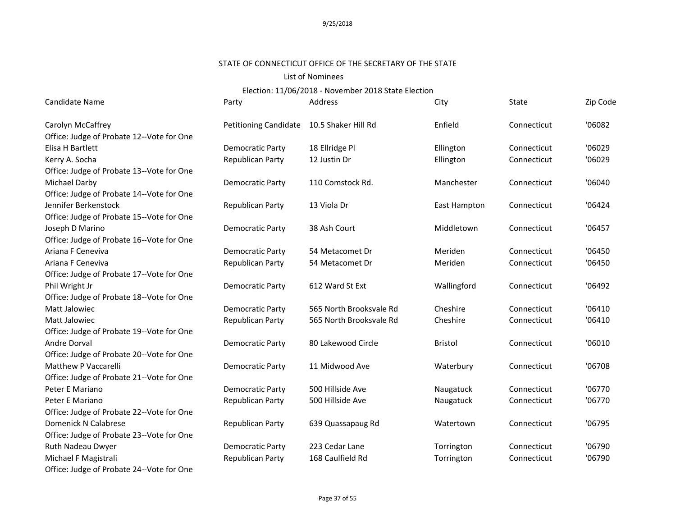#### STATE OF CONNECTICUT OFFICE OF THE SECRETARY OF THE STATE

#### List of Nominees

| Candidate Name                            | Party                   | Address                 | City           | State       | Zip Code |
|-------------------------------------------|-------------------------|-------------------------|----------------|-------------|----------|
| Carolyn McCaffrey                         | Petitioning Candidate   | 10.5 Shaker Hill Rd     | Enfield        | Connecticut | '06082   |
| Office: Judge of Probate 12--Vote for One |                         |                         |                |             |          |
| Elisa H Bartlett                          | Democratic Party        | 18 Ellridge Pl          | Ellington      | Connecticut | '06029   |
| Kerry A. Socha                            | Republican Party        | 12 Justin Dr            | Ellington      | Connecticut | '06029   |
| Office: Judge of Probate 13--Vote for One |                         |                         |                |             |          |
| Michael Darby                             | Democratic Party        | 110 Comstock Rd.        | Manchester     | Connecticut | '06040   |
| Office: Judge of Probate 14--Vote for One |                         |                         |                |             |          |
| Jennifer Berkenstock                      | Republican Party        | 13 Viola Dr             | East Hampton   | Connecticut | '06424   |
| Office: Judge of Probate 15--Vote for One |                         |                         |                |             |          |
| Joseph D Marino                           | <b>Democratic Party</b> | 38 Ash Court            | Middletown     | Connecticut | '06457   |
| Office: Judge of Probate 16--Vote for One |                         |                         |                |             |          |
| Ariana F Ceneviva                         | <b>Democratic Party</b> | 54 Metacomet Dr         | Meriden        | Connecticut | '06450   |
| Ariana F Ceneviva                         | Republican Party        | 54 Metacomet Dr         | Meriden        | Connecticut | '06450   |
| Office: Judge of Probate 17--Vote for One |                         |                         |                |             |          |
| Phil Wright Jr                            | <b>Democratic Party</b> | 612 Ward St Ext         | Wallingford    | Connecticut | '06492   |
| Office: Judge of Probate 18--Vote for One |                         |                         |                |             |          |
| Matt Jalowiec                             | <b>Democratic Party</b> | 565 North Brooksvale Rd | Cheshire       | Connecticut | '06410   |
| Matt Jalowiec                             | Republican Party        | 565 North Brooksvale Rd | Cheshire       | Connecticut | '06410   |
| Office: Judge of Probate 19--Vote for One |                         |                         |                |             |          |
| Andre Dorval                              | Democratic Party        | 80 Lakewood Circle      | <b>Bristol</b> | Connecticut | '06010   |
| Office: Judge of Probate 20--Vote for One |                         |                         |                |             |          |
| Matthew P Vaccarelli                      | <b>Democratic Party</b> | 11 Midwood Ave          | Waterbury      | Connecticut | '06708   |
| Office: Judge of Probate 21--Vote for One |                         |                         |                |             |          |
| Peter E Mariano                           | <b>Democratic Party</b> | 500 Hillside Ave        | Naugatuck      | Connecticut | '06770   |
| Peter E Mariano                           | Republican Party        | 500 Hillside Ave        | Naugatuck      | Connecticut | '06770   |
| Office: Judge of Probate 22--Vote for One |                         |                         |                |             |          |
| Domenick N Calabrese                      | Republican Party        | 639 Quassapaug Rd       | Watertown      | Connecticut | '06795   |
| Office: Judge of Probate 23--Vote for One |                         |                         |                |             |          |
| Ruth Nadeau Dwyer                         | <b>Democratic Party</b> | 223 Cedar Lane          | Torrington     | Connecticut | '06790   |
| Michael F Magistrali                      | Republican Party        | 168 Caulfield Rd        | Torrington     | Connecticut | '06790   |
| Office: Judge of Probate 24--Vote for One |                         |                         |                |             |          |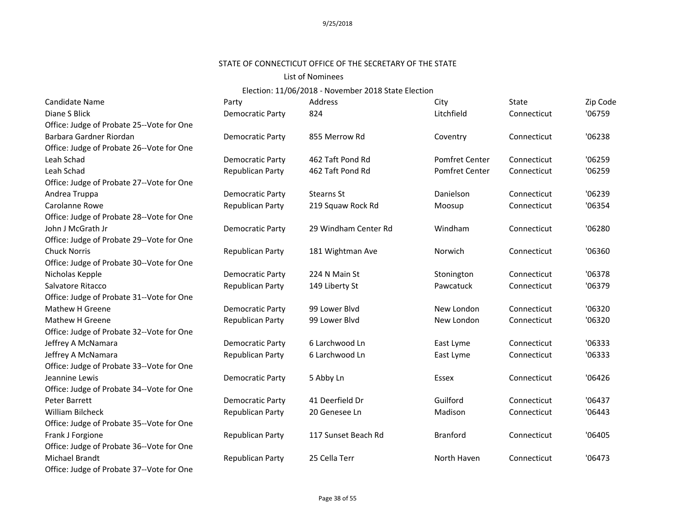# STATE OF CONNECTICUT OFFICE OF THE SECRETARY OF THE STATE

#### List of Nominees

| Candidate Name                            | Party                   | Address              | City                  | State       | Zip Code |
|-------------------------------------------|-------------------------|----------------------|-----------------------|-------------|----------|
| Diane S Blick                             | <b>Democratic Party</b> | 824                  | Litchfield            | Connecticut | '06759   |
| Office: Judge of Probate 25--Vote for One |                         |                      |                       |             |          |
| Barbara Gardner Riordan                   | Democratic Party        | 855 Merrow Rd        | Coventry              | Connecticut | '06238   |
| Office: Judge of Probate 26--Vote for One |                         |                      |                       |             |          |
| Leah Schad                                | <b>Democratic Party</b> | 462 Taft Pond Rd     | <b>Pomfret Center</b> | Connecticut | '06259   |
| Leah Schad                                | Republican Party        | 462 Taft Pond Rd     | <b>Pomfret Center</b> | Connecticut | '06259   |
| Office: Judge of Probate 27--Vote for One |                         |                      |                       |             |          |
| Andrea Truppa                             | Democratic Party        | <b>Stearns St</b>    | Danielson             | Connecticut | '06239   |
| Carolanne Rowe                            | Republican Party        | 219 Squaw Rock Rd    | Moosup                | Connecticut | '06354   |
| Office: Judge of Probate 28--Vote for One |                         |                      |                       |             |          |
| John J McGrath Jr                         | Democratic Party        | 29 Windham Center Rd | Windham               | Connecticut | '06280   |
| Office: Judge of Probate 29--Vote for One |                         |                      |                       |             |          |
| <b>Chuck Norris</b>                       | Republican Party        | 181 Wightman Ave     | Norwich               | Connecticut | '06360   |
| Office: Judge of Probate 30--Vote for One |                         |                      |                       |             |          |
| Nicholas Kepple                           | <b>Democratic Party</b> | 224 N Main St        | Stonington            | Connecticut | '06378   |
| Salvatore Ritacco                         | Republican Party        | 149 Liberty St       | Pawcatuck             | Connecticut | '06379   |
| Office: Judge of Probate 31--Vote for One |                         |                      |                       |             |          |
| Mathew H Greene                           | <b>Democratic Party</b> | 99 Lower Blvd        | New London            | Connecticut | '06320   |
| Mathew H Greene                           | Republican Party        | 99 Lower Blvd        | New London            | Connecticut | '06320   |
| Office: Judge of Probate 32--Vote for One |                         |                      |                       |             |          |
| Jeffrey A McNamara                        | Democratic Party        | 6 Larchwood Ln       | East Lyme             | Connecticut | '06333   |
| Jeffrey A McNamara                        | Republican Party        | 6 Larchwood Ln       | East Lyme             | Connecticut | '06333   |
| Office: Judge of Probate 33--Vote for One |                         |                      |                       |             |          |
| Jeannine Lewis                            | Democratic Party        | 5 Abby Ln            | <b>Essex</b>          | Connecticut | '06426   |
| Office: Judge of Probate 34--Vote for One |                         |                      |                       |             |          |
| Peter Barrett                             | <b>Democratic Party</b> | 41 Deerfield Dr      | Guilford              | Connecticut | '06437   |
| <b>William Bilcheck</b>                   | Republican Party        | 20 Genesee Ln        | Madison               | Connecticut | '06443   |
| Office: Judge of Probate 35--Vote for One |                         |                      |                       |             |          |
| Frank J Forgione                          | Republican Party        | 117 Sunset Beach Rd  | <b>Branford</b>       | Connecticut | '06405   |
| Office: Judge of Probate 36--Vote for One |                         |                      |                       |             |          |
| Michael Brandt                            | Republican Party        | 25 Cella Terr        | North Haven           | Connecticut | '06473   |
| Office: Judge of Probate 37--Vote for One |                         |                      |                       |             |          |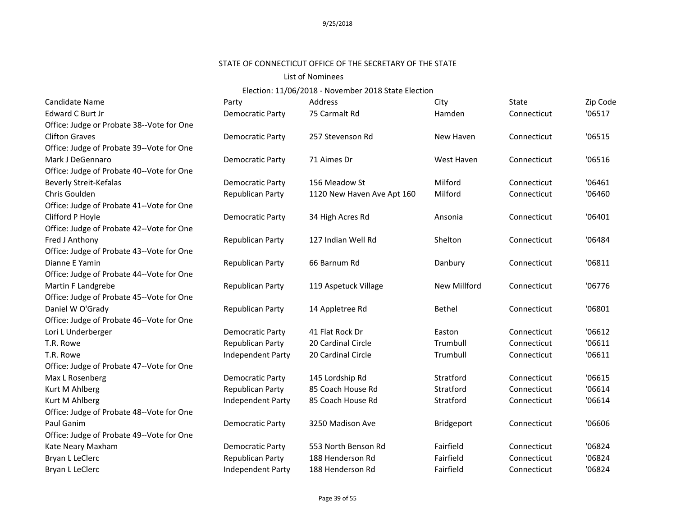# STATE OF CONNECTICUT OFFICE OF THE SECRETARY OF THE STATE

### List of Nominees

| Candidate Name                            | Party                   | Address                    | City              | State       | Zip Code |
|-------------------------------------------|-------------------------|----------------------------|-------------------|-------------|----------|
| Edward C Burt Jr                          | Democratic Party        | 75 Carmalt Rd              | Hamden            | Connecticut | '06517   |
| Office: Judge or Probate 38--Vote for One |                         |                            |                   |             |          |
| <b>Clifton Graves</b>                     | Democratic Party        | 257 Stevenson Rd           | New Haven         | Connecticut | '06515   |
| Office: Judge of Probate 39--Vote for One |                         |                            |                   |             |          |
| Mark J DeGennaro                          | Democratic Party        | 71 Aimes Dr                | West Haven        | Connecticut | '06516   |
| Office: Judge of Probate 40--Vote for One |                         |                            |                   |             |          |
| <b>Beverly Streit-Kefalas</b>             | Democratic Party        | 156 Meadow St              | Milford           | Connecticut | '06461   |
| Chris Goulden                             | Republican Party        | 1120 New Haven Ave Apt 160 | Milford           | Connecticut | '06460   |
| Office: Judge of Probate 41--Vote for One |                         |                            |                   |             |          |
| Clifford P Hoyle                          | Democratic Party        | 34 High Acres Rd           | Ansonia           | Connecticut | '06401   |
| Office: Judge of Probate 42--Vote for One |                         |                            |                   |             |          |
| Fred J Anthony                            | Republican Party        | 127 Indian Well Rd         | Shelton           | Connecticut | '06484   |
| Office: Judge of Probate 43--Vote for One |                         |                            |                   |             |          |
| Dianne E Yamin                            | Republican Party        | 66 Barnum Rd               | Danbury           | Connecticut | '06811   |
| Office: Judge of Probate 44--Vote for One |                         |                            |                   |             |          |
| Martin F Landgrebe                        | <b>Republican Party</b> | 119 Aspetuck Village       | New Millford      | Connecticut | '06776   |
| Office: Judge of Probate 45--Vote for One |                         |                            |                   |             |          |
| Daniel W O'Grady                          | Republican Party        | 14 Appletree Rd            | <b>Bethel</b>     | Connecticut | '06801   |
| Office: Judge of Probate 46--Vote for One |                         |                            |                   |             |          |
| Lori L Underberger                        | Democratic Party        | 41 Flat Rock Dr            | Easton            | Connecticut | '06612   |
| T.R. Rowe                                 | Republican Party        | 20 Cardinal Circle         | Trumbull          | Connecticut | '06611   |
| T.R. Rowe                                 | Independent Party       | 20 Cardinal Circle         | Trumbull          | Connecticut | '06611   |
| Office: Judge of Probate 47--Vote for One |                         |                            |                   |             |          |
| Max L Rosenberg                           | Democratic Party        | 145 Lordship Rd            | Stratford         | Connecticut | '06615   |
| Kurt M Ahlberg                            | Republican Party        | 85 Coach House Rd          | Stratford         | Connecticut | '06614   |
| Kurt M Ahlberg                            | Independent Party       | 85 Coach House Rd          | Stratford         | Connecticut | '06614   |
| Office: Judge of Probate 48--Vote for One |                         |                            |                   |             |          |
| Paul Ganim                                | Democratic Party        | 3250 Madison Ave           | <b>Bridgeport</b> | Connecticut | '06606   |
| Office: Judge of Probate 49--Vote for One |                         |                            |                   |             |          |
| Kate Neary Maxham                         | Democratic Party        | 553 North Benson Rd        | Fairfield         | Connecticut | '06824   |
| Bryan L LeClerc                           | Republican Party        | 188 Henderson Rd           | Fairfield         | Connecticut | '06824   |
| Bryan L LeClerc                           | Independent Party       | 188 Henderson Rd           | Fairfield         | Connecticut | '06824   |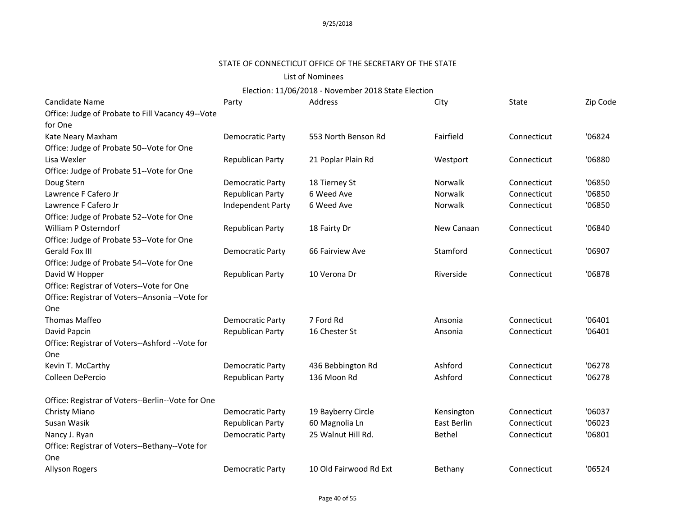# STATE OF CONNECTICUT OFFICE OF THE SECRETARY OF THE STATE

### List of Nominees

| Candidate Name                                    | Party                   | Address                | City          | State       | Zip Code |
|---------------------------------------------------|-------------------------|------------------------|---------------|-------------|----------|
| Office: Judge of Probate to Fill Vacancy 49--Vote |                         |                        |               |             |          |
| for One                                           |                         |                        |               |             |          |
| Kate Neary Maxham                                 | <b>Democratic Party</b> | 553 North Benson Rd    | Fairfield     | Connecticut | '06824   |
| Office: Judge of Probate 50--Vote for One         |                         |                        |               |             |          |
| Lisa Wexler                                       | Republican Party        | 21 Poplar Plain Rd     | Westport      | Connecticut | '06880   |
| Office: Judge of Probate 51--Vote for One         |                         |                        |               |             |          |
| Doug Stern                                        | Democratic Party        | 18 Tierney St          | Norwalk       | Connecticut | '06850   |
| Lawrence F Cafero Jr                              | Republican Party        | 6 Weed Ave             | Norwalk       | Connecticut | '06850   |
| Lawrence F Cafero Jr                              | Independent Party       | 6 Weed Ave             | Norwalk       | Connecticut | '06850   |
| Office: Judge of Probate 52--Vote for One         |                         |                        |               |             |          |
| William P Osterndorf                              | Republican Party        | 18 Fairty Dr           | New Canaan    | Connecticut | '06840   |
| Office: Judge of Probate 53--Vote for One         |                         |                        |               |             |          |
| <b>Gerald Fox III</b>                             | <b>Democratic Party</b> | 66 Fairview Ave        | Stamford      | Connecticut | '06907   |
| Office: Judge of Probate 54--Vote for One         |                         |                        |               |             |          |
| David W Hopper                                    | Republican Party        | 10 Verona Dr           | Riverside     | Connecticut | '06878   |
| Office: Registrar of Voters--Vote for One         |                         |                        |               |             |          |
| Office: Registrar of Voters--Ansonia --Vote for   |                         |                        |               |             |          |
| One                                               |                         |                        |               |             |          |
| Thomas Maffeo                                     | <b>Democratic Party</b> | 7 Ford Rd              | Ansonia       | Connecticut | '06401   |
| David Papcin                                      | Republican Party        | 16 Chester St          | Ansonia       | Connecticut | '06401   |
| Office: Registrar of Voters--Ashford --Vote for   |                         |                        |               |             |          |
| One                                               |                         |                        |               |             |          |
| Kevin T. McCarthy                                 | <b>Democratic Party</b> | 436 Bebbington Rd      | Ashford       | Connecticut | '06278   |
| Colleen DePercio                                  | Republican Party        | 136 Moon Rd            | Ashford       | Connecticut | '06278   |
| Office: Registrar of Voters--Berlin--Vote for One |                         |                        |               |             |          |
| Christy Miano                                     | <b>Democratic Party</b> | 19 Bayberry Circle     | Kensington    | Connecticut | '06037   |
| Susan Wasik                                       | Republican Party        | 60 Magnolia Ln         | East Berlin   | Connecticut | '06023   |
| Nancy J. Ryan                                     | <b>Democratic Party</b> | 25 Walnut Hill Rd.     | <b>Bethel</b> | Connecticut | '06801   |
| Office: Registrar of Voters--Bethany--Vote for    |                         |                        |               |             |          |
| One                                               |                         |                        |               |             |          |
| Allyson Rogers                                    | Democratic Party        | 10 Old Fairwood Rd Ext | Bethany       | Connecticut | '06524   |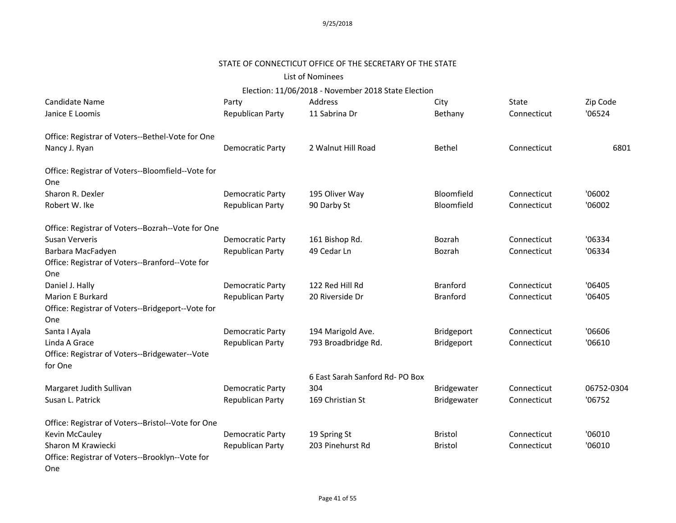# STATE OF CONNECTICUT OFFICE OF THE SECRETARY OF THE STATE

### List of Nominees

| Candidate Name                                     | Party                   | Address                         | City            | State       | Zip Code   |
|----------------------------------------------------|-------------------------|---------------------------------|-----------------|-------------|------------|
| Janice E Loomis                                    | Republican Party        | 11 Sabrina Dr                   | Bethany         | Connecticut | '06524     |
| Office: Registrar of Voters--Bethel-Vote for One   |                         |                                 |                 |             |            |
| Nancy J. Ryan                                      | <b>Democratic Party</b> | 2 Walnut Hill Road              | <b>Bethel</b>   | Connecticut | 6801       |
| Office: Registrar of Voters--Bloomfield--Vote for  |                         |                                 |                 |             |            |
| One                                                |                         |                                 |                 |             |            |
| Sharon R. Dexler                                   | <b>Democratic Party</b> | 195 Oliver Way                  | Bloomfield      | Connecticut | '06002     |
| Robert W. Ike                                      | Republican Party        | 90 Darby St                     | Bloomfield      | Connecticut | '06002     |
| Office: Registrar of Voters--Bozrah--Vote for One  |                         |                                 |                 |             |            |
| Susan Ververis                                     | <b>Democratic Party</b> | 161 Bishop Rd.                  | Bozrah          | Connecticut | '06334     |
| Barbara MacFadyen                                  | Republican Party        | 49 Cedar Ln                     | Bozrah          | Connecticut | '06334     |
| Office: Registrar of Voters--Branford--Vote for    |                         |                                 |                 |             |            |
| One                                                |                         |                                 |                 |             |            |
| Daniel J. Hally                                    | <b>Democratic Party</b> | 122 Red Hill Rd                 | <b>Branford</b> | Connecticut | '06405     |
| <b>Marion E Burkard</b>                            | Republican Party        | 20 Riverside Dr                 | <b>Branford</b> | Connecticut | '06405     |
| Office: Registrar of Voters--Bridgeport--Vote for  |                         |                                 |                 |             |            |
| One                                                |                         |                                 |                 |             |            |
| Santa I Ayala                                      | <b>Democratic Party</b> | 194 Marigold Ave.               | Bridgeport      | Connecticut | '06606     |
| Linda A Grace                                      | Republican Party        | 793 Broadbridge Rd.             | Bridgeport      | Connecticut | '06610     |
| Office: Registrar of Voters--Bridgewater--Vote     |                         |                                 |                 |             |            |
| for One                                            |                         |                                 |                 |             |            |
|                                                    |                         | 6 East Sarah Sanford Rd- PO Box |                 |             |            |
| Margaret Judith Sullivan                           | <b>Democratic Party</b> | 304                             | Bridgewater     | Connecticut | 06752-0304 |
| Susan L. Patrick                                   | Republican Party        | 169 Christian St                | Bridgewater     | Connecticut | '06752     |
| Office: Registrar of Voters--Bristol--Vote for One |                         |                                 |                 |             |            |
| Kevin McCauley                                     | <b>Democratic Party</b> | 19 Spring St                    | <b>Bristol</b>  | Connecticut | '06010     |
| Sharon M Krawiecki                                 | Republican Party        | 203 Pinehurst Rd                | <b>Bristol</b>  | Connecticut | '06010     |
| Office: Registrar of Voters--Brooklyn--Vote for    |                         |                                 |                 |             |            |
| One                                                |                         |                                 |                 |             |            |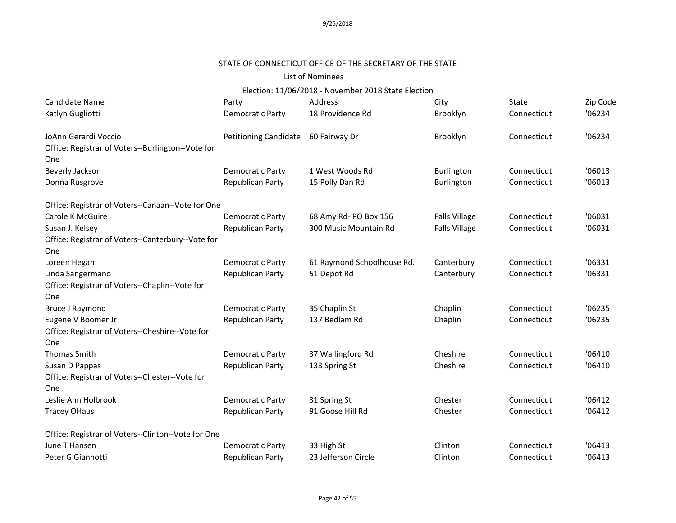# STATE OF CONNECTICUT OFFICE OF THE SECRETARY OF THE STATE

#### List of Nominees

| Candidate Name                                     | Party                   | Address                    | City                 | State       | Zip Code |
|----------------------------------------------------|-------------------------|----------------------------|----------------------|-------------|----------|
| Katlyn Gugliotti                                   | <b>Democratic Party</b> | 18 Providence Rd           | Brooklyn             | Connecticut | '06234   |
| JoAnn Gerardi Voccio                               | Petitioning Candidate   | 60 Fairway Dr              | Brooklyn             | Connecticut | '06234   |
| Office: Registrar of Voters--Burlington--Vote for  |                         |                            |                      |             |          |
| One                                                |                         |                            |                      |             |          |
| Beverly Jackson                                    | Democratic Party        | 1 West Woods Rd            | Burlington           | Connecticut | '06013   |
| Donna Rusgrove                                     | Republican Party        | 15 Polly Dan Rd            | <b>Burlington</b>    | Connecticut | '06013   |
| Office: Registrar of Voters--Canaan--Vote for One  |                         |                            |                      |             |          |
| Carole K McGuire                                   | <b>Democratic Party</b> | 68 Amy Rd- PO Box 156      | <b>Falls Village</b> | Connecticut | '06031   |
| Susan J. Kelsey                                    | Republican Party        | 300 Music Mountain Rd      | <b>Falls Village</b> | Connecticut | '06031   |
| Office: Registrar of Voters--Canterbury--Vote for  |                         |                            |                      |             |          |
| One                                                |                         |                            |                      |             |          |
| Loreen Hegan                                       | Democratic Party        | 61 Raymond Schoolhouse Rd. | Canterbury           | Connecticut | '06331   |
| Linda Sangermano                                   | <b>Republican Party</b> | 51 Depot Rd                | Canterbury           | Connecticut | '06331   |
| Office: Registrar of Voters--Chaplin--Vote for     |                         |                            |                      |             |          |
| One                                                |                         |                            |                      |             |          |
| <b>Bruce J Raymond</b>                             | Democratic Party        | 35 Chaplin St              | Chaplin              | Connecticut | '06235   |
| Eugene V Boomer Jr                                 | <b>Republican Party</b> | 137 Bedlam Rd              | Chaplin              | Connecticut | '06235   |
| Office: Registrar of Voters--Cheshire--Vote for    |                         |                            |                      |             |          |
| One                                                |                         |                            |                      |             |          |
| <b>Thomas Smith</b>                                | Democratic Party        | 37 Wallingford Rd          | Cheshire             | Connecticut | '06410   |
| Susan D Pappas                                     | Republican Party        | 133 Spring St              | Cheshire             | Connecticut | '06410   |
| Office: Registrar of Voters--Chester--Vote for     |                         |                            |                      |             |          |
| One                                                |                         |                            |                      |             |          |
| Leslie Ann Holbrook                                | <b>Democratic Party</b> | 31 Spring St               | Chester              | Connecticut | '06412   |
| <b>Tracey OHaus</b>                                | Republican Party        | 91 Goose Hill Rd           | Chester              | Connecticut | '06412   |
| Office: Registrar of Voters--Clinton--Vote for One |                         |                            |                      |             |          |
| June T Hansen                                      | Democratic Party        | 33 High St                 | Clinton              | Connecticut | '06413   |
| Peter G Giannotti                                  | Republican Party        | 23 Jefferson Circle        | Clinton              | Connecticut | '06413   |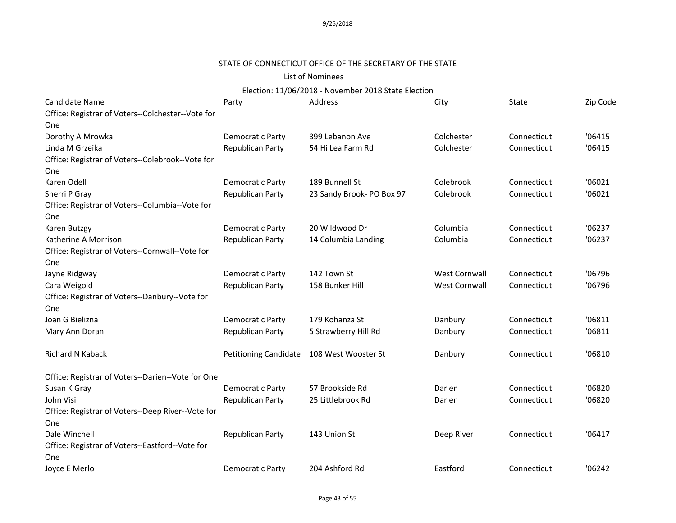# STATE OF CONNECTICUT OFFICE OF THE SECRETARY OF THE STATE

### List of Nominees

| Candidate Name                                    | Party                   | Address                   | City                 | State       | Zip Code |
|---------------------------------------------------|-------------------------|---------------------------|----------------------|-------------|----------|
| Office: Registrar of Voters--Colchester--Vote for |                         |                           |                      |             |          |
| One                                               |                         |                           |                      |             |          |
| Dorothy A Mrowka                                  | <b>Democratic Party</b> | 399 Lebanon Ave           | Colchester           | Connecticut | '06415   |
| Linda M Grzeika                                   | <b>Republican Party</b> | 54 Hi Lea Farm Rd         | Colchester           | Connecticut | '06415   |
| Office: Registrar of Voters--Colebrook--Vote for  |                         |                           |                      |             |          |
| One                                               |                         |                           |                      |             |          |
| Karen Odell                                       | <b>Democratic Party</b> | 189 Bunnell St            | Colebrook            | Connecticut | '06021   |
| Sherri P Gray                                     | Republican Party        | 23 Sandy Brook- PO Box 97 | Colebrook            | Connecticut | '06021   |
| Office: Registrar of Voters--Columbia--Vote for   |                         |                           |                      |             |          |
| One                                               |                         |                           |                      |             |          |
| Karen Butzgy                                      | <b>Democratic Party</b> | 20 Wildwood Dr            | Columbia             | Connecticut | '06237   |
| Katherine A Morrison                              | Republican Party        | 14 Columbia Landing       | Columbia             | Connecticut | '06237   |
| Office: Registrar of Voters--Cornwall--Vote for   |                         |                           |                      |             |          |
| One                                               |                         |                           |                      |             |          |
| Jayne Ridgway                                     | Democratic Party        | 142 Town St               | <b>West Cornwall</b> | Connecticut | '06796   |
| Cara Weigold                                      | <b>Republican Party</b> | 158 Bunker Hill           | <b>West Cornwall</b> | Connecticut | '06796   |
| Office: Registrar of Voters--Danbury--Vote for    |                         |                           |                      |             |          |
| One                                               |                         |                           |                      |             |          |
| Joan G Bielizna                                   | <b>Democratic Party</b> | 179 Kohanza St            | Danbury              | Connecticut | '06811   |
| Mary Ann Doran                                    | Republican Party        | 5 Strawberry Hill Rd      | Danbury              | Connecticut | '06811   |
|                                                   |                         |                           |                      |             |          |
| Richard N Kaback                                  | Petitioning Candidate   | 108 West Wooster St       | Danbury              | Connecticut | '06810   |
|                                                   |                         |                           |                      |             |          |
| Office: Registrar of Voters--Darien--Vote for One |                         |                           |                      |             |          |
| Susan K Gray                                      | <b>Democratic Party</b> | 57 Brookside Rd           | Darien               | Connecticut | '06820   |
| John Visi                                         | Republican Party        | 25 Littlebrook Rd         | Darien               | Connecticut | '06820   |
| Office: Registrar of Voters--Deep River--Vote for |                         |                           |                      |             |          |
| One                                               |                         |                           |                      |             |          |
| Dale Winchell                                     | Republican Party        | 143 Union St              | Deep River           | Connecticut | '06417   |
| Office: Registrar of Voters--Eastford--Vote for   |                         |                           |                      |             |          |
| One                                               |                         |                           |                      |             |          |
| Joyce E Merlo                                     | <b>Democratic Party</b> | 204 Ashford Rd            | Eastford             | Connecticut | '06242   |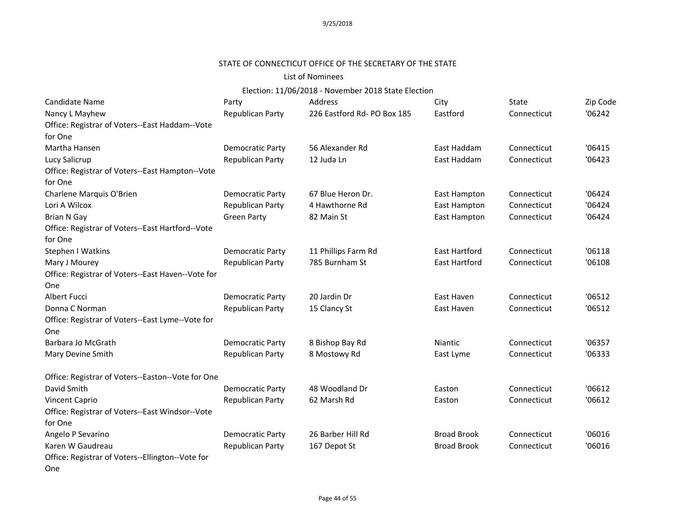# STATE OF CONNECTICUT OFFICE OF THE SECRETARY OF THE STATE

#### List of Nominees

| Candidate Name                                    | Party                   | Address                    | City                 | State       | Zip Code |
|---------------------------------------------------|-------------------------|----------------------------|----------------------|-------------|----------|
| Nancy L Mayhew                                    | Republican Party        | 226 Eastford Rd-PO Box 185 | Eastford             | Connecticut | '06242   |
| Office: Registrar of Voters--East Haddam--Vote    |                         |                            |                      |             |          |
| for One                                           |                         |                            |                      |             |          |
| Martha Hansen                                     | Democratic Party        | 56 Alexander Rd            | East Haddam          | Connecticut | '06415   |
| Lucy Salicrup                                     | Republican Party        | 12 Juda Ln                 | East Haddam          | Connecticut | '06423   |
| Office: Registrar of Voters--East Hampton--Vote   |                         |                            |                      |             |          |
| for One                                           |                         |                            |                      |             |          |
| Charlene Marquis O'Brien                          | Democratic Party        | 67 Blue Heron Dr.          | East Hampton         | Connecticut | '06424   |
| Lori A Wilcox                                     | <b>Republican Party</b> | 4 Hawthorne Rd             | East Hampton         | Connecticut | '06424   |
| <b>Brian N Gay</b>                                | <b>Green Party</b>      | 82 Main St                 | East Hampton         | Connecticut | '06424   |
| Office: Registrar of Voters--East Hartford--Vote  |                         |                            |                      |             |          |
| for One                                           |                         |                            |                      |             |          |
| Stephen I Watkins                                 | Democratic Party        | 11 Phillips Farm Rd        | <b>East Hartford</b> | Connecticut | '06118   |
| Mary J Mourey                                     | Republican Party        | 785 Burnham St             | East Hartford        | Connecticut | '06108   |
| Office: Registrar of Voters--East Haven--Vote for |                         |                            |                      |             |          |
| One                                               |                         |                            |                      |             |          |
| <b>Albert Fucci</b>                               | <b>Democratic Party</b> | 20 Jardin Dr               | East Haven           | Connecticut | '06512   |
| Donna C Norman                                    | Republican Party        | 15 Clancy St               | East Haven           | Connecticut | '06512   |
| Office: Registrar of Voters--East Lyme--Vote for  |                         |                            |                      |             |          |
| One                                               |                         |                            |                      |             |          |
| Barbara Jo McGrath                                | Democratic Party        | 8 Bishop Bay Rd            | Niantic              | Connecticut | '06357   |
| Mary Devine Smith                                 | Republican Party        | 8 Mostowy Rd               | East Lyme            | Connecticut | '06333   |
| Office: Registrar of Voters--Easton--Vote for One |                         |                            |                      |             |          |
| David Smith                                       | Democratic Party        | 48 Woodland Dr             | Easton               | Connecticut | '06612   |
| <b>Vincent Caprio</b>                             | Republican Party        | 62 Marsh Rd                | Easton               | Connecticut | '06612   |
| Office: Registrar of Voters--East Windsor--Vote   |                         |                            |                      |             |          |
| for One                                           |                         |                            |                      |             |          |
| Angelo P Sevarino                                 | Democratic Party        | 26 Barber Hill Rd          | <b>Broad Brook</b>   | Connecticut | '06016   |
| Karen W Gaudreau                                  | Republican Party        | 167 Depot St               | <b>Broad Brook</b>   | Connecticut | '06016   |
| Office: Registrar of Voters--Ellington--Vote for  |                         |                            |                      |             |          |
| One                                               |                         |                            |                      |             |          |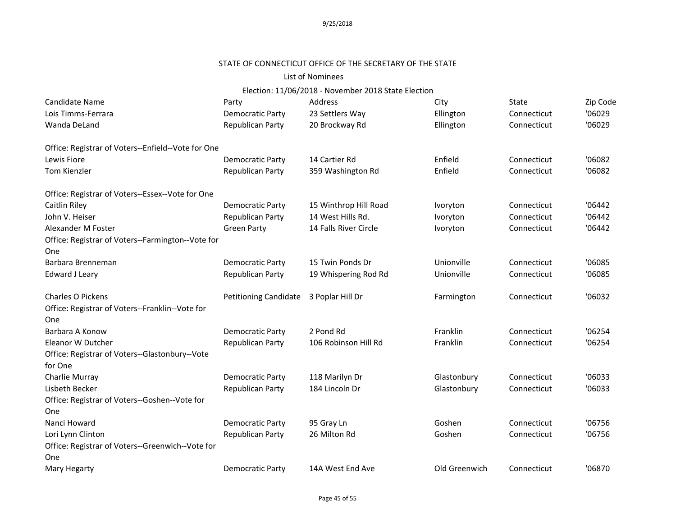# STATE OF CONNECTICUT OFFICE OF THE SECRETARY OF THE STATE

### List of Nominees

| Candidate Name                                           | Party                        | Address               | City          | State       | Zip Code |
|----------------------------------------------------------|------------------------------|-----------------------|---------------|-------------|----------|
| Lois Timms-Ferrara                                       | <b>Democratic Party</b>      | 23 Settlers Way       | Ellington     | Connecticut | '06029   |
| Wanda DeLand                                             | Republican Party             | 20 Brockway Rd        | Ellington     | Connecticut | '06029   |
| Office: Registrar of Voters--Enfield--Vote for One       |                              |                       |               |             |          |
| Lewis Fiore                                              | <b>Democratic Party</b>      | 14 Cartier Rd         | Enfield       | Connecticut | '06082   |
| <b>Tom Kienzler</b>                                      | Republican Party             | 359 Washington Rd     | Enfield       | Connecticut | '06082   |
| Office: Registrar of Voters--Essex--Vote for One         |                              |                       |               |             |          |
| <b>Caitlin Riley</b>                                     | <b>Democratic Party</b>      | 15 Winthrop Hill Road | Ivoryton      | Connecticut | '06442   |
| John V. Heiser                                           | Republican Party             | 14 West Hills Rd.     | Ivoryton      | Connecticut | '06442   |
| Alexander M Foster                                       | <b>Green Party</b>           | 14 Falls River Circle | Ivoryton      | Connecticut | '06442   |
| Office: Registrar of Voters--Farmington--Vote for<br>One |                              |                       |               |             |          |
| Barbara Brenneman                                        | <b>Democratic Party</b>      | 15 Twin Ponds Dr      | Unionville    | Connecticut | '06085   |
| Edward J Leary                                           | Republican Party             | 19 Whispering Rod Rd  | Unionville    | Connecticut | '06085   |
| <b>Charles O Pickens</b>                                 | <b>Petitioning Candidate</b> | 3 Poplar Hill Dr      | Farmington    | Connecticut | '06032   |
| Office: Registrar of Voters--Franklin--Vote for          |                              |                       |               |             |          |
| One                                                      |                              |                       |               |             |          |
| Barbara A Konow                                          | <b>Democratic Party</b>      | 2 Pond Rd             | Franklin      | Connecticut | '06254   |
| Eleanor W Dutcher                                        | Republican Party             | 106 Robinson Hill Rd  | Franklin      | Connecticut | '06254   |
| Office: Registrar of Voters--Glastonbury--Vote           |                              |                       |               |             |          |
| for One                                                  |                              |                       |               |             |          |
| Charlie Murray                                           | <b>Democratic Party</b>      | 118 Marilyn Dr        | Glastonbury   | Connecticut | '06033   |
| Lisbeth Becker                                           | Republican Party             | 184 Lincoln Dr        | Glastonbury   | Connecticut | '06033   |
| Office: Registrar of Voters--Goshen--Vote for            |                              |                       |               |             |          |
| One                                                      |                              |                       |               |             |          |
| Nanci Howard                                             | <b>Democratic Party</b>      | 95 Gray Ln            | Goshen        | Connecticut | '06756   |
| Lori Lynn Clinton                                        | <b>Republican Party</b>      | 26 Milton Rd          | Goshen        | Connecticut | '06756   |
| Office: Registrar of Voters--Greenwich--Vote for         |                              |                       |               |             |          |
| One                                                      |                              |                       |               |             |          |
| Mary Hegarty                                             | <b>Democratic Party</b>      | 14A West End Ave      | Old Greenwich | Connecticut | '06870   |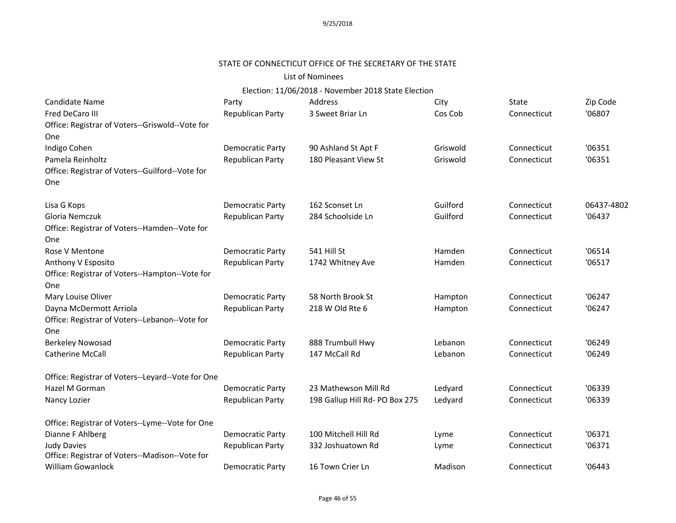# STATE OF CONNECTICUT OFFICE OF THE SECRETARY OF THE STATE

### List of Nominees

| Candidate Name                                                       | Party                   | Address                        | City     | State       | Zip Code   |
|----------------------------------------------------------------------|-------------------------|--------------------------------|----------|-------------|------------|
| <b>Fred DeCaro III</b>                                               | <b>Republican Party</b> | 3 Sweet Briar Ln               | Cos Cob  | Connecticut | '06807     |
| Office: Registrar of Voters--Griswold--Vote for                      |                         |                                |          |             |            |
| One                                                                  |                         |                                |          |             |            |
| Indigo Cohen                                                         | <b>Democratic Party</b> | 90 Ashland St Apt F            | Griswold | Connecticut | '06351     |
| Pamela Reinholtz                                                     | Republican Party        | 180 Pleasant View St           | Griswold | Connecticut | '06351     |
| Office: Registrar of Voters--Guilford--Vote for                      |                         |                                |          |             |            |
| One                                                                  |                         |                                |          |             |            |
| Lisa G Kops                                                          | <b>Democratic Party</b> | 162 Sconset Ln                 | Guilford | Connecticut | 06437-4802 |
| Gloria Nemczuk                                                       | Republican Party        | 284 Schoolside Ln              | Guilford | Connecticut | '06437     |
| Office: Registrar of Voters--Hamden--Vote for                        |                         |                                |          |             |            |
| One                                                                  |                         |                                |          |             |            |
| Rose V Mentone                                                       | <b>Democratic Party</b> | 541 Hill St                    | Hamden   | Connecticut | '06514     |
| Anthony V Esposito                                                   | Republican Party        | 1742 Whitney Ave               | Hamden   | Connecticut | '06517     |
| Office: Registrar of Voters--Hampton--Vote for                       |                         |                                |          |             |            |
| One                                                                  |                         |                                |          |             |            |
| Mary Louise Oliver                                                   | <b>Democratic Party</b> | 58 North Brook St              | Hampton  | Connecticut | '06247     |
| Dayna McDermott Arriola                                              | Republican Party        | 218 W Old Rte 6                | Hampton  | Connecticut | '06247     |
| Office: Registrar of Voters--Lebanon--Vote for                       |                         |                                |          |             |            |
| One                                                                  |                         |                                |          |             |            |
| <b>Berkeley Nowosad</b>                                              | <b>Democratic Party</b> | 888 Trumbull Hwy               | Lebanon  | Connecticut | '06249     |
| <b>Catherine McCall</b>                                              | <b>Republican Party</b> | 147 McCall Rd                  | Lebanon  | Connecticut | '06249     |
| Office: Registrar of Voters--Leyard--Vote for One                    |                         |                                |          |             |            |
| Hazel M Gorman                                                       | <b>Democratic Party</b> | 23 Mathewson Mill Rd           | Ledyard  | Connecticut | '06339     |
| Nancy Lozier                                                         | Republican Party        | 198 Gallup Hill Rd- PO Box 275 | Ledyard  | Connecticut | '06339     |
| Office: Registrar of Voters--Lyme--Vote for One                      |                         |                                |          |             |            |
| Dianne F Ahlberg                                                     | <b>Democratic Party</b> | 100 Mitchell Hill Rd           | Lyme     | Connecticut | '06371     |
| <b>Judy Davies</b><br>Office: Registrar of Voters--Madison--Vote for | <b>Republican Party</b> | 332 Joshuatown Rd              | Lyme     | Connecticut | '06371     |
| <b>William Gowanlock</b>                                             | <b>Democratic Party</b> | 16 Town Crier Ln               | Madison  | Connecticut | '06443     |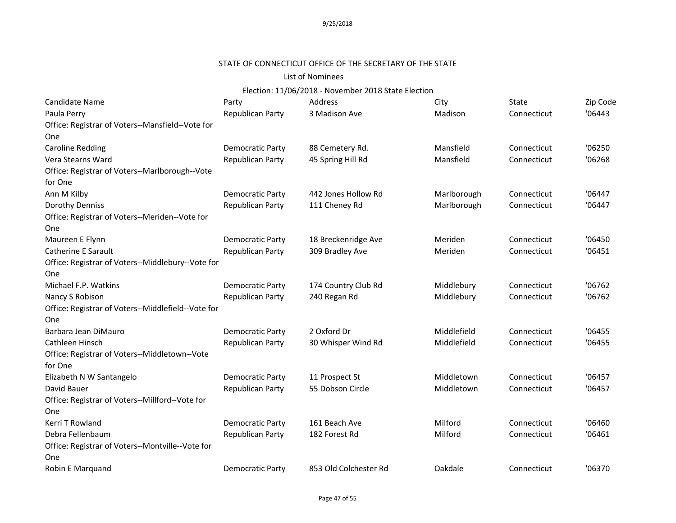# STATE OF CONNECTICUT OFFICE OF THE SECRETARY OF THE STATE

#### List of Nominees

| Candidate Name                                     | Party                   | Address               | City        | State       | Zip Code |
|----------------------------------------------------|-------------------------|-----------------------|-------------|-------------|----------|
| Paula Perry                                        | Republican Party        | 3 Madison Ave         | Madison     | Connecticut | '06443   |
| Office: Registrar of Voters--Mansfield--Vote for   |                         |                       |             |             |          |
| One                                                |                         |                       |             |             |          |
| <b>Caroline Redding</b>                            | Democratic Party        | 88 Cemetery Rd.       | Mansfield   | Connecticut | '06250   |
| Vera Stearns Ward                                  | Republican Party        | 45 Spring Hill Rd     | Mansfield   | Connecticut | '06268   |
| Office: Registrar of Voters--Marlborough--Vote     |                         |                       |             |             |          |
| for One                                            |                         |                       |             |             |          |
| Ann M Kilby                                        | Democratic Party        | 442 Jones Hollow Rd   | Marlborough | Connecticut | '06447   |
| Dorothy Denniss                                    | Republican Party        | 111 Cheney Rd         | Marlborough | Connecticut | '06447   |
| Office: Registrar of Voters--Meriden--Vote for     |                         |                       |             |             |          |
| One                                                |                         |                       |             |             |          |
| Maureen E Flynn                                    | <b>Democratic Party</b> | 18 Breckenridge Ave   | Meriden     | Connecticut | '06450   |
| <b>Catherine E Sarault</b>                         | Republican Party        | 309 Bradley Ave       | Meriden     | Connecticut | '06451   |
| Office: Registrar of Voters--Middlebury--Vote for  |                         |                       |             |             |          |
| One                                                |                         |                       |             |             |          |
| Michael F.P. Watkins                               | <b>Democratic Party</b> | 174 Country Club Rd   | Middlebury  | Connecticut | '06762   |
| Nancy S Robison                                    | Republican Party        | 240 Regan Rd          | Middlebury  | Connecticut | '06762   |
| Office: Registrar of Voters--Middlefield--Vote for |                         |                       |             |             |          |
| One                                                |                         |                       |             |             |          |
| Barbara Jean DiMauro                               | <b>Democratic Party</b> | 2 Oxford Dr           | Middlefield | Connecticut | '06455   |
| Cathleen Hinsch                                    | Republican Party        | 30 Whisper Wind Rd    | Middlefield | Connecticut | '06455   |
| Office: Registrar of Voters--Middletown--Vote      |                         |                       |             |             |          |
| for One                                            |                         |                       |             |             |          |
| Elizabeth N W Santangelo                           | Democratic Party        | 11 Prospect St        | Middletown  | Connecticut | '06457   |
| David Bauer                                        | Republican Party        | 55 Dobson Circle      | Middletown  | Connecticut | '06457   |
| Office: Registrar of Voters--Millford--Vote for    |                         |                       |             |             |          |
| One                                                |                         |                       |             |             |          |
| Kerri T Rowland                                    | Democratic Party        | 161 Beach Ave         | Milford     | Connecticut | '06460   |
| Debra Fellenbaum                                   | Republican Party        | 182 Forest Rd         | Milford     | Connecticut | '06461   |
| Office: Registrar of Voters--Montville--Vote for   |                         |                       |             |             |          |
| One                                                |                         |                       |             |             |          |
| Robin E Marquand                                   | <b>Democratic Party</b> | 853 Old Colchester Rd | Oakdale     | Connecticut | '06370   |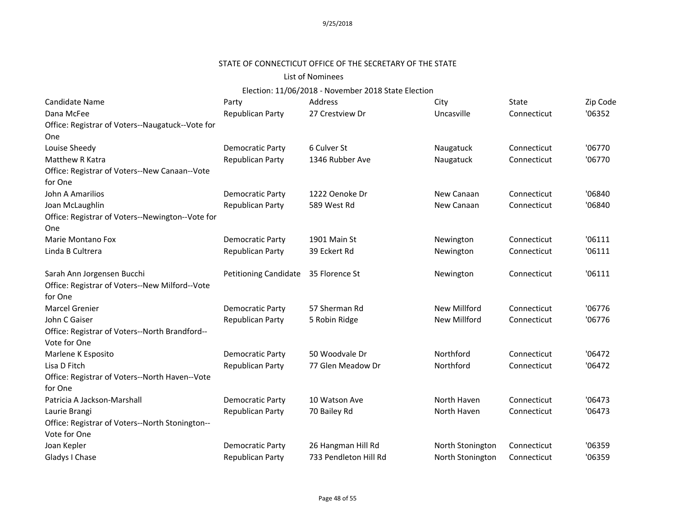# STATE OF CONNECTICUT OFFICE OF THE SECRETARY OF THE STATE

#### List of Nominees

| <b>Candidate Name</b>                            | Party                        | Address               | City                | State       | Zip Code |
|--------------------------------------------------|------------------------------|-----------------------|---------------------|-------------|----------|
| Dana McFee                                       | Republican Party             | 27 Crestview Dr       | Uncasville          | Connecticut | '06352   |
| Office: Registrar of Voters--Naugatuck--Vote for |                              |                       |                     |             |          |
| One                                              |                              |                       |                     |             |          |
| Louise Sheedy                                    | <b>Democratic Party</b>      | 6 Culver St           | Naugatuck           | Connecticut | '06770   |
| Matthew R Katra                                  | <b>Republican Party</b>      | 1346 Rubber Ave       | Naugatuck           | Connecticut | '06770   |
| Office: Registrar of Voters--New Canaan--Vote    |                              |                       |                     |             |          |
| for One                                          |                              |                       |                     |             |          |
| John A Amarilios                                 | <b>Democratic Party</b>      | 1222 Oenoke Dr        | New Canaan          | Connecticut | '06840   |
| Joan McLaughlin                                  | <b>Republican Party</b>      | 589 West Rd           | New Canaan          | Connecticut | '06840   |
| Office: Registrar of Voters--Newington--Vote for |                              |                       |                     |             |          |
| One                                              |                              |                       |                     |             |          |
| Marie Montano Fox                                | <b>Democratic Party</b>      | 1901 Main St          | Newington           | Connecticut | '06111   |
| Linda B Cultrera                                 | Republican Party             | 39 Eckert Rd          | Newington           | Connecticut | '06111   |
|                                                  |                              |                       |                     |             |          |
| Sarah Ann Jorgensen Bucchi                       | <b>Petitioning Candidate</b> | 35 Florence St        | Newington           | Connecticut | '06111   |
| Office: Registrar of Voters--New Milford--Vote   |                              |                       |                     |             |          |
| for One                                          |                              |                       |                     |             |          |
| <b>Marcel Grenier</b>                            | <b>Democratic Party</b>      | 57 Sherman Rd         | <b>New Millford</b> | Connecticut | '06776   |
| John C Gaiser                                    | Republican Party             | 5 Robin Ridge         | New Millford        | Connecticut | '06776   |
| Office: Registrar of Voters--North Brandford--   |                              |                       |                     |             |          |
| Vote for One                                     |                              |                       |                     |             |          |
| Marlene K Esposito                               | <b>Democratic Party</b>      | 50 Woodvale Dr        | Northford           | Connecticut | '06472   |
| Lisa D Fitch                                     | <b>Republican Party</b>      | 77 Glen Meadow Dr     | Northford           | Connecticut | '06472   |
| Office: Registrar of Voters--North Haven--Vote   |                              |                       |                     |             |          |
| for One                                          |                              |                       |                     |             |          |
| Patricia A Jackson-Marshall                      | <b>Democratic Party</b>      | 10 Watson Ave         | North Haven         | Connecticut | '06473   |
| Laurie Brangi                                    | Republican Party             | 70 Bailey Rd          | North Haven         | Connecticut | '06473   |
| Office: Registrar of Voters--North Stonington--  |                              |                       |                     |             |          |
| Vote for One                                     |                              |                       |                     |             |          |
| Joan Kepler                                      | <b>Democratic Party</b>      | 26 Hangman Hill Rd    | North Stonington    | Connecticut | '06359   |
| Gladys I Chase                                   | Republican Party             | 733 Pendleton Hill Rd | North Stonington    | Connecticut | '06359   |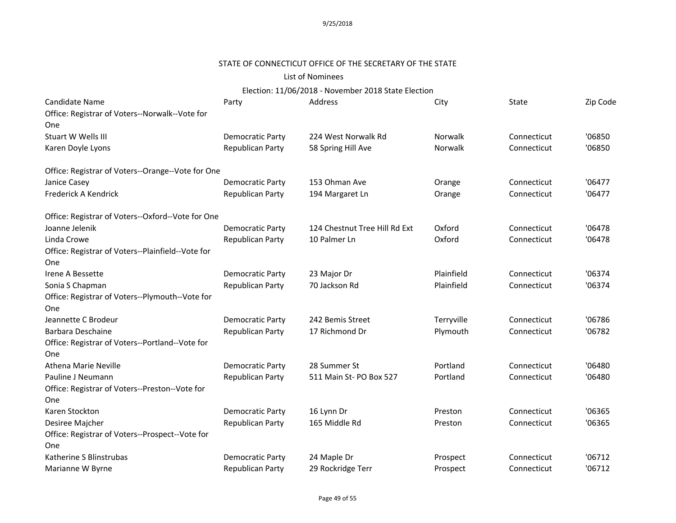### STATE OF CONNECTICUT OFFICE OF THE SECRETARY OF THE STATE

# List of Nominees

| Candidate Name                                    | Party                   | Address                       | City       | State       | Zip Code |
|---------------------------------------------------|-------------------------|-------------------------------|------------|-------------|----------|
| Office: Registrar of Voters--Norwalk--Vote for    |                         |                               |            |             |          |
| One                                               |                         |                               |            |             |          |
| Stuart W Wells III                                | <b>Democratic Party</b> | 224 West Norwalk Rd           | Norwalk    | Connecticut | '06850   |
| Karen Doyle Lyons                                 | <b>Republican Party</b> | 58 Spring Hill Ave            | Norwalk    | Connecticut | '06850   |
| Office: Registrar of Voters--Orange--Vote for One |                         |                               |            |             |          |
| Janice Casey                                      | Democratic Party        | 153 Ohman Ave                 | Orange     | Connecticut | '06477   |
| Frederick A Kendrick                              | Republican Party        | 194 Margaret Ln               | Orange     | Connecticut | '06477   |
| Office: Registrar of Voters--Oxford--Vote for One |                         |                               |            |             |          |
| Joanne Jelenik                                    | <b>Democratic Party</b> | 124 Chestnut Tree Hill Rd Ext | Oxford     | Connecticut | '06478   |
| Linda Crowe                                       | Republican Party        | 10 Palmer Ln                  | Oxford     | Connecticut | '06478   |
| Office: Registrar of Voters--Plainfield--Vote for |                         |                               |            |             |          |
| One                                               |                         |                               |            |             |          |
| Irene A Bessette                                  | <b>Democratic Party</b> | 23 Major Dr                   | Plainfield | Connecticut | '06374   |
| Sonia S Chapman                                   | Republican Party        | 70 Jackson Rd                 | Plainfield | Connecticut | '06374   |
| Office: Registrar of Voters--Plymouth--Vote for   |                         |                               |            |             |          |
| One                                               |                         |                               |            |             |          |
| Jeannette C Brodeur                               | Democratic Party        | 242 Bemis Street              | Terryville | Connecticut | '06786   |
| <b>Barbara Deschaine</b>                          | Republican Party        | 17 Richmond Dr                | Plymouth   | Connecticut | '06782   |
| Office: Registrar of Voters--Portland--Vote for   |                         |                               |            |             |          |
| One                                               |                         |                               |            |             |          |
| <b>Athena Marie Neville</b>                       | <b>Democratic Party</b> | 28 Summer St                  | Portland   | Connecticut | '06480   |
| Pauline J Neumann                                 | <b>Republican Party</b> | 511 Main St-PO Box 527        | Portland   | Connecticut | '06480   |
| Office: Registrar of Voters--Preston--Vote for    |                         |                               |            |             |          |
| <b>One</b>                                        |                         |                               |            |             |          |
| Karen Stockton                                    | <b>Democratic Party</b> | 16 Lynn Dr                    | Preston    | Connecticut | '06365   |
| Desiree Majcher                                   | Republican Party        | 165 Middle Rd                 | Preston    | Connecticut | '06365   |
| Office: Registrar of Voters--Prospect--Vote for   |                         |                               |            |             |          |
| One                                               |                         |                               |            |             |          |
| Katherine S Blinstrubas                           | <b>Democratic Party</b> | 24 Maple Dr                   | Prospect   | Connecticut | '06712   |
| Marianne W Byrne                                  | Republican Party        | 29 Rockridge Terr             | Prospect   | Connecticut | '06712   |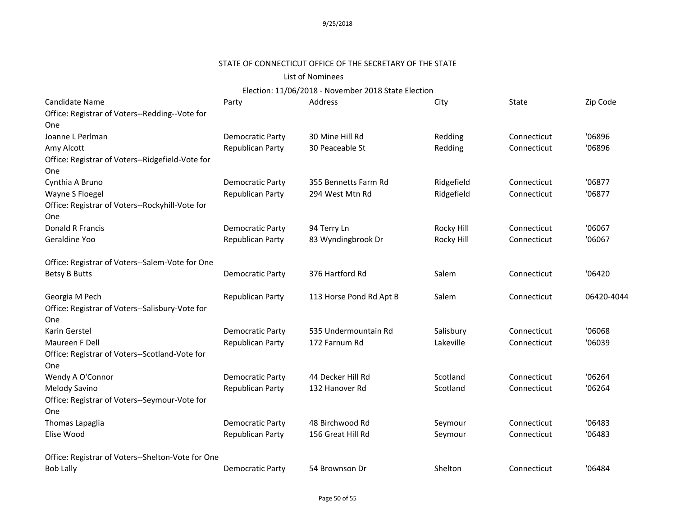# STATE OF CONNECTICUT OFFICE OF THE SECRETARY OF THE STATE

### List of Nominees

| Candidate Name                                    | Party                   | Address                 | City       | State       | Zip Code   |
|---------------------------------------------------|-------------------------|-------------------------|------------|-------------|------------|
| Office: Registrar of Voters--Redding--Vote for    |                         |                         |            |             |            |
| <b>One</b>                                        |                         |                         |            |             |            |
| Joanne L Perlman                                  | <b>Democratic Party</b> | 30 Mine Hill Rd         | Redding    | Connecticut | '06896     |
| Amy Alcott                                        | <b>Republican Party</b> | 30 Peaceable St         | Redding    | Connecticut | '06896     |
| Office: Registrar of Voters--Ridgefield-Vote for  |                         |                         |            |             |            |
| <b>One</b>                                        |                         |                         |            |             |            |
| Cynthia A Bruno                                   | <b>Democratic Party</b> | 355 Bennetts Farm Rd    | Ridgefield | Connecticut | '06877     |
| Wayne S Floegel                                   | <b>Republican Party</b> | 294 West Mtn Rd         | Ridgefield | Connecticut | '06877     |
| Office: Registrar of Voters--Rockyhill-Vote for   |                         |                         |            |             |            |
| <b>One</b>                                        |                         |                         |            |             |            |
| Donald R Francis                                  | <b>Democratic Party</b> | 94 Terry Ln             | Rocky Hill | Connecticut | '06067     |
| Geraldine Yoo                                     | Republican Party        | 83 Wyndingbrook Dr      | Rocky Hill | Connecticut | '06067     |
| Office: Registrar of Voters--Salem-Vote for One   |                         |                         |            |             |            |
| <b>Betsy B Butts</b>                              | Democratic Party        | 376 Hartford Rd         | Salem      | Connecticut | '06420     |
| Georgia M Pech                                    | Republican Party        | 113 Horse Pond Rd Apt B | Salem      | Connecticut | 06420-4044 |
| Office: Registrar of Voters--Salisbury-Vote for   |                         |                         |            |             |            |
| <b>One</b>                                        |                         |                         |            |             |            |
| Karin Gerstel                                     | <b>Democratic Party</b> | 535 Undermountain Rd    | Salisbury  | Connecticut | '06068     |
| Maureen F Dell                                    | Republican Party        | 172 Farnum Rd           | Lakeville  | Connecticut | '06039     |
| Office: Registrar of Voters--Scotland-Vote for    |                         |                         |            |             |            |
| <b>One</b>                                        |                         |                         |            |             |            |
| Wendy A O'Connor                                  | <b>Democratic Party</b> | 44 Decker Hill Rd       | Scotland   | Connecticut | '06264     |
| Melody Savino                                     | Republican Party        | 132 Hanover Rd          | Scotland   | Connecticut | '06264     |
| Office: Registrar of Voters--Seymour-Vote for     |                         |                         |            |             |            |
| <b>One</b>                                        |                         |                         |            |             |            |
| Thomas Lapaglia                                   | <b>Democratic Party</b> | 48 Birchwood Rd         | Seymour    | Connecticut | '06483     |
| Elise Wood                                        | Republican Party        | 156 Great Hill Rd       | Seymour    | Connecticut | '06483     |
| Office: Registrar of Voters--Shelton-Vote for One |                         |                         |            |             |            |
| <b>Bob Lally</b>                                  | Democratic Party        | 54 Brownson Dr          | Shelton    | Connecticut | '06484     |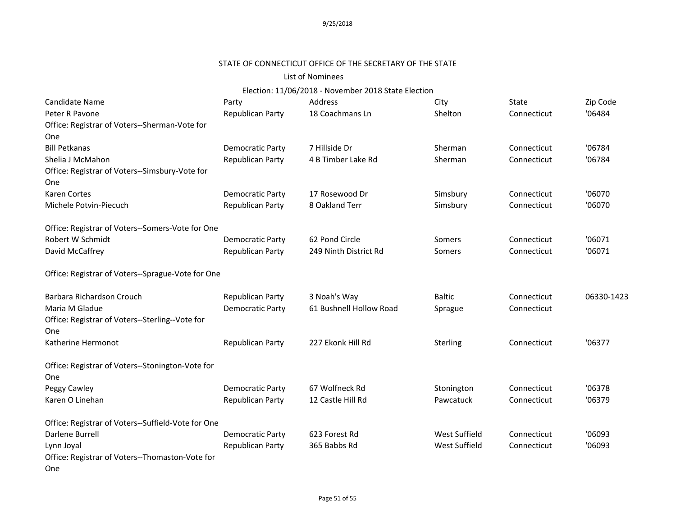# STATE OF CONNECTICUT OFFICE OF THE SECRETARY OF THE STATE

### List of Nominees

| Candidate Name                                          | Party                   | Address                 | City          | State       | Zip Code   |
|---------------------------------------------------------|-------------------------|-------------------------|---------------|-------------|------------|
| Peter R Pavone                                          | <b>Republican Party</b> | 18 Coachmans Ln         | Shelton       | Connecticut | '06484     |
| Office: Registrar of Voters--Sherman-Vote for           |                         |                         |               |             |            |
| One                                                     |                         |                         |               |             |            |
| <b>Bill Petkanas</b>                                    | <b>Democratic Party</b> | 7 Hillside Dr           | Sherman       | Connecticut | '06784     |
| Shelia J McMahon                                        | Republican Party        | 4 B Timber Lake Rd      | Sherman       | Connecticut | '06784     |
| Office: Registrar of Voters--Simsbury-Vote for          |                         |                         |               |             |            |
| One                                                     |                         |                         |               |             |            |
| <b>Karen Cortes</b>                                     | <b>Democratic Party</b> | 17 Rosewood Dr          | Simsbury      | Connecticut | '06070     |
| Michele Potvin-Piecuch                                  | <b>Republican Party</b> | 8 Oakland Terr          | Simsbury      | Connecticut | '06070     |
| Office: Registrar of Voters--Somers-Vote for One        |                         |                         |               |             |            |
| Robert W Schmidt                                        | <b>Democratic Party</b> | 62 Pond Circle          | Somers        | Connecticut | '06071     |
| David McCaffrey                                         | Republican Party        | 249 Ninth District Rd   | Somers        | Connecticut | '06071     |
| Office: Registrar of Voters--Sprague-Vote for One       |                         |                         |               |             |            |
| Barbara Richardson Crouch                               | Republican Party        | 3 Noah's Way            | <b>Baltic</b> | Connecticut | 06330-1423 |
| Maria M Gladue                                          | <b>Democratic Party</b> | 61 Bushnell Hollow Road | Sprague       | Connecticut |            |
| Office: Registrar of Voters--Sterling--Vote for         |                         |                         |               |             |            |
| One                                                     |                         |                         |               |             |            |
| Katherine Hermonot                                      | Republican Party        | 227 Ekonk Hill Rd       | Sterling      | Connecticut | '06377     |
| Office: Registrar of Voters--Stonington-Vote for<br>One |                         |                         |               |             |            |
| Peggy Cawley                                            | <b>Democratic Party</b> | 67 Wolfneck Rd          | Stonington    | Connecticut | '06378     |
| Karen O Linehan                                         | Republican Party        | 12 Castle Hill Rd       | Pawcatuck     | Connecticut | '06379     |
| Office: Registrar of Voters--Suffield-Vote for One      |                         |                         |               |             |            |
| Darlene Burrell                                         | <b>Democratic Party</b> | 623 Forest Rd           | West Suffield | Connecticut | '06093     |
| Lynn Joyal                                              | Republican Party        | 365 Babbs Rd            | West Suffield | Connecticut | '06093     |
| Office: Registrar of Voters--Thomaston-Vote for<br>One  |                         |                         |               |             |            |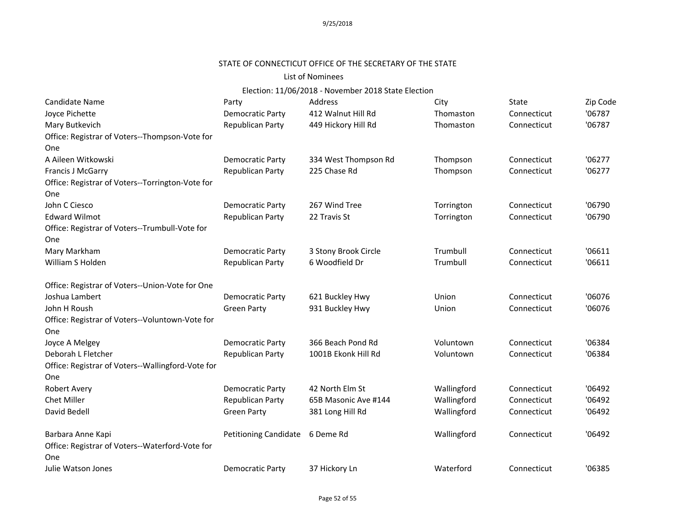# STATE OF CONNECTICUT OFFICE OF THE SECRETARY OF THE STATE

#### List of Nominees

| Candidate Name                                    | Party                        | Address              | City        | <b>State</b> | Zip Code |
|---------------------------------------------------|------------------------------|----------------------|-------------|--------------|----------|
| Joyce Pichette                                    | <b>Democratic Party</b>      | 412 Walnut Hill Rd   | Thomaston   | Connecticut  | '06787   |
| Mary Butkevich                                    | Republican Party             | 449 Hickory Hill Rd  | Thomaston   | Connecticut  | '06787   |
| Office: Registrar of Voters--Thompson-Vote for    |                              |                      |             |              |          |
| One                                               |                              |                      |             |              |          |
| A Aileen Witkowski                                | <b>Democratic Party</b>      | 334 West Thompson Rd | Thompson    | Connecticut  | '06277   |
| <b>Francis J McGarry</b>                          | <b>Republican Party</b>      | 225 Chase Rd         | Thompson    | Connecticut  | '06277   |
| Office: Registrar of Voters--Torrington-Vote for  |                              |                      |             |              |          |
| One                                               |                              |                      |             |              |          |
| John C Ciesco                                     | <b>Democratic Party</b>      | 267 Wind Tree        | Torrington  | Connecticut  | '06790   |
| <b>Edward Wilmot</b>                              | Republican Party             | 22 Travis St         | Torrington  | Connecticut  | '06790   |
| Office: Registrar of Voters--Trumbull-Vote for    |                              |                      |             |              |          |
| One                                               |                              |                      |             |              |          |
| Mary Markham                                      | <b>Democratic Party</b>      | 3 Stony Brook Circle | Trumbull    | Connecticut  | '06611   |
| William S Holden                                  | Republican Party             | 6 Woodfield Dr       | Trumbull    | Connecticut  | '06611   |
| Office: Registrar of Voters--Union-Vote for One   |                              |                      |             |              |          |
| Joshua Lambert                                    | <b>Democratic Party</b>      | 621 Buckley Hwy      | Union       | Connecticut  | '06076   |
| John H Roush                                      | <b>Green Party</b>           | 931 Buckley Hwy      | Union       | Connecticut  | '06076   |
| Office: Registrar of Voters--Voluntown-Vote for   |                              |                      |             |              |          |
| One                                               |                              |                      |             |              |          |
| Joyce A Melgey                                    | Democratic Party             | 366 Beach Pond Rd    | Voluntown   | Connecticut  | '06384   |
| Deborah L Fletcher                                | Republican Party             | 1001B Ekonk Hill Rd  | Voluntown   | Connecticut  | '06384   |
| Office: Registrar of Voters--Wallingford-Vote for |                              |                      |             |              |          |
| One                                               |                              |                      |             |              |          |
| Robert Avery                                      | <b>Democratic Party</b>      | 42 North Elm St      | Wallingford | Connecticut  | '06492   |
| <b>Chet Miller</b>                                | Republican Party             | 65B Masonic Ave #144 | Wallingford | Connecticut  | '06492   |
| David Bedell                                      | <b>Green Party</b>           | 381 Long Hill Rd     | Wallingford | Connecticut  | '06492   |
| Barbara Anne Kapi                                 | <b>Petitioning Candidate</b> | 6 Deme Rd            | Wallingford | Connecticut  | '06492   |
| Office: Registrar of Voters--Waterford-Vote for   |                              |                      |             |              |          |
| One                                               |                              |                      |             |              |          |
| Julie Watson Jones                                | <b>Democratic Party</b>      | 37 Hickory Ln        | Waterford   | Connecticut  | '06385   |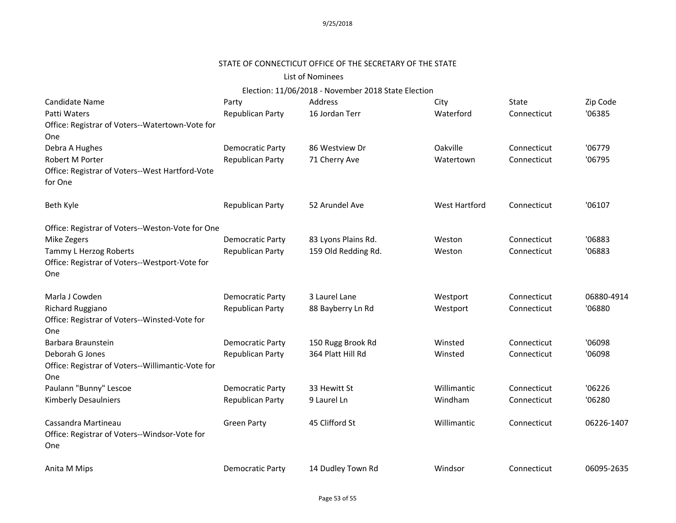#### STATE OF CONNECTICUT OFFICE OF THE SECRETARY OF THE STATE

#### List of Nominees

| Candidate Name<br>Patti Waters<br>Office: Registrar of Voters--Watertown-Vote for<br>One | Party<br>Republican Party | Address<br>16 Jordan Terr | City<br>Waterford    | State<br>Connecticut | Zip Code<br>'06385 |
|------------------------------------------------------------------------------------------|---------------------------|---------------------------|----------------------|----------------------|--------------------|
| Debra A Hughes                                                                           | <b>Democratic Party</b>   | 86 Westview Dr            | Oakville             | Connecticut          | '06779             |
| Robert M Porter<br>Office: Registrar of Voters--West Hartford-Vote<br>for One            | Republican Party          | 71 Cherry Ave             | Watertown            | Connecticut          | '06795             |
| Beth Kyle                                                                                | Republican Party          | 52 Arundel Ave            | <b>West Hartford</b> | Connecticut          | '06107             |
| Office: Registrar of Voters--Weston-Vote for One                                         |                           |                           |                      |                      |                    |
| Mike Zegers                                                                              | <b>Democratic Party</b>   | 83 Lyons Plains Rd.       | Weston               | Connecticut          | '06883             |
| Tammy L Herzog Roberts<br>Office: Registrar of Voters--Westport-Vote for<br>One          | <b>Republican Party</b>   | 159 Old Redding Rd.       | Weston               | Connecticut          | '06883             |
| Marla J Cowden                                                                           | Democratic Party          | 3 Laurel Lane             | Westport             | Connecticut          | 06880-4914         |
| Richard Ruggiano<br>Office: Registrar of Voters--Winsted-Vote for<br>One                 | Republican Party          | 88 Bayberry Ln Rd         | Westport             | Connecticut          | '06880             |
| Barbara Braunstein                                                                       | <b>Democratic Party</b>   | 150 Rugg Brook Rd         | Winsted              | Connecticut          | '06098             |
| Deborah G Jones<br>Office: Registrar of Voters--Willimantic-Vote for<br><b>One</b>       | Republican Party          | 364 Platt Hill Rd         | Winsted              | Connecticut          | '06098             |
| Paulann "Bunny" Lescoe                                                                   | Democratic Party          | 33 Hewitt St              | Willimantic          | Connecticut          | '06226             |
| <b>Kimberly Desaulniers</b>                                                              | Republican Party          | 9 Laurel Ln               | Windham              | Connecticut          | '06280             |
| Cassandra Martineau<br>Office: Registrar of Voters--Windsor-Vote for<br>One              | <b>Green Party</b>        | 45 Clifford St            | Willimantic          | Connecticut          | 06226-1407         |
| Anita M Mips                                                                             | Democratic Party          | 14 Dudley Town Rd         | Windsor              | Connecticut          | 06095-2635         |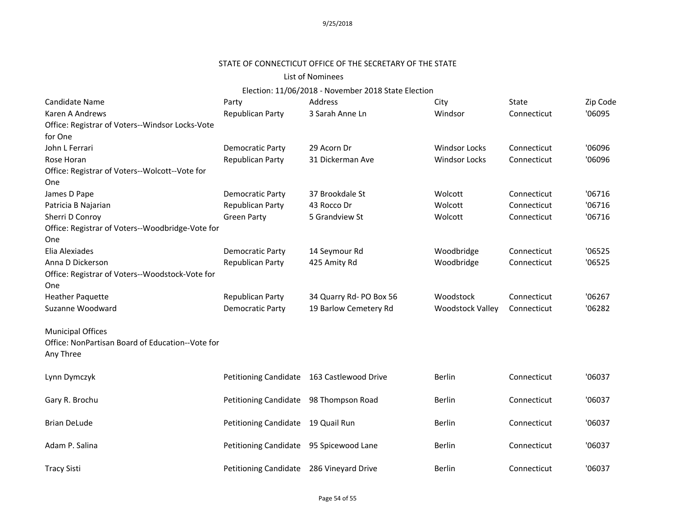# STATE OF CONNECTICUT OFFICE OF THE SECRETARY OF THE STATE

#### List of Nominees

| Candidate Name                                   | Party                                    | Address                                    | City                    | State       | Zip Code |
|--------------------------------------------------|------------------------------------------|--------------------------------------------|-------------------------|-------------|----------|
| Karen A Andrews                                  | Republican Party                         | 3 Sarah Anne Ln                            | Windsor                 | Connecticut | '06095   |
| Office: Registrar of Voters--Windsor Locks-Vote  |                                          |                                            |                         |             |          |
| for One                                          |                                          |                                            |                         |             |          |
| John L Ferrari                                   | Democratic Party                         | 29 Acorn Dr                                | <b>Windsor Locks</b>    | Connecticut | '06096   |
| Rose Horan                                       | Republican Party                         | 31 Dickerman Ave                           | <b>Windsor Locks</b>    | Connecticut | '06096   |
| Office: Registrar of Voters--Wolcott--Vote for   |                                          |                                            |                         |             |          |
| One                                              |                                          |                                            |                         |             |          |
| James D Pape                                     | <b>Democratic Party</b>                  | 37 Brookdale St                            | Wolcott                 | Connecticut | '06716   |
| Patricia B Najarian                              | Republican Party                         | 43 Rocco Dr                                | Wolcott                 | Connecticut | '06716   |
| Sherri D Conroy                                  | <b>Green Party</b>                       | 5 Grandview St                             | Wolcott                 | Connecticut | '06716   |
| Office: Registrar of Voters--Woodbridge-Vote for |                                          |                                            |                         |             |          |
| One                                              |                                          |                                            |                         |             |          |
| Elia Alexiades                                   | <b>Democratic Party</b>                  | 14 Seymour Rd                              | Woodbridge              | Connecticut | '06525   |
| Anna D Dickerson                                 | Republican Party                         | 425 Amity Rd                               | Woodbridge              | Connecticut | '06525   |
| Office: Registrar of Voters--Woodstock-Vote for  |                                          |                                            |                         |             |          |
| One                                              |                                          |                                            |                         |             |          |
| <b>Heather Paquette</b>                          | Republican Party                         | 34 Quarry Rd- PO Box 56                    | Woodstock               | Connecticut | '06267   |
| Suzanne Woodward                                 | <b>Democratic Party</b>                  | 19 Barlow Cemetery Rd                      | <b>Woodstock Valley</b> | Connecticut | '06282   |
| <b>Municipal Offices</b>                         |                                          |                                            |                         |             |          |
| Office: NonPartisan Board of Education--Vote for |                                          |                                            |                         |             |          |
| Any Three                                        |                                          |                                            |                         |             |          |
| Lynn Dymczyk                                     |                                          | Petitioning Candidate 163 Castlewood Drive | <b>Berlin</b>           | Connecticut | '06037   |
|                                                  |                                          |                                            |                         |             |          |
| Gary R. Brochu                                   | Petitioning Candidate                    | 98 Thompson Road                           | <b>Berlin</b>           | Connecticut | '06037   |
| <b>Brian DeLude</b>                              | Petitioning Candidate 19 Quail Run       |                                            | <b>Berlin</b>           | Connecticut | '06037   |
|                                                  |                                          |                                            |                         |             |          |
| Adam P. Salina                                   | Petitioning Candidate 95 Spicewood Lane  |                                            | <b>Berlin</b>           | Connecticut | '06037   |
| <b>Tracy Sisti</b>                               | Petitioning Candidate 286 Vineyard Drive |                                            | <b>Berlin</b>           | Connecticut | '06037   |